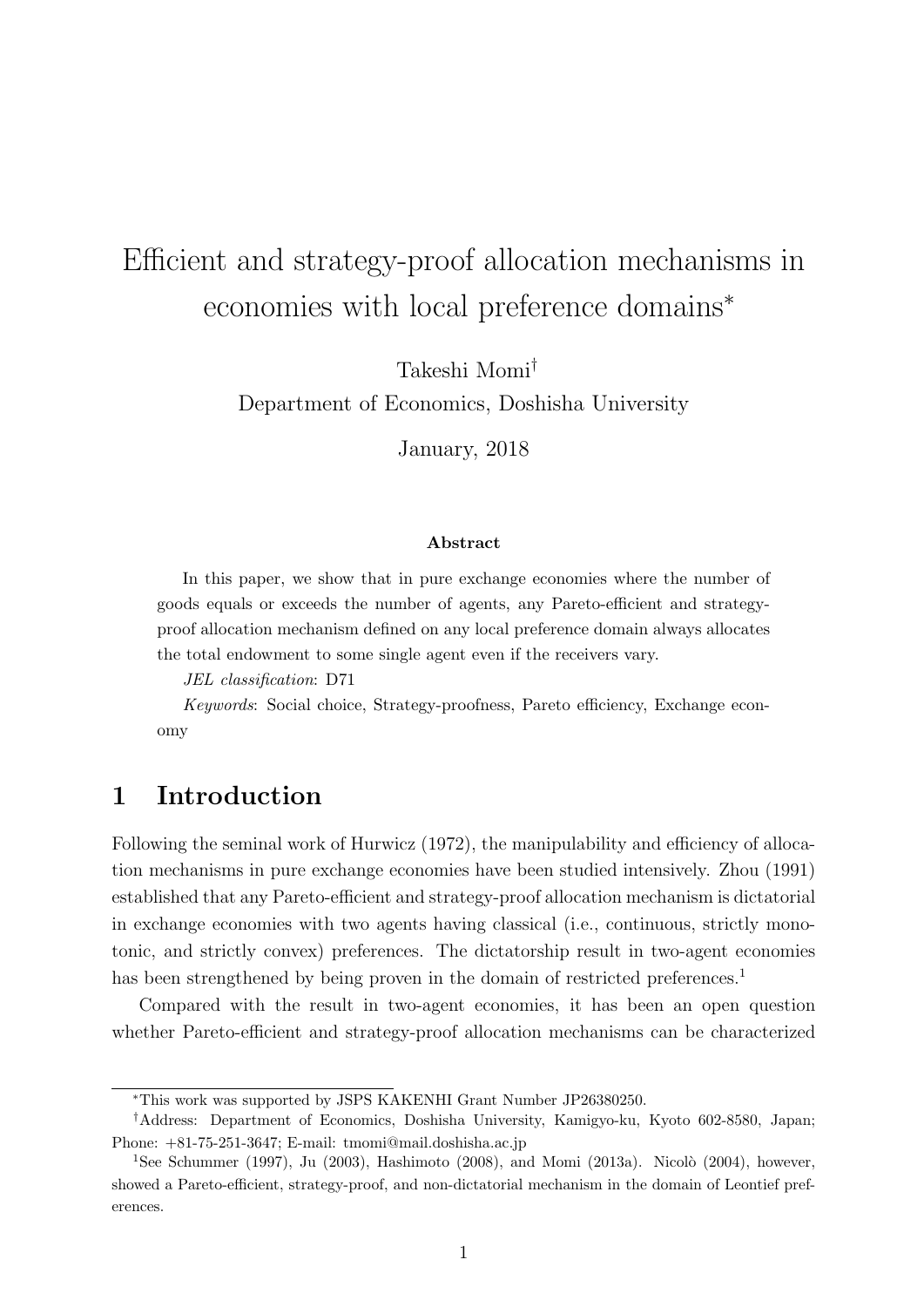# Efficient and strategy-proof allocation mechanisms in economies with local preference domains*<sup>∗</sup>*

Takeshi Momi*†*

Department of Economics, Doshisha University

January, 2018

#### **Abstract**

In this paper, we show that in pure exchange economies where the number of goods equals or exceeds the number of agents, any Pareto-efficient and strategyproof allocation mechanism defined on any local preference domain always allocates the total endowment to some single agent even if the receivers vary.

*JEL classification*: D71

*Keywords*: Social choice, Strategy-proofness, Pareto efficiency, Exchange economy

# **1 Introduction**

Following the seminal work of Hurwicz (1972), the manipulability and efficiency of allocation mechanisms in pure exchange economies have been studied intensively. Zhou (1991) established that any Pareto-efficient and strategy-proof allocation mechanism is dictatorial in exchange economies with two agents having classical (i.e., continuous, strictly monotonic, and strictly convex) preferences. The dictatorship result in two-agent economies has been strengthened by being proven in the domain of restricted preferences.<sup>1</sup>

Compared with the result in two-agent economies, it has been an open question whether Pareto-efficient and strategy-proof allocation mechanisms can be characterized

*<sup>∗</sup>*This work was supported by JSPS KAKENHI Grant Number JP26380250.

*<sup>†</sup>*Address: Department of Economics, Doshisha University, Kamigyo-ku, Kyoto 602-8580, Japan; Phone: +81-75-251-3647; E-mail: tmomi@mail.doshisha.ac.jp

<sup>&</sup>lt;sup>1</sup>See Schummer (1997), Ju (2003), Hashimoto (2008), and Momi (2013a). Nicolò (2004), however, showed a Pareto-efficient, strategy-proof, and non-dictatorial mechanism in the domain of Leontief preferences.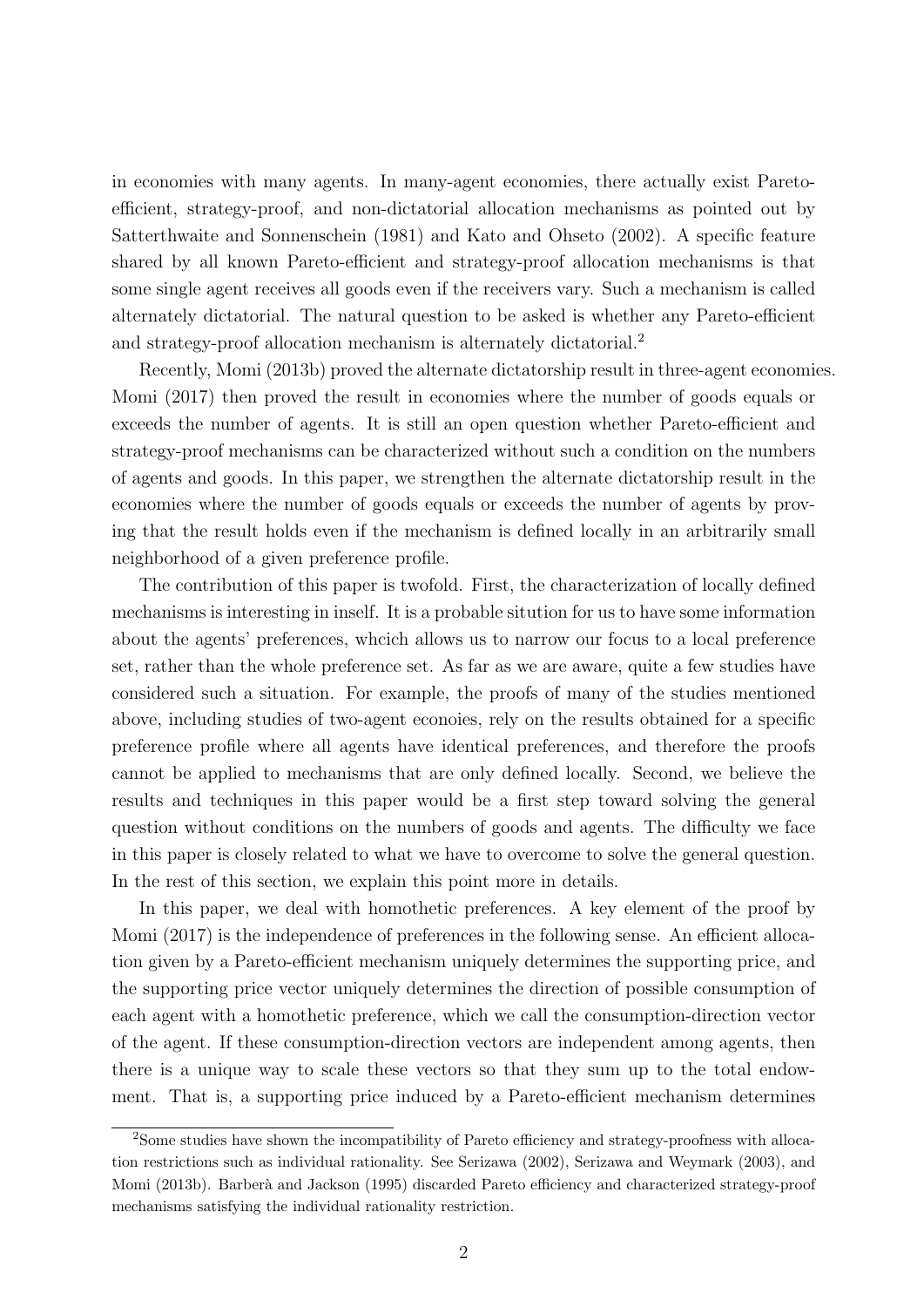in economies with many agents. In many-agent economies, there actually exist Paretoefficient, strategy-proof, and non-dictatorial allocation mechanisms as pointed out by Satterthwaite and Sonnenschein (1981) and Kato and Ohseto (2002). A specific feature shared by all known Pareto-efficient and strategy-proof allocation mechanisms is that some single agent receives all goods even if the receivers vary. Such a mechanism is called alternately dictatorial. The natural question to be asked is whether any Pareto-efficient and strategy-proof allocation mechanism is alternately dictatorial.<sup>2</sup>

Recently, Momi (2013b) proved the alternate dictatorship result in three-agent economies. Momi (2017) then proved the result in economies where the number of goods equals or exceeds the number of agents. It is still an open question whether Pareto-efficient and strategy-proof mechanisms can be characterized without such a condition on the numbers of agents and goods. In this paper, we strengthen the alternate dictatorship result in the economies where the number of goods equals or exceeds the number of agents by proving that the result holds even if the mechanism is defined locally in an arbitrarily small neighborhood of a given preference profile.

The contribution of this paper is twofold. First, the characterization of locally defined mechanisms is interesting in inself. It is a probable sitution for us to have some information about the agents' preferences, whcich allows us to narrow our focus to a local preference set, rather than the whole preference set. As far as we are aware, quite a few studies have considered such a situation. For example, the proofs of many of the studies mentioned above, including studies of two-agent econoies, rely on the results obtained for a specific preference profile where all agents have identical preferences, and therefore the proofs cannot be applied to mechanisms that are only defined locally. Second, we believe the results and techniques in this paper would be a first step toward solving the general question without conditions on the numbers of goods and agents. The difficulty we face in this paper is closely related to what we have to overcome to solve the general question. In the rest of this section, we explain this point more in details.

In this paper, we deal with homothetic preferences. A key element of the proof by Momi (2017) is the independence of preferences in the following sense. An efficient allocation given by a Pareto-efficient mechanism uniquely determines the supporting price, and the supporting price vector uniquely determines the direction of possible consumption of each agent with a homothetic preference, which we call the consumption-direction vector of the agent. If these consumption-direction vectors are independent among agents, then there is a unique way to scale these vectors so that they sum up to the total endowment. That is, a supporting price induced by a Pareto-efficient mechanism determines

<sup>&</sup>lt;sup>2</sup>Some studies have shown the incompatibility of Pareto efficiency and strategy-proofness with allocation restrictions such as individual rationality. See Serizawa (2002), Serizawa and Weymark (2003), and Momi (2013b). Barberà and Jackson (1995) discarded Pareto efficiency and characterized strategy-proof mechanisms satisfying the individual rationality restriction.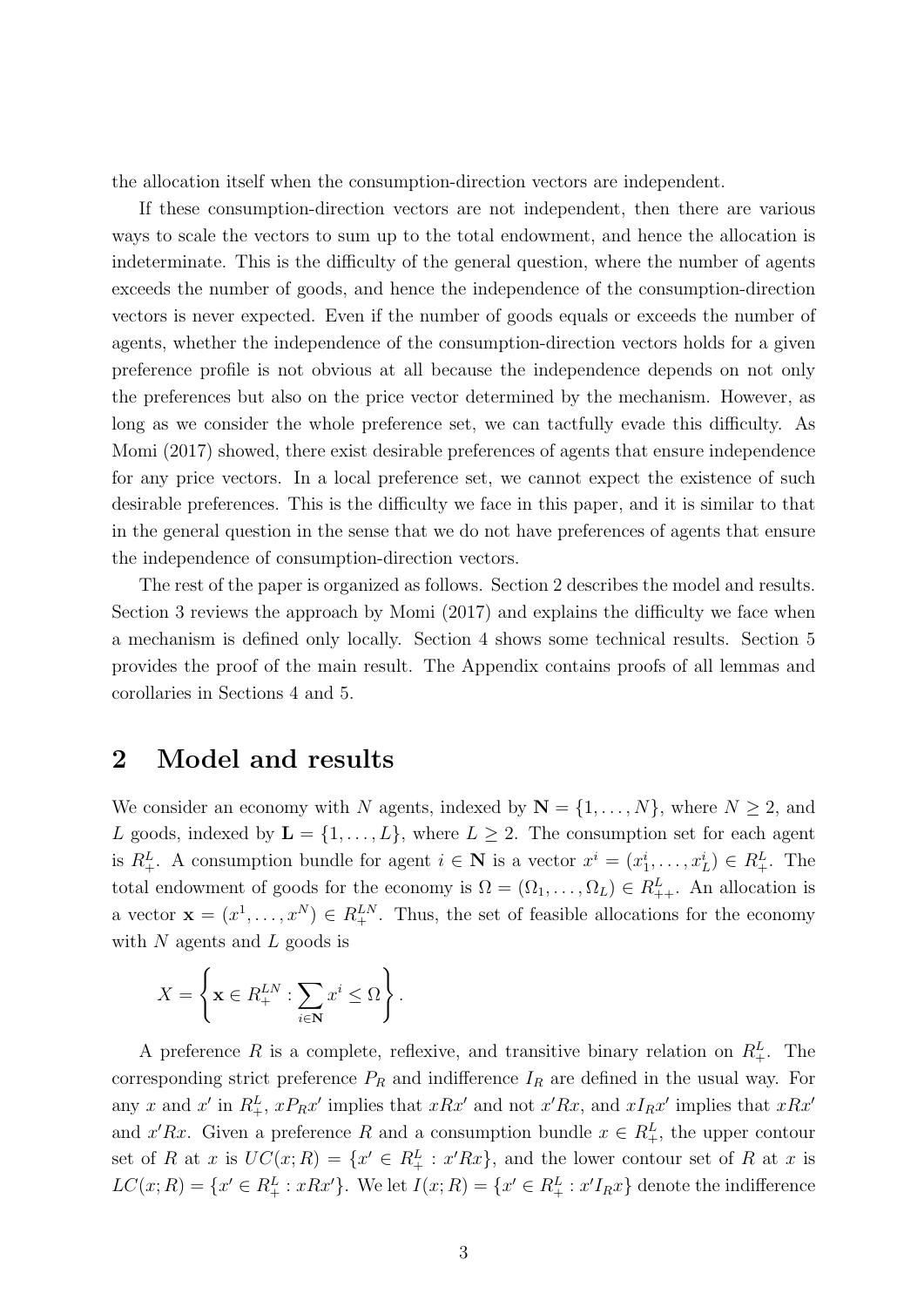the allocation itself when the consumption-direction vectors are independent.

If these consumption-direction vectors are not independent, then there are various ways to scale the vectors to sum up to the total endowment, and hence the allocation is indeterminate. This is the difficulty of the general question, where the number of agents exceeds the number of goods, and hence the independence of the consumption-direction vectors is never expected. Even if the number of goods equals or exceeds the number of agents, whether the independence of the consumption-direction vectors holds for a given preference profile is not obvious at all because the independence depends on not only the preferences but also on the price vector determined by the mechanism. However, as long as we consider the whole preference set, we can tactfully evade this difficulty. As Momi (2017) showed, there exist desirable preferences of agents that ensure independence for any price vectors. In a local preference set, we cannot expect the existence of such desirable preferences. This is the difficulty we face in this paper, and it is similar to that in the general question in the sense that we do not have preferences of agents that ensure the independence of consumption-direction vectors.

The rest of the paper is organized as follows. Section 2 describes the model and results. Section 3 reviews the approach by Momi (2017) and explains the difficulty we face when a mechanism is defined only locally. Section 4 shows some technical results. Section 5 provides the proof of the main result. The Appendix contains proofs of all lemmas and corollaries in Sections 4 and 5.

# **2 Model and results**

We consider an economy with *N* agents, indexed by  $N = \{1, \ldots, N\}$ , where  $N \geq 2$ , and *L* goods, indexed by  $\mathbf{L} = \{1, \ldots, L\}$ , where  $L \geq 2$ . The consumption set for each agent is  $R_+^L$ . A consumption bundle for agent  $i \in \mathbb{N}$  is a vector  $x^i = (x_1^i, \ldots, x_L^i) \in R_+^L$ . The total endowment of goods for the economy is  $\Omega = (\Omega_1, \ldots, \Omega_L) \in R_{++}^L$ . An allocation is a vector  $\mathbf{x} = (x^1, \dots, x^N) \in R_+^{LN}$ . Thus, the set of feasible allocations for the economy with *N* agents and *L* goods is

$$
X = \left\{ \mathbf{x} \in R_+^{LN} : \sum_{i \in \mathbf{N}} x^i \leq \Omega \right\}.
$$

A preference R is a complete, reflexive, and transitive binary relation on  $R_+^L$ . The corresponding strict preference  $P_R$  and indifference  $I_R$  are defined in the usual way. For any x and x' in  $R_+^L$ ,  $xP_Rx'$  implies that  $xRx'$  and not  $x'Rx$ , and  $xI_Rx'$  implies that  $xRx'$ and *x'Rx*. Given a preference *R* and a consumption bundle  $x \in R_+^L$ , the upper contour set of *R* at *x* is  $UC(x; R) = \{x' \in R_+^L : x'Rx\}$ , and the lower contour set of *R* at *x* is  $LC(x; R) = \{x' \in R_+^L : xRx'\}.$  We let  $I(x; R) = \{x' \in R_+^L : x'I_Rx\}$  denote the indifference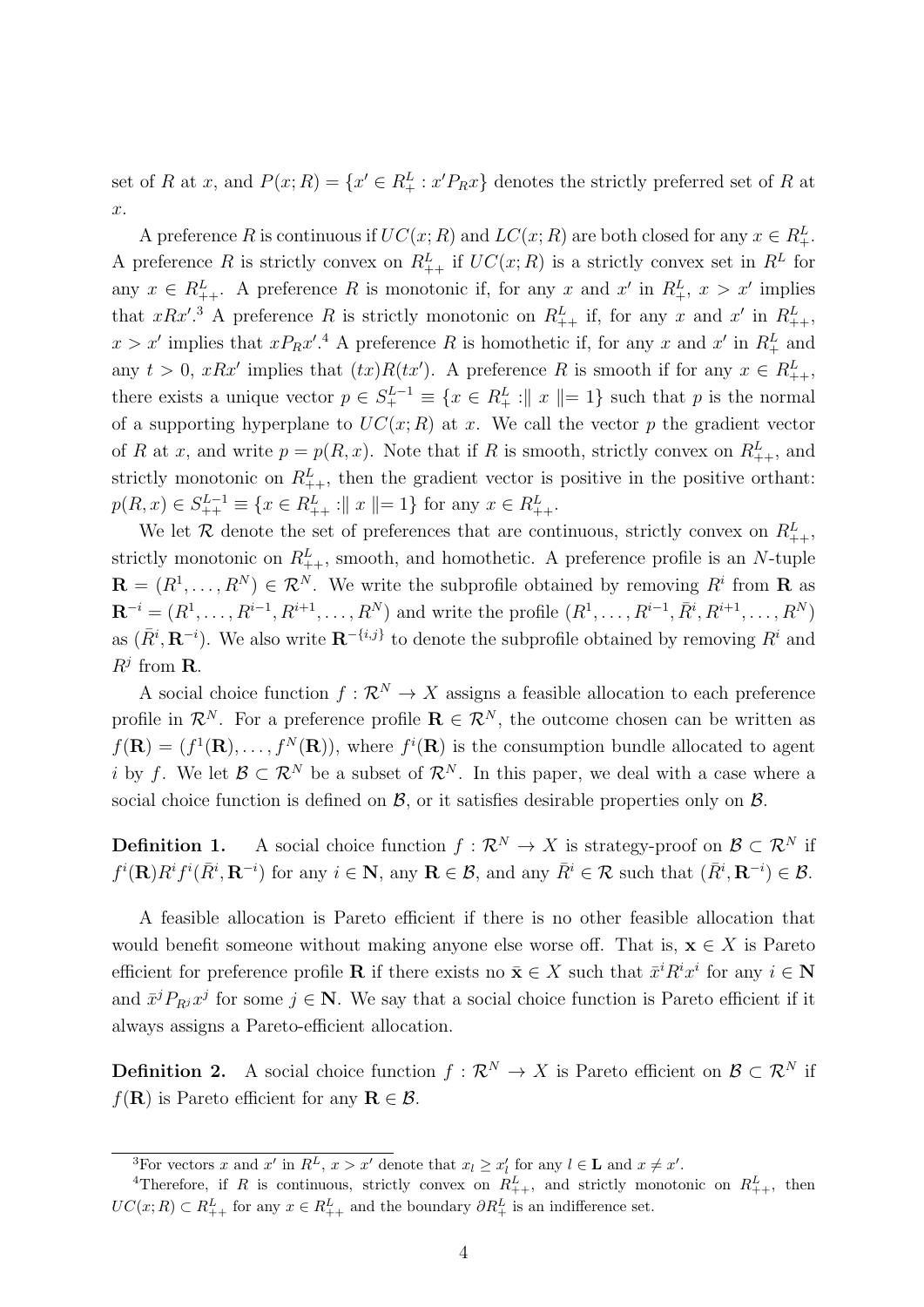set of *R* at *x*, and  $P(x; R) = \{x' \in R_+^L : x'P_Rx\}$  denotes the strictly preferred set of *R* at *x*.

A preference *R* is continuous if  $UC(x; R)$  and  $LC(x; R)$  are both closed for any  $x \in R^L_+$ . A preference *R* is strictly convex on  $R_{++}^L$  if  $UC(x; R)$  is a strictly convex set in  $R^L$  for any  $x \in R_{++}^L$ . A preference R is monotonic if, for any x and  $x'$  in  $R_{+}^L$ ,  $x > x'$  implies that *xRx'*.<sup>3</sup> A preference *R* is strictly monotonic on  $R_{++}^L$  if, for any *x* and *x'* in  $R_{++}^L$ ,  $x > x'$  implies that  $xP_Rx'$ <sup>1</sup>. A preference *R* is homothetic if, for any *x* and  $x'$  in  $R_+^L$  and any  $t > 0$ ,  $xRx'$  implies that  $(tx)R(tx')$ . A preference R is smooth if for any  $x \in R_{++}^L$ , there exists a unique vector  $p \in S_+^{L-1} \equiv \{x \in R_+^L : ||x|| = 1\}$  such that  $p$  is the normal of a supporting hyperplane to  $UC(x; R)$  at x. We call the vector p the gradient vector of *R* at *x*, and write  $p = p(R, x)$ . Note that if *R* is smooth, strictly convex on  $R_{++}^L$ , and strictly monotonic on  $R_{++}^L$ , then the gradient vector is positive in the positive orthant:  $p(R, x) \in S_{++}^{L-1} \equiv \{x \in R_{++}^L : ||x|| = 1\}$  for any  $x \in R_{++}^L$ .

We let  $\mathcal{R}$  denote the set of preferences that are continuous, strictly convex on  $R_{++}^L$ , strictly monotonic on  $R_{++}^L$ , smooth, and homothetic. A preference profile is an *N*-tuple  $\mathbf{R} = (R^1, \ldots, R^N) \in \mathcal{R}^N$ . We write the subprofile obtained by removing  $R^i$  from **R** as  $\mathbf{R}^{-i} = (R^1, \ldots, R^{i-1}, R^{i+1}, \ldots, R^N)$  and write the profile  $(R^1, \ldots, R^{i-1}, \bar{R}^i, R^{i+1}, \ldots, R^N)$ as  $(\bar{R}^i, \mathbf{R}^{-i})$ . We also write  $\mathbf{R}^{-\{i,j\}}$  to denote the subprofile obtained by removing  $R^i$  and  $R^j$  from **R**.

A social choice function  $f: \mathbb{R}^N \to X$  assigns a feasible allocation to each preference profile in  $\mathcal{R}^N$ . For a preference profile  $\mathbf{R} \in \mathcal{R}^N$ , the outcome chosen can be written as  $f(\mathbf{R}) = (f^1(\mathbf{R}), \dots, f^N(\mathbf{R}))$ , where  $f^i(\mathbf{R})$  is the consumption bundle allocated to agent *i* by *f*. We let  $\mathcal{B} \subset \mathcal{R}^N$  be a subset of  $\mathcal{R}^N$ . In this paper, we deal with a case where a social choice function is defined on  $\beta$ , or it satisfies desirable properties only on  $\beta$ .

**Definition 1.** A social choice function  $f : \mathbb{R}^N \to X$  is strategy-proof on  $\mathcal{B} \subset \mathbb{R}^N$  if  $f^i(\mathbf{R})R^if^i(\bar{R}^i,\mathbf{R}^{-i})$  for any  $i \in \mathbf{N}$ , any  $\mathbf{R} \in \mathcal{B}$ , and any  $\bar{R}^i \in \mathcal{R}$  such that  $(\bar{R}^i,\mathbf{R}^{-i}) \in \mathcal{B}$ .

A feasible allocation is Pareto efficient if there is no other feasible allocation that would benefit someone without making anyone else worse off. That is,  $\mathbf{x} \in X$  is Pareto efficient for preference profile **R** if there exists no  $\bar{\mathbf{x}} \in X$  such that  $\bar{x}^i R^i x^i$  for any  $i \in \mathbb{N}$ and  $\bar{x}^j P_{R^j} x^j$  for some  $j \in \mathbb{N}$ . We say that a social choice function is Pareto efficient if it always assigns a Pareto-efficient allocation.

**Definition 2.** A social choice function  $f: \mathbb{R}^N \to X$  is Pareto efficient on  $\mathcal{B} \subset \mathbb{R}^N$  if *f*(**R**) is Pareto efficient for any **R**  $\in \mathcal{B}$ .

<sup>&</sup>lt;sup>3</sup>For vectors x and x' in  $R^L$ ,  $x > x'$  denote that  $x_l \ge x'_l$  for any  $l \in \mathbf{L}$  and  $x \ne x'$ .

<sup>&</sup>lt;sup>4</sup>Therefore, if *R* is continuous, strictly convex on  $R_{++}^L$ , and strictly monotonic on  $R_{++}^L$ , then  $UC(x; R) \subset R_{++}^L$  for any  $x \in R_{++}^L$  and the boundary  $\partial R_{+}^L$  is an indifference set.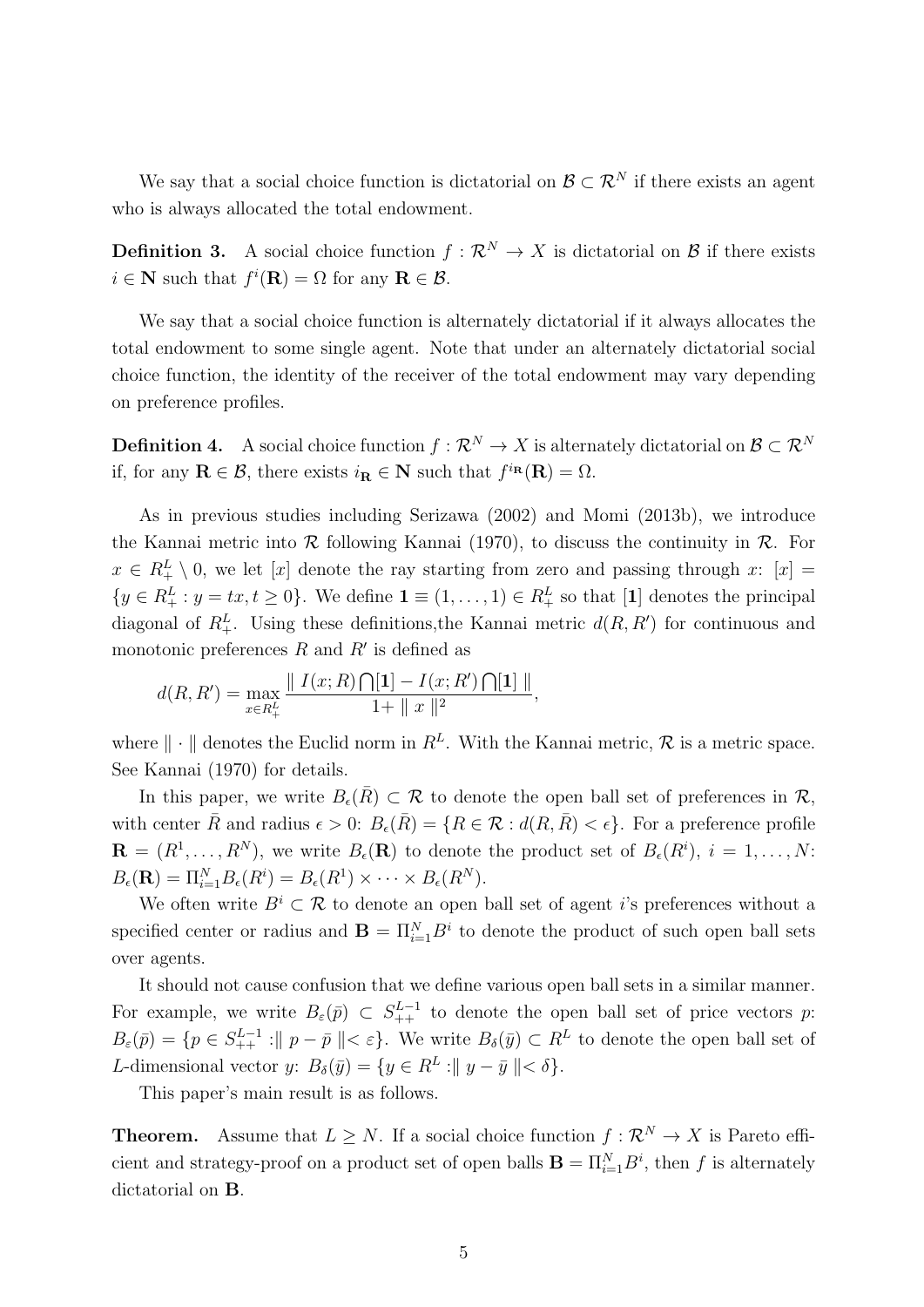We say that a social choice function is dictatorial on  $\mathcal{B} \subset \mathcal{R}^N$  if there exists an agent who is always allocated the total endowment.

**Definition 3.** A social choice function  $f: \mathbb{R}^N \to X$  is dictatorial on  $\mathcal{B}$  if there exists  $i \in \mathbb{N}$  such that  $f^i(\mathbf{R}) = \Omega$  for any  $\mathbf{R} \in \mathcal{B}$ .

We say that a social choice function is alternately dictatorial if it always allocates the total endowment to some single agent. Note that under an alternately dictatorial social choice function, the identity of the receiver of the total endowment may vary depending on preference profiles.

**Definition 4.** A social choice function  $f : \mathbb{R}^N \to X$  is alternately dictatorial on  $\mathcal{B} \subset \mathbb{R}^N$ if, for any  $\mathbf{R} \in \mathcal{B}$ , there exists  $i_{\mathbf{R}} \in \mathbf{N}$  such that  $f^{i_{\mathbf{R}}}(\mathbf{R}) = \Omega$ .

As in previous studies including Serizawa (2002) and Momi (2013b), we introduce the Kannai metric into *R* following Kannai (1970), to discuss the continuity in *R*. For  $x \in R_+^L \setminus 0$ , we let [*x*] denote the ray starting from zero and passing through *x*: [*x*] =  $\{y \in R_+^L : y = tx, t \ge 0\}$ . We define  $\mathbf{1} \equiv (1, \ldots, 1) \in R_+^L$  so that [1] denotes the principal diagonal of  $R_+^L$ . Using these definitions, the Kannai metric  $d(R, R')$  for continuous and monotonic preferences *R* and *R′* is defined as

$$
d(R,R')=\max_{x\in R^L_+}\frac{\parallel I(x;R)\bigcap[1]-I(x;R')\bigcap[1]\parallel}{1+\parallel x\parallel^2},
$$

where  $\|\cdot\|$  denotes the Euclid norm in  $R^L$ . With the Kannai metric,  $\mathcal R$  is a metric space. See Kannai (1970) for details.

In this paper, we write  $B_{\epsilon}(\overline{R}) \subset \mathcal{R}$  to denote the open ball set of preferences in  $\mathcal{R}$ , with center  $\bar{R}$  and radius  $\epsilon > 0$ :  $B_{\epsilon}(\bar{R}) = \{R \in \mathcal{R} : d(R, \bar{R}) < \epsilon\}$ . For a preference profile  $\mathbf{R} = (R^1, \ldots, R^N)$ , we write  $B_{\epsilon}(\mathbf{R})$  to denote the product set of  $B_{\epsilon}(R^i)$ ,  $i = 1, \ldots, N$ :  $B_{\epsilon}(\mathbf{R}) = \Pi_{i=1}^{N} B_{\epsilon}(R^{i}) = B_{\epsilon}(R^{1}) \times \cdots \times B_{\epsilon}(R^{N}).$ 

We often write  $B^i \subset \mathcal{R}$  to denote an open ball set of agent *i*'s preferences without a specified center or radius and  $\mathbf{B} = \prod_{i=1}^{N} B^i$  to denote the product of such open ball sets over agents.

It should not cause confusion that we define various open ball sets in a similar manner. For example, we write  $B_\varepsilon(\bar{p}) \subset S_{++}^{L-1}$  to denote the open ball set of price vectors *p*:  $B_{\varepsilon}(\bar{p}) = \{p \in S_{++}^{L-1} : ||p - \bar{p}|| < \varepsilon\}.$  We write  $B_{\delta}(\bar{y}) \subset R^L$  to denote the open ball set of *L*-dimensional vector *y*:  $B_{\delta}(\bar{y}) = \{y \in R^L : ||y - \bar{y}|| < \delta\}.$ 

This paper's main result is as follows.

**Theorem.** Assume that  $L \geq N$ . If a social choice function  $f : \mathbb{R}^N \to X$  is Pareto efficient and strategy-proof on a product set of open balls  $\mathbf{B} = \prod_{i=1}^{N} B^{i}$ , then *f* is alternately dictatorial on **B**.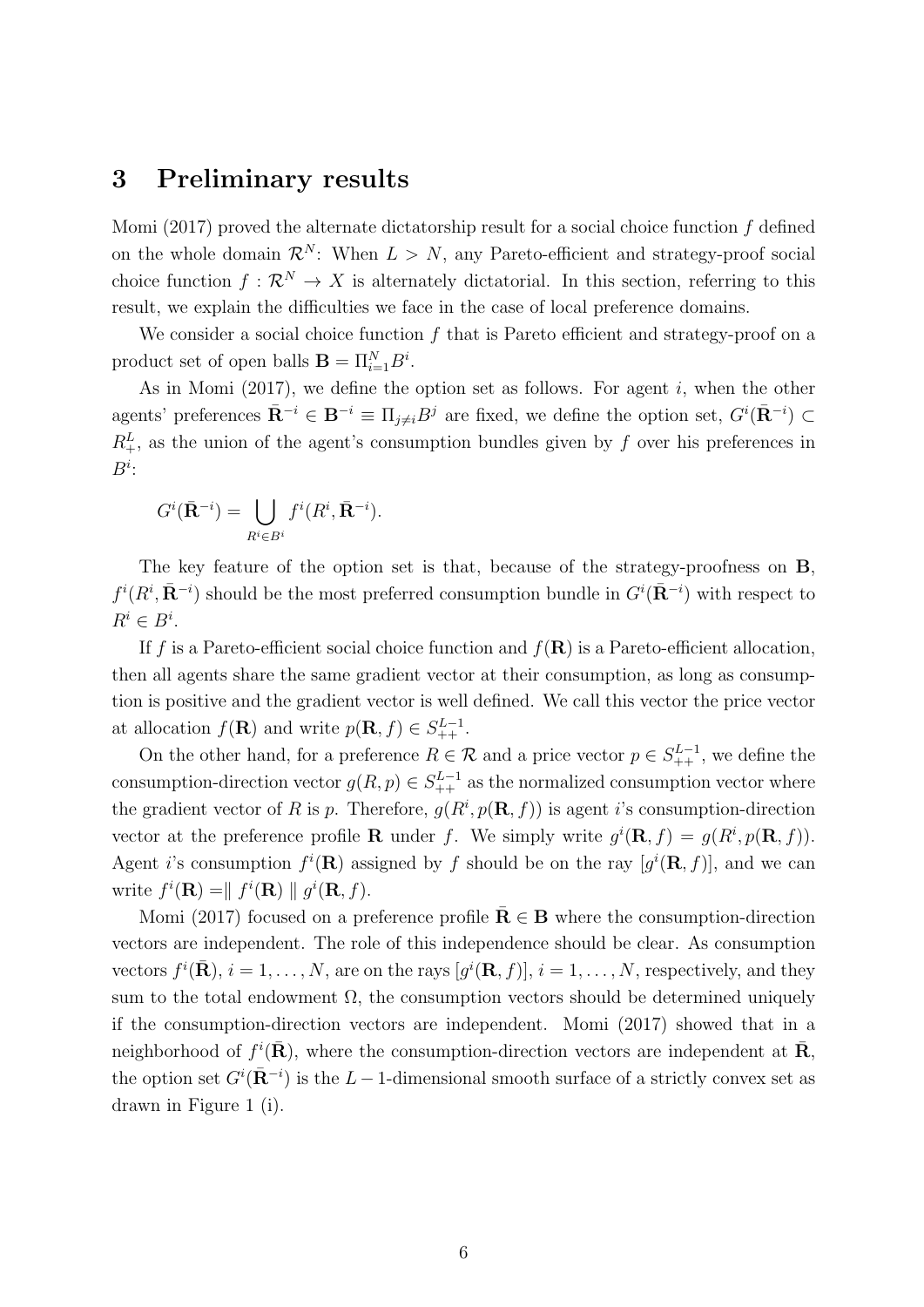#### **3 Preliminary results**

Momi (2017) proved the alternate dictatorship result for a social choice function *f* defined on the whole domain  $\mathcal{R}^N$ : When  $L > N$ , any Pareto-efficient and strategy-proof social choice function  $f: \mathcal{R}^N \to X$  is alternately dictatorial. In this section, referring to this result, we explain the difficulties we face in the case of local preference domains.

We consider a social choice function f that is Pareto efficient and strategy-proof on a product set of open balls  $\mathbf{B} = \prod_{i=1}^{N} B^i$ .

As in Momi (2017), we define the option set as follows. For agent *i*, when the other agents' preferences  $\bar{\mathbf{R}}^{-i} \in \mathbf{B}^{-i} \equiv \Pi_{j \neq i} B^j$  are fixed, we define the option set,  $G^i(\bar{\mathbf{R}}^{-i}) \subset$  $R_+^L$ , as the union of the agent's consumption bundles given by *f* over his preferences in *Bi* :

$$
G^i(\bar{\mathbf{R}}^{-i}) = \bigcup_{R^i \in B^i} f^i(R^i, \bar{\mathbf{R}}^{-i}).
$$

The key feature of the option set is that, because of the strategy-proofness on **B**,  $f^i(R^i, \bar{R}^{-i})$  should be the most preferred consumption bundle in  $G^i(\bar{R}^{-i})$  with respect to  $R^i \in B^i$ .

If *f* is a Pareto-efficient social choice function and *f*(**R**) is a Pareto-efficient allocation, then all agents share the same gradient vector at their consumption, as long as consumption is positive and the gradient vector is well defined. We call this vector the price vector at allocation  $f(\mathbf{R})$  and write  $p(\mathbf{R}, f) \in S_{++}^{L-1}$ .

On the other hand, for a preference  $R \in \mathcal{R}$  and a price vector  $p \in S_{++}^{L-1}$ , we define the consumption-direction vector  $g(R, p) \in S_{++}^{L-1}$  as the normalized consumption vector where the gradient vector of *R* is *p*. Therefore,  $g(R^i, p(\mathbf{R}, f))$  is agent *i*'s consumption-direction vector at the preference profile **R** under *f*. We simply write  $g^{i}(\mathbf{R}, f) = g(R^{i}, p(\mathbf{R}, f)).$ Agent *i*'s consumption  $f^i(\mathbf{R})$  assigned by f should be on the ray  $[g^i(\mathbf{R}, f)]$ , and we can write  $f^i(\mathbf{R}) = || f^i(\mathbf{R}) || g^i(\mathbf{R}, f)$ .

Momi (2017) focused on a preference profile  $\mathbf{\overline{R}} \in \mathbf{B}$  where the consumption-direction vectors are independent. The role of this independence should be clear. As consumption vectors  $f^i(\bar{\mathbf{R}}), i = 1, \ldots, N$ , are on the rays  $[g^i(\mathbf{R}, f)], i = 1, \ldots, N$ , respectively, and they sum to the total endowment  $\Omega$ , the consumption vectors should be determined uniquely if the consumption-direction vectors are independent. Momi (2017) showed that in a neighborhood of  $f^i(\mathbf{\bar{R}})$ , where the consumption-direction vectors are independent at  $\mathbf{\bar{R}}$ , the option set  $G^{i}(\bar{\mathbf{R}}^{-i})$  is the  $L-1$ -dimensional smooth surface of a strictly convex set as drawn in Figure 1 (i).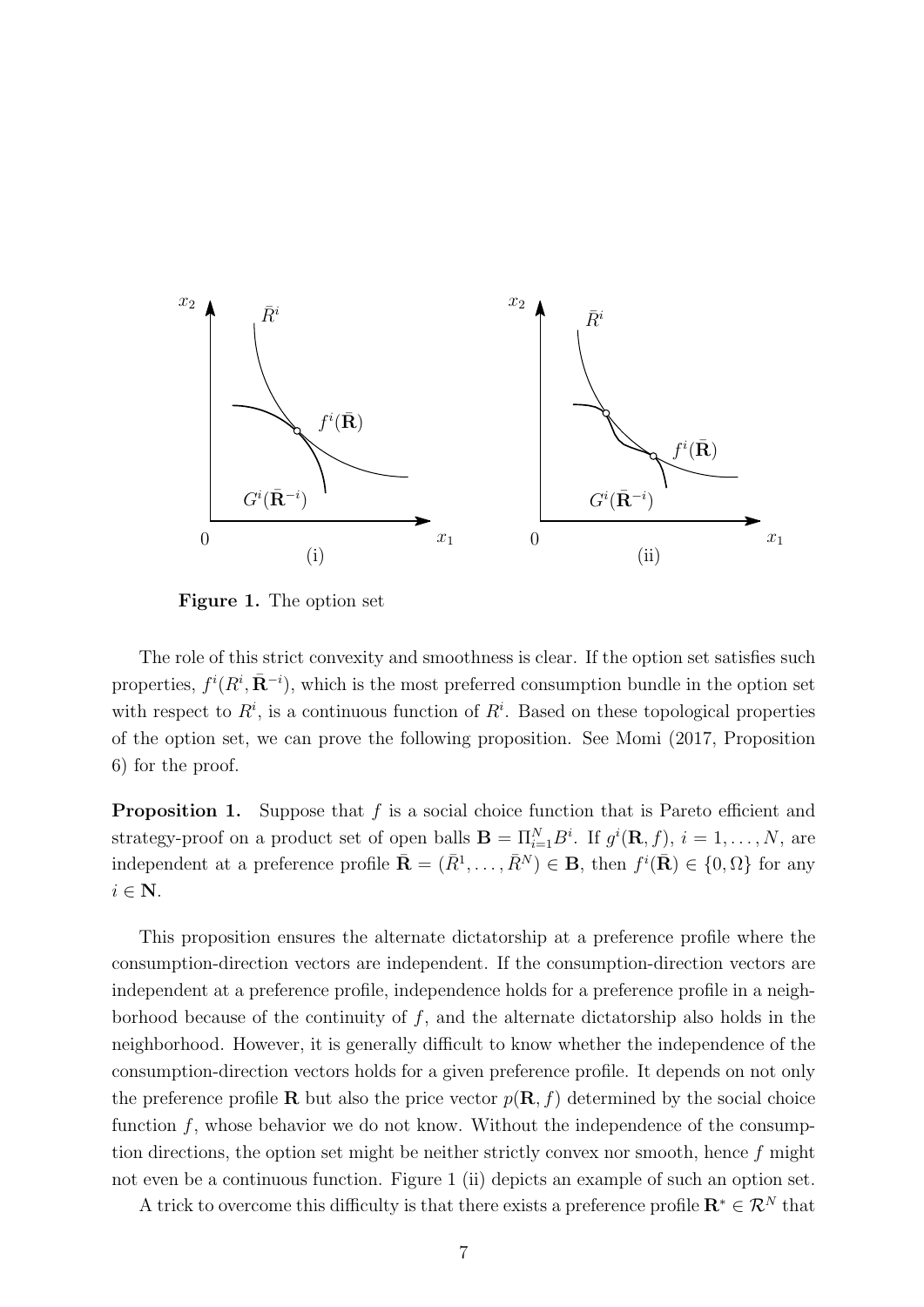

**Figure 1.** The option set

The role of this strict convexity and smoothness is clear. If the option set satisfies such properties,  $f^{i}(R^{i}, \bar{R}^{-i})$ , which is the most preferred consumption bundle in the option set with respect to  $R^i$ , is a continuous function of  $R^i$ . Based on these topological properties of the option set, we can prove the following proposition. See Momi (2017, Proposition 6) for the proof.

**Proposition 1.** Suppose that *f* is a social choice function that is Pareto efficient and strategy-proof on a product set of open balls  $\mathbf{B} = \Pi_{i=1}^N B^i$ . If  $g^i(\mathbf{R}, f)$ ,  $i = 1, \ldots, N$ , are independent at a preference profile  $\bar{\mathbf{R}} = (\bar{R}^1, \ldots, \bar{R}^N) \in \mathbf{B}$ , then  $f^i(\bar{\mathbf{R}}) \in \{0, \Omega\}$  for any *i ∈* **N**.

This proposition ensures the alternate dictatorship at a preference profile where the consumption-direction vectors are independent. If the consumption-direction vectors are independent at a preference profile, independence holds for a preference profile in a neighborhood because of the continuity of *f*, and the alternate dictatorship also holds in the neighborhood. However, it is generally difficult to know whether the independence of the consumption-direction vectors holds for a given preference profile. It depends on not only the preference profile **R** but also the price vector  $p(\mathbf{R}, f)$  determined by the social choice function f, whose behavior we do not know. Without the independence of the consumption directions, the option set might be neither strictly convex nor smooth, hence *f* might not even be a continuous function. Figure 1 (ii) depicts an example of such an option set.

A trick to overcome this difficulty is that there exists a preference profile  $\mathbf{R}^* \in \mathcal{R}^N$  that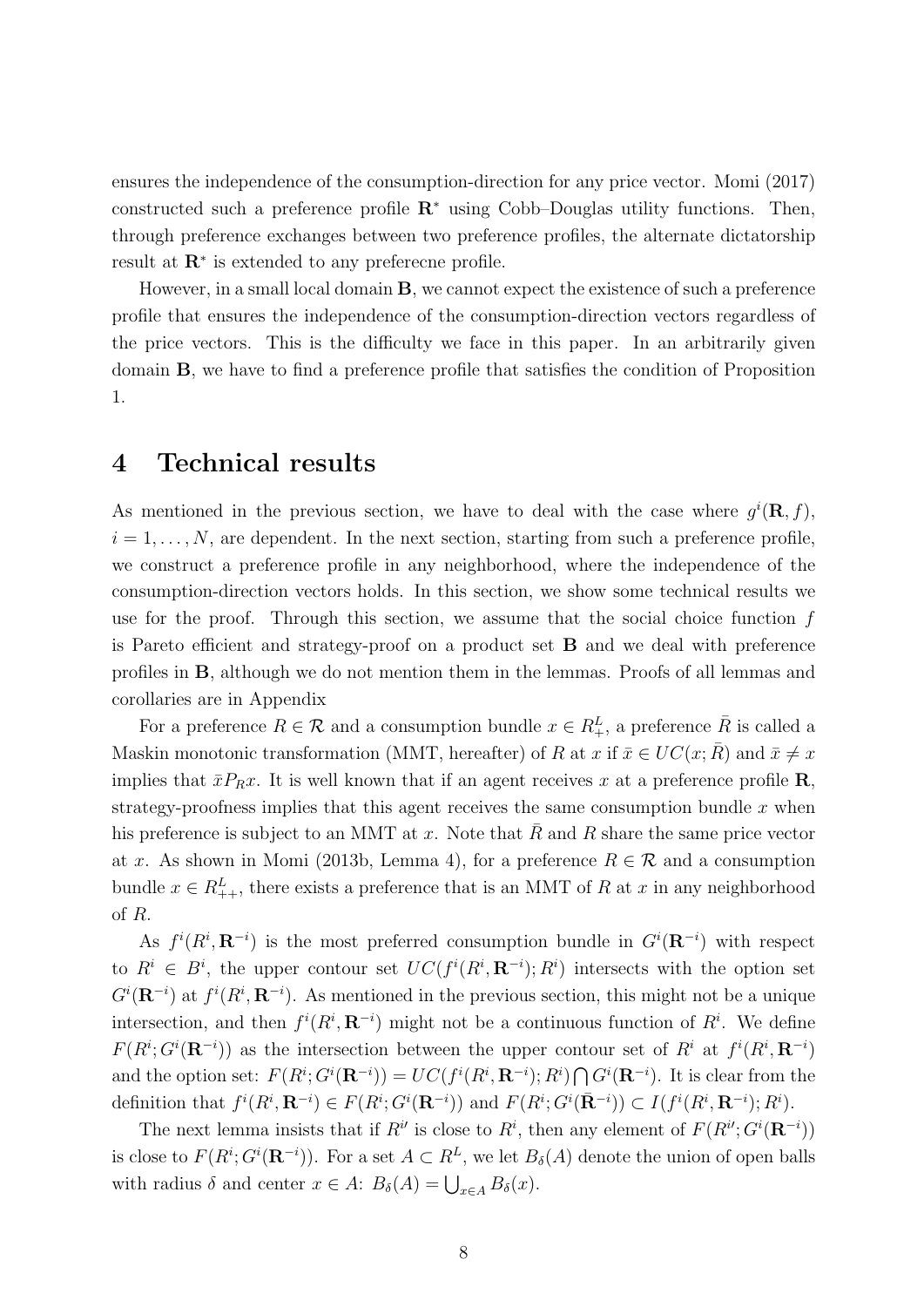ensures the independence of the consumption-direction for any price vector. Momi (2017) constructed such a preference profile **R***<sup>∗</sup>* using Cobb–Douglas utility functions. Then, through preference exchanges between two preference profiles, the alternate dictatorship result at **R***<sup>∗</sup>* is extended to any preferecne profile.

However, in a small local domain **B**, we cannot expect the existence of such a preference profile that ensures the independence of the consumption-direction vectors regardless of the price vectors. This is the difficulty we face in this paper. In an arbitrarily given domain **B**, we have to find a preference profile that satisfies the condition of Proposition 1.

### **4 Technical results**

As mentioned in the previous section, we have to deal with the case where  $g^{i}(\mathbf{R},f)$ ,  $i = 1, \ldots, N$ , are dependent. In the next section, starting from such a preference profile, we construct a preference profile in any neighborhood, where the independence of the consumption-direction vectors holds. In this section, we show some technical results we use for the proof. Through this section, we assume that the social choice function *f* is Pareto efficient and strategy-proof on a product set **B** and we deal with preference profiles in **B**, although we do not mention them in the lemmas. Proofs of all lemmas and corollaries are in Appendix

For a preference  $R \in \mathcal{R}$  and a consumption bundle  $x \in R_+^L$ , a preference  $\overline{R}$  is called a Maskin monotonic transformation (MMT, hereafter) of *R* at *x* if  $\bar{x} \in UC(x; \bar{R})$  and  $\bar{x} \neq x$ implies that  $\bar{x}P_Rx$ . It is well known that if an agent receives x at a preference profile **R**, strategy-proofness implies that this agent receives the same consumption bundle *x* when his preference is subject to an MMT at x. Note that R and R share the same price vector at *x*. As shown in Momi (2013b, Lemma 4), for a preference  $R \in \mathcal{R}$  and a consumption bundle  $x \in R^L_{++}$ , there exists a preference that is an MMT of R at x in any neighborhood of *R*.

As  $f^{i}(R^{i}, \mathbf{R}^{-i})$  is the most preferred consumption bundle in  $G^{i}(\mathbf{R}^{-i})$  with respect to  $R^i \in B^i$ , the upper contour set  $UC(f^i(R^i, \mathbf{R}^{-i}); R^i)$  intersects with the option set  $G^{i}(\mathbf{R}^{-i})$  at  $f^{i}(R^{i}, \mathbf{R}^{-i})$ . As mentioned in the previous section, this might not be a unique intersection, and then  $f^{i}(R^{i}, \mathbf{R}^{-i})$  might not be a continuous function of  $R^{i}$ . We define  $F(R^i; G^i(\mathbf{R}^{-i}))$  as the intersection between the upper contour set of  $R^i$  at  $f^i(R^i, \mathbf{R}^{-i})$ and the option set:  $F(R^i; G^i(\mathbf{R}^{-i})) = UC(f^i(R^i, \mathbf{R}^{-i}); R^i) \bigcap G^i(\mathbf{R}^{-i}).$  It is clear from the definition that  $f^i(R^i, \mathbf{R}^{-i}) \in F(R^i; G^i(\mathbf{R}^{-i}))$  and  $F(R^i; G^i(\bar{\mathbf{R}}^{-i})) \subset I(f^i(R^i, \mathbf{R}^{-i}); R^i)$ .

The next lemma insists that if  $R^{i'}$  is close to  $R^i$ , then any element of  $F(R^{i'}; G^{i}(\mathbf{R}^{-i}))$ is close to  $F(R^i; G^i(\mathbf{R}^{-i}))$ . For a set  $A \subset R^L$ , we let  $B_\delta(A)$  denote the union of open balls with radius  $\delta$  and center  $x \in A$ :  $B_{\delta}(A) = \bigcup_{x \in A} B_{\delta}(x)$ .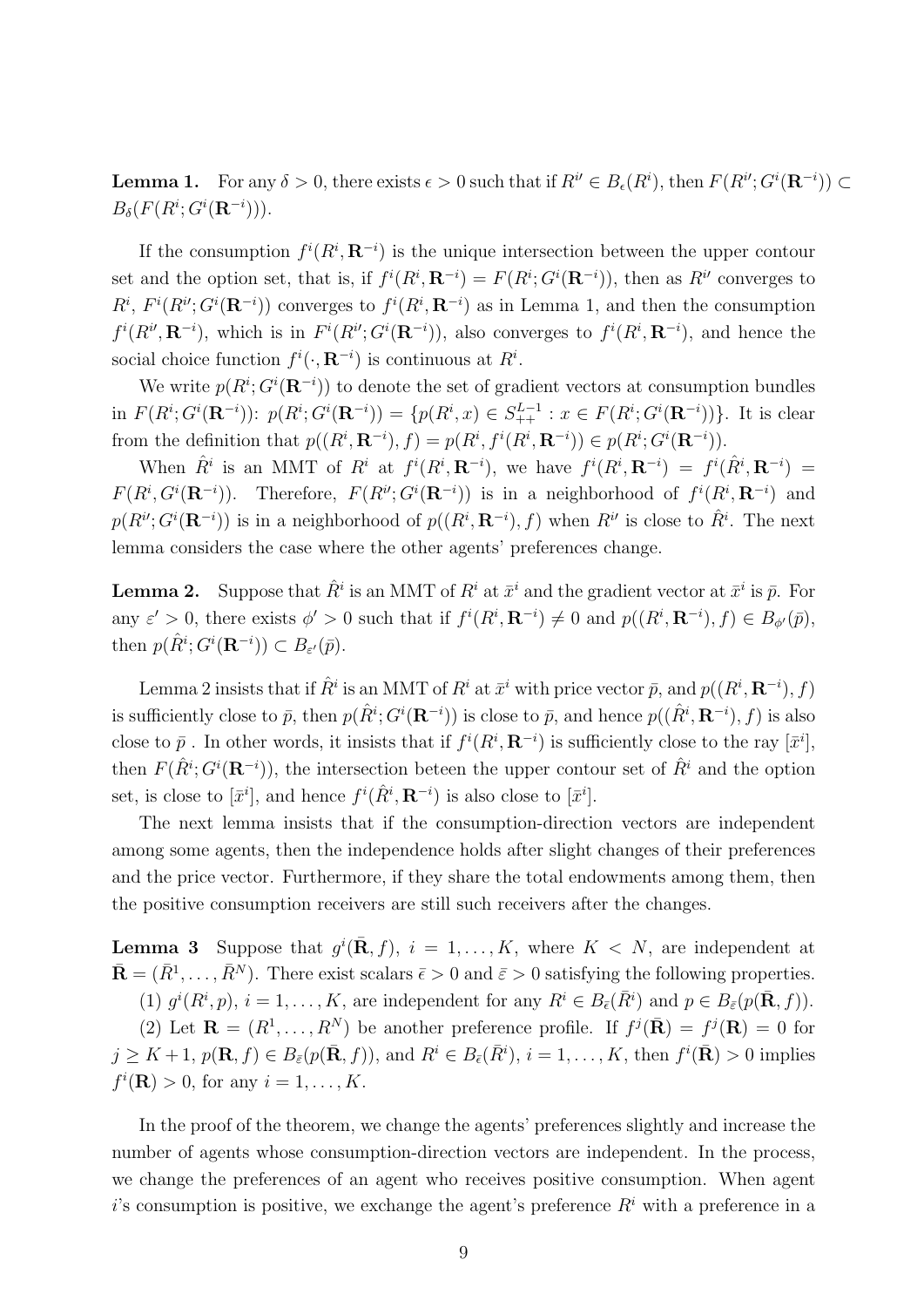**Lemma 1.** For any  $\delta > 0$ , there exists  $\epsilon > 0$  such that if  $R^i \in B_{\epsilon}(R^i)$ , then  $F(R^{i'}; G^{i}(\mathbf{R}^{-i})) \subset$  $B_{\delta}(F(R^i; G^i(\mathbf{R}^{-i}))).$ 

If the consumption  $f^{i}(R^{i}, \mathbf{R}^{-i})$  is the unique intersection between the upper contour set and the option set, that is, if  $f^{i}(R^{i}, \mathbf{R}^{-i}) = F(R^{i}; G^{i}(\mathbf{R}^{-i}))$ , then as  $R^{i}$  converges to  $R^i$ ,  $F^i(R^{i}, G^i(\mathbf{R}^{-i}))$  converges to  $f^i(R^i, \mathbf{R}^{-i})$  as in Lemma 1, and then the consumption  $f^i(R^{i}, \mathbf{R}^{-i})$ , which is in  $F^i(R^{i}, G^i(\mathbf{R}^{-i}))$ , also converges to  $f^i(R^i, \mathbf{R}^{-i})$ , and hence the social choice function  $f^i(\cdot, \mathbf{R}^{-i})$  is continuous at  $R^i$ .

We write  $p(R^i; G^i(\mathbf{R}^{-i}))$  to denote the set of gradient vectors at consumption bundles in  $F(R^i; G^i(\mathbf{R}^{-i}))$ :  $p(R^i; G^i(\mathbf{R}^{-i})) = \{p(R^i, x) \in S_{++}^{L-1} : x \in F(R^i; G^i(\mathbf{R}^{-i}))\}$ . It is clear from the definition that  $p((R^i, \mathbf{R}^{-i}), f) = p(R^i, f^i(R^i, \mathbf{R}^{-i})) \in p(R^i; G^i(\mathbf{R}^{-i})).$ 

When  $\hat{R}^i$  is an MMT of  $R^i$  at  $f^i(R^i, \mathbf{R}^{-i})$ , we have  $f^i(R^i, \mathbf{R}^{-i}) = f^i(\hat{R}^i, \mathbf{R}^{-i}) =$  $F(R^i, G^i(\mathbf{R}^{-i}))$ . Therefore,  $F(R^{i}, G^i(\mathbf{R}^{-i}))$  is in a neighborhood of  $f^i(R^i, \mathbf{R}^{-i})$  and  $p(R^{i}, G^{i}(\mathbf{R}^{-i}))$  is in a neighborhood of  $p((R^{i}, \mathbf{R}^{-i}), f)$  when  $R^{i'}$  is close to  $\hat{R}^{i}$ . The next lemma considers the case where the other agents' preferences change.

**Lemma 2.** Suppose that  $\hat{R}^i$  is an MMT of  $R^i$  at  $\bar{x}^i$  and the gradient vector at  $\bar{x}^i$  is  $\bar{p}$ . For any  $\varepsilon' > 0$ , there exists  $\phi' > 0$  such that if  $f^i(R^i, \mathbf{R}^{-i}) \neq 0$  and  $p((R^i, \mathbf{R}^{-i}), f) \in B_{\phi'}(\bar{p}),$ then  $p(\hat{R}^i; G^i(\mathbf{R}^{-i})) \subset B_{\varepsilon'}(\bar{p}).$ 

Lemma 2 insists that if  $\hat{R}^i$  is an MMT of  $R^i$  at  $\bar{x}^i$  with price vector  $\bar{p}$ , and  $p((R^i, \mathbf{R}^{-i}), f)$ is sufficiently close to  $\bar{p}$ , then  $p(\hat{R}^i; G^i(\mathbf{R}^{-i}))$  is close to  $\bar{p}$ , and hence  $p((\hat{R}^i, \mathbf{R}^{-i}), f)$  is also close to  $\bar{p}$ . In other words, it insists that if  $f^{i}(R^{i}, \mathbf{R}^{-i})$  is sufficiently close to the ray  $[\bar{x}^{i}]$ , then  $F(\hat{R}$ <sup>*i*</sup>;  $G$ <sup>*i*</sup>( $\mathbb{R}$ <sup>*-i*</sup>)), the intersection beteen the upper contour set of  $\hat{R}$ <sup>*i*</sup> and the option set, is close to  $[\bar{x}^i]$ , and hence  $f^i(\hat{R}^i, \mathbf{R}^{-i})$  is also close to  $[\bar{x}^i]$ .

The next lemma insists that if the consumption-direction vectors are independent among some agents, then the independence holds after slight changes of their preferences and the price vector. Furthermore, if they share the total endowments among them, then the positive consumption receivers are still such receivers after the changes.

**Lemma 3** Suppose that  $g^{i}$ ( $\bar{\mathbf{R}}$ ,  $f$ ),  $i = 1, ..., K$ , where  $K < N$ , are independent at  $\bar{\mathbf{R}} = (\bar{R}^1, \dots, \bar{R}^N)$ . There exist scalars  $\bar{\epsilon} > 0$  and  $\bar{\epsilon} > 0$  satisfying the following properties.

(1)  $g^i(R^i, p)$ ,  $i = 1, ..., K$ , are independent for any  $R^i \in B_{\bar{\epsilon}}(\bar{R}^i)$  and  $p \in B_{\bar{\epsilon}}(p(\bar{\mathbf{R}}, f))$ .

(2) Let  $\mathbf{R} = (R^1, \ldots, R^N)$  be another preference profile. If  $f^j(\mathbf{R}) = f^j(\mathbf{R}) = 0$  for  $j \geq K+1$ ,  $p(\mathbf{R}, f) \in B_{\bar{\varepsilon}}(p(\bar{\mathbf{R}}, f))$ , and  $R^i \in B_{\bar{\varepsilon}}(\bar{R}^i)$ ,  $i = 1, \ldots, K$ , then  $f^i(\bar{\mathbf{R}}) > 0$  implies  $f^{i}(\mathbf{R}) > 0$ , for any  $i = 1, ..., K$ .

In the proof of the theorem, we change the agents' preferences slightly and increase the number of agents whose consumption-direction vectors are independent. In the process, we change the preferences of an agent who receives positive consumption. When agent *i*'s consumption is positive, we exchange the agent's preference  $R<sup>i</sup>$  with a preference in a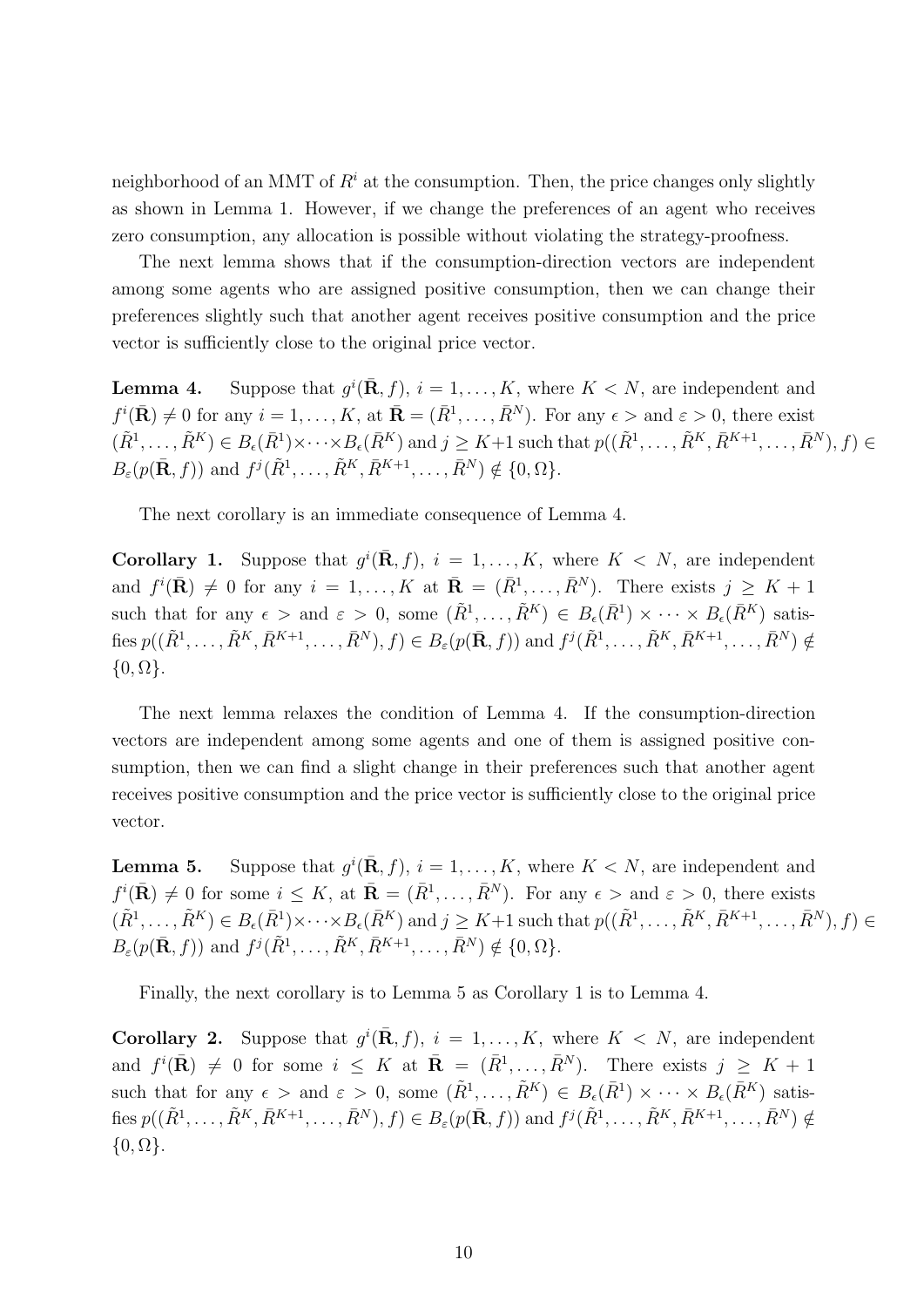neighborhood of an MMT of  $R^i$  at the consumption. Then, the price changes only slightly as shown in Lemma 1. However, if we change the preferences of an agent who receives zero consumption, any allocation is possible without violating the strategy-proofness.

The next lemma shows that if the consumption-direction vectors are independent among some agents who are assigned positive consumption, then we can change their preferences slightly such that another agent receives positive consumption and the price vector is sufficiently close to the original price vector.

**Lemma 4.** Suppose that  $g^{i}(\bar{\mathbf{R}}, f)$ ,  $i = 1, ..., K$ , where  $K < N$ , are independent and  $f^{i}(\bar{\mathbf{R}}) \neq 0$  for any  $i = 1, ..., K$ , at  $\bar{\mathbf{R}} = (\bar{R}^{1}, ..., \bar{R}^{N})$ . For any  $\epsilon >$  and  $\varepsilon > 0$ , there exist  $(\tilde{R}^1, \ldots, \tilde{R}^K) \in B_{\epsilon}(\bar{R}^1) \times \cdots \times B_{\epsilon}(\bar{R}^K)$  and  $j \geq K+1$  such that  $p((\tilde{R}^1, \ldots, \tilde{R}^K, \bar{R}^{K+1}, \ldots, \bar{R}^N), f) \in$  $B_{\varepsilon}(p(\bar{\mathbf{R}},f))$  and  $f^{j}(\tilde{R}^{1}, \ldots, \tilde{R}^{K}, \bar{R}^{K+1}, \ldots, \bar{R}^{N}) \notin \{0, \Omega\}.$ 

The next corollary is an immediate consequence of Lemma 4.

**Corollary 1.** Suppose that  $g^{i}$ ( $\bar{\mathbf{R}}$ ,  $f$ ),  $i = 1, ..., K$ , where  $K < N$ , are independent and  $f^{i}(\bar{\mathbf{R}}) \neq 0$  for any  $i = 1, ..., K$  at  $\bar{\mathbf{R}} = (\bar{R}^{1}, ..., \bar{R}^{N})$ . There exists  $j \geq K + 1$ such that for any  $\epsilon >$  and  $\varepsilon > 0$ , some  $(\tilde{R}^1, \ldots, \tilde{R}^K) \in B_{\epsilon}(\bar{R}^1) \times \cdots \times B_{\epsilon}(\bar{R}^K)$  satisfies  $p((\tilde{R}^1, \ldots, \tilde{R}^K, \bar{R}^{K+1}, \ldots, \bar{R}^N), f) \in B_{\varepsilon}(p(\bar{\mathbf{R}}, f))$  and  $f^j(\tilde{R}^1, \ldots, \tilde{R}^K, \bar{R}^{K+1}, \ldots, \bar{R}^N) \notin$ *{*0*,* Ω*}*.

The next lemma relaxes the condition of Lemma 4. If the consumption-direction vectors are independent among some agents and one of them is assigned positive consumption, then we can find a slight change in their preferences such that another agent receives positive consumption and the price vector is sufficiently close to the original price vector.

**Lemma 5.** Suppose that  $g^{i}$ ( $\bar{\mathbf{R}}$ ,  $f$ ),  $i = 1, ..., K$ , where  $K < N$ , are independent and  $f^{i}(\bar{\mathbf{R}}) \neq 0$  for some  $i \leq K$ , at  $\bar{\mathbf{R}} = (\bar{R}^{1}, \ldots, \bar{R}^{N})$ . For any  $\epsilon >$  and  $\varepsilon > 0$ , there exists  $(\tilde{R}^1, \ldots, \tilde{R}^K) \in B_{\epsilon}(\bar{R}^1) \times \cdots \times B_{\epsilon}(\bar{R}^K)$  and  $j \geq K+1$  such that  $p((\tilde{R}^1, \ldots, \tilde{R}^K, \bar{R}^{K+1}, \ldots, \bar{R}^N), f) \in$  $B_{\varepsilon}(p(\bar{\mathbf{R}},f))$  and  $f^{j}(\tilde{R}^{1}, \ldots, \tilde{R}^{K}, \bar{R}^{K+1}, \ldots, \bar{R}^{N}) \notin \{0, \Omega\}.$ 

Finally, the next corollary is to Lemma 5 as Corollary 1 is to Lemma 4.

**Corollary 2.** Suppose that  $g^{i}$ ( $\bar{\mathbf{R}}$ ,  $f$ ),  $i = 1, ..., K$ , where  $K < N$ , are independent and  $f^{i}(\bar{\mathbf{R}}) \neq 0$  for some  $i \leq K$  at  $\bar{\mathbf{R}} = (\bar{R}^{1}, \ldots, \bar{R}^{N})$ . There exists  $j \geq K + 1$ such that for any  $\epsilon >$  and  $\varepsilon > 0$ , some  $(\tilde{R}^1, \ldots, \tilde{R}^K) \in B_{\epsilon}(\bar{R}^1) \times \cdots \times B_{\epsilon}(\bar{R}^K)$  satisfies  $p((\tilde{R}^1, \ldots, \tilde{R}^K, \bar{R}^{K+1}, \ldots, \bar{R}^N), f) \in B_{\varepsilon}(p(\bar{\mathbf{R}}, f))$  and  $f^j(\tilde{R}^1, \ldots, \tilde{R}^K, \bar{R}^{K+1}, \ldots, \bar{R}^N) \notin$ *{*0*,* Ω*}*.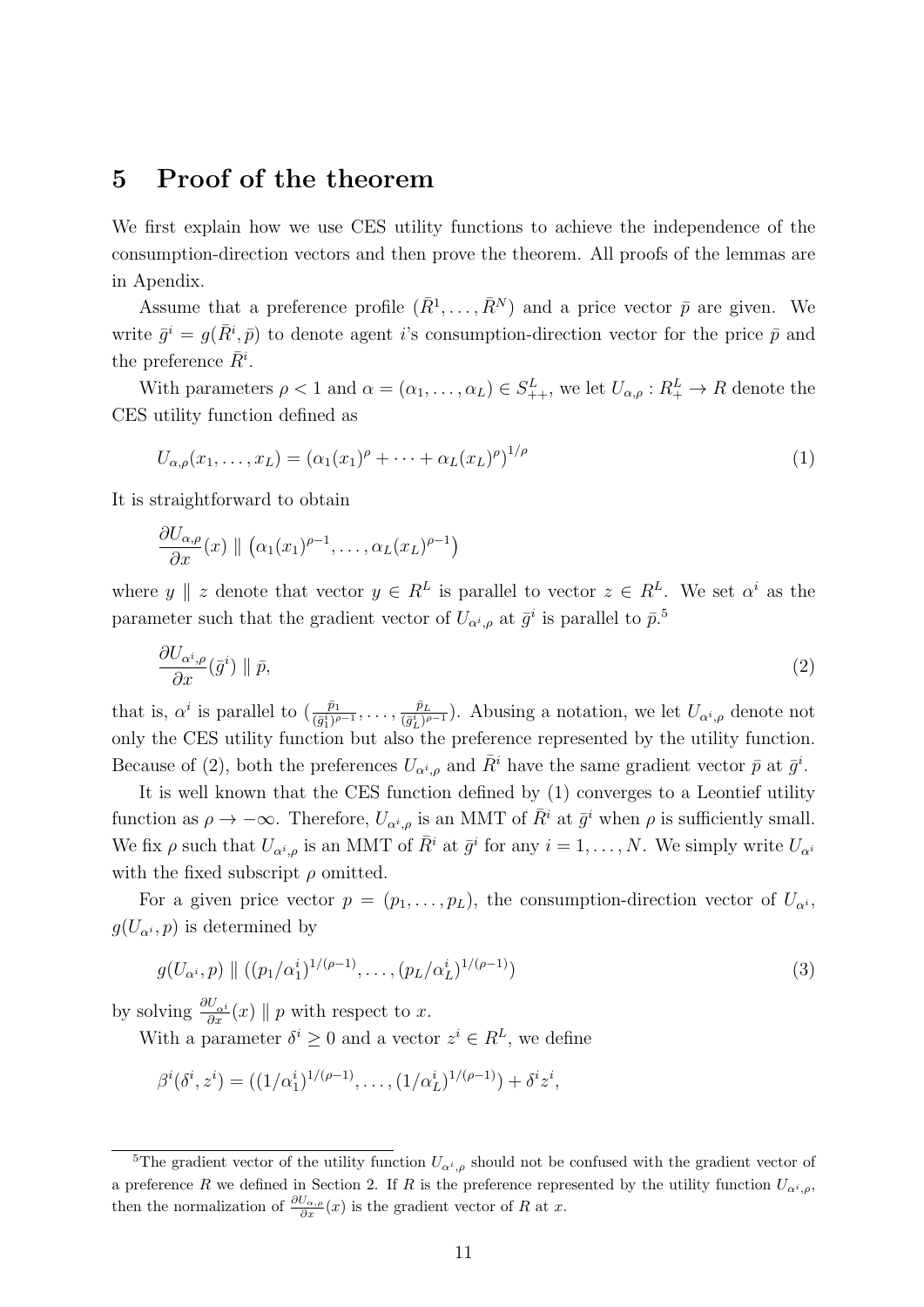#### **5 Proof of the theorem**

We first explain how we use CES utility functions to achieve the independence of the consumption-direction vectors and then prove the theorem. All proofs of the lemmas are in Apendix.

Assume that a preference profile  $(\bar{R}^1, \ldots, \bar{R}^N)$  and a price vector  $\bar{p}$  are given. We write  $\bar{g}^i = g(\bar{R}^i, \bar{p})$  to denote agent *i*'s consumption-direction vector for the price  $\bar{p}$  and the preference  $\bar{R}^i$ .

With parameters  $\rho < 1$  and  $\alpha = (\alpha_1, \dots, \alpha_L) \in S_{++}^L$ , we let  $U_{\alpha,\rho}: R_{+}^L \to R$  denote the CES utility function defined as

$$
U_{\alpha,\rho}(x_1,\ldots,x_L) = (\alpha_1(x_1)^{\rho} + \cdots + \alpha_L(x_L)^{\rho})^{1/\rho}
$$
\n(1)

It is straightforward to obtain

$$
\frac{\partial U_{\alpha,\rho}}{\partial x}(x) \parallel (\alpha_1(x_1)^{\rho-1},\ldots,\alpha_L(x_L)^{\rho-1})
$$

where *y*  $\parallel$  *z* denote that vector  $y \in R^L$  is parallel to vector  $z \in R^L$ . We set  $\alpha^i$  as the parameter such that the gradient vector of  $U_{\alpha^i,\rho}$  at  $\bar{g}^i$  is parallel to  $\bar{p}^{\,5}$ 

$$
\frac{\partial U_{\alpha^i,\rho}}{\partial x}(\bar{g}^i) \parallel \bar{p},\tag{2}
$$

that is,  $\alpha^i$  is parallel to  $(\frac{\bar{p}_1}{(\bar{g}_1^i)^{\rho-1}}, \ldots, \frac{\bar{p}_L}{(\bar{g}_L^i)^{\rho}})$  $\frac{p_L}{(\bar{g}_L^i)^{\rho-1}}$ ). Abusing a notation, we let  $U_{\alpha^i,\rho}$  denote not only the CES utility function but also the preference represented by the utility function. Because of (2), both the preferences  $U_{\alpha^i,\rho}$  and  $\bar{R}^i$  have the same gradient vector  $\bar{p}$  at  $\bar{g}^i$ .

It is well known that the CES function defined by (1) converges to a Leontief utility function as  $\rho \to -\infty$ . Therefore,  $U_{\alpha^i,\rho}$  is an MMT of  $\bar{R}^i$  at  $\bar{g}^i$  when  $\rho$  is sufficiently small. We fix  $\rho$  such that  $U_{\alpha^i,\rho}$  is an MMT of  $\overline{R}^i$  at  $\overline{g}^i$  for any  $i = 1, \ldots, N$ . We simply write  $U_{\alpha^i}$ with the fixed subscript  $\rho$  omitted.

For a given price vector  $p = (p_1, \ldots, p_L)$ , the consumption-direction vector of  $U_{\alpha^i}$ ,  $g(U_{\alpha^i}, p)$  is determined by

$$
g(U_{\alpha^i}, p) \parallel ((p_1/\alpha_1^i)^{1/(\rho-1)}, \dots, (p_L/\alpha_L^i)^{1/(\rho-1)})
$$
\n(3)

by solving  $\frac{\partial U_{\alpha}i}{\partial x}(x) \parallel p$  with respect to *x*.

With a parameter  $\delta^i \geq 0$  and a vector  $z^i \in R^L$ , we define

$$
\beta^{i}(\delta^{i}, z^{i}) = ((1/\alpha_{1}^{i})^{1/(\rho-1)}, \ldots, (1/\alpha_{L}^{i})^{1/(\rho-1)}) + \delta^{i} z^{i},
$$

<sup>&</sup>lt;sup>5</sup>The gradient vector of the utility function  $U_{\alpha^i,\rho}$  should not be confused with the gradient vector of a preference *R* we defined in Section 2. If *R* is the preference represented by the utility function  $U_{\alpha^i,\rho}$ , then the normalization of  $\frac{\partial U_{\alpha,\rho}}{\partial x}(x)$  is the gradient vector of *R* at *x*.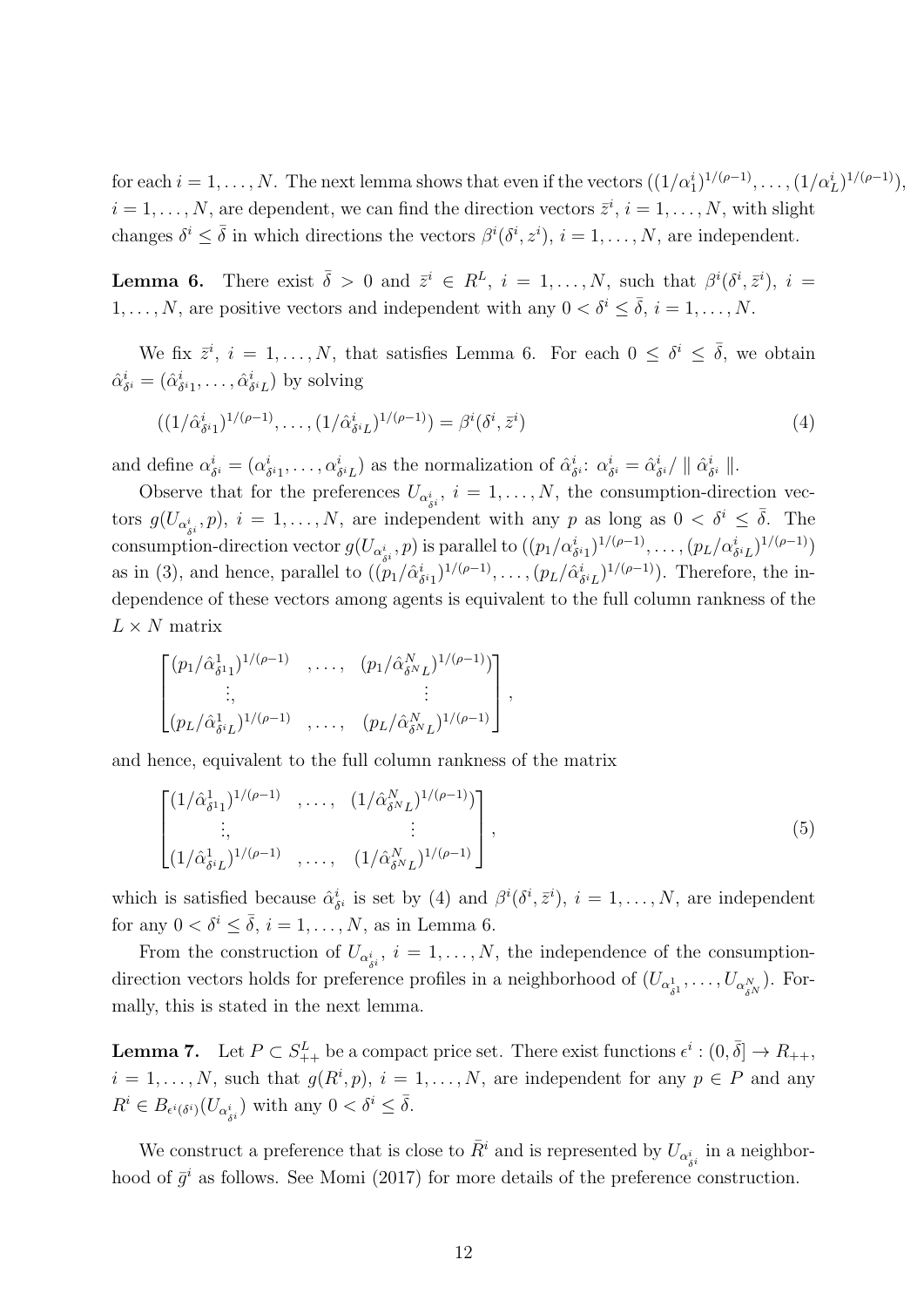for each  $i = 1, ..., N$ . The next lemma shows that even if the vectors  $((1/\alpha_1^i)^{1/(\rho-1)}, ..., (1/\alpha_L^i)^{1/(\rho-1)}),$  $i = 1, \ldots, N$ , are dependent, we can find the direction vectors  $\bar{z}^i$ ,  $i = 1, \ldots, N$ , with slight changes  $\delta^i \leq \bar{\delta}$  in which directions the vectors  $\beta^i(\delta^i, z^i)$ ,  $i = 1, \ldots, N$ , are independent.

**Lemma 6.** There exist  $\bar{\delta} > 0$  and  $\bar{z}^i \in R^L$ ,  $i = 1, ..., N$ , such that  $\beta^i(\delta^i, \bar{z}^i)$ ,  $i =$ 1, . . . , N, are positive vectors and independent with any  $0 < \delta^i \leq \overline{\delta}$ ,  $i = 1, ..., N$ .

We fix  $\bar{z}^i$ ,  $i = 1, ..., N$ , that satisfies Lemma 6. For each  $0 \leq \delta^i \leq \bar{\delta}$ , we obtain  $\hat{\alpha}_s^i$  $\alpha_{\delta}^{i} = (\hat{\alpha}_{\delta}^{i})$  $\hat{\alpha}^i_1, \ldots, \hat{\alpha}^i_\delta$  $\binom{i}{\delta^i L}$  by solving

$$
((1/\hat{\alpha}_{\delta^i 1}^i)^{1/(\rho-1)}, \dots, (1/\hat{\alpha}_{\delta^i L}^i)^{1/(\rho-1)}) = \beta^i(\delta^i, \bar{z}^i)
$$
\n(4)

and define *α i*  $\delta_i$  = ( $\alpha_{\delta}^i$  $\alpha_{\delta i_1}^i, \ldots, \alpha_{\delta i_L}^i$  as the normalization of  $\hat{\alpha}_{\delta i}^i$ *δ <sup>i</sup>* : *α i*  $\alpha_{\delta}^i = \hat{\alpha}_{\delta}^i$  $\frac{i}{\delta^i}/$   $\parallel \hat{\alpha}^i_{\delta}$ *δ <sup>i</sup> ∥*.

Observe that for the preferences  $U_{\alpha_{\delta i}^i}$ ,  $i = 1, \ldots, N$ , the consumption-direction vectors  $g(U_{\alpha_{\delta i}^i}, p)$ ,  $i = 1, \ldots, N$ , are independent with any *p* as long as  $0 < \delta^i \leq \overline{\delta}$ . The consumption-direction vector  $g(U_{\alpha_{\delta i}^i}, p)$  is parallel to  $((p_1/\alpha_{\delta i_1}^i)^{1/(\rho-1)}, \ldots, (p_L/\alpha_{\delta i_L}^i)^{1/(\rho-1)})$ as in (3), and hence, parallel to  $((p_1/\hat{\alpha}^i_{\ell}))$  $(\delta_{\delta}^{i}1)^{1/(\rho-1)}, \ldots, (p_{L}/\hat{\alpha}_{\delta}^{i})$  $(\delta_i L)^{1/(\rho-1)}$ ). Therefore, the independence of these vectors among agents is equivalent to the full column rankness of the  $L \times N$  matrix

$$
\begin{bmatrix}\n(p_1/\hat{\alpha}_{\delta^{1}1}^{1})^{1/(\rho-1)} & , \dots, & (p_1/\hat{\alpha}_{\delta^{N}L}^{N})^{1/(\rho-1)}) \\
\vdots & & \vdots \\
(p_L/\hat{\alpha}_{\delta^{i}L}^{1})^{1/(\rho-1)} & , \dots, & (p_L/\hat{\alpha}_{\delta^{N}L}^{N})^{1/(\rho-1)}\n\end{bmatrix},
$$

and hence, equivalent to the full column rankness of the matrix

$$
\begin{bmatrix}\n(1/\hat{\alpha}_{\delta^{1}1}^{1})^{1/(\rho-1)} & \cdots & (1/\hat{\alpha}_{\delta^{N}L}^{N})^{1/(\rho-1)} \\
\vdots & \vdots & \vdots \\
(1/\hat{\alpha}_{\delta^{i}L}^{1})^{1/(\rho-1)} & \cdots & (1/\hat{\alpha}_{\delta^{N}L}^{N})^{1/(\rho-1)}\n\end{bmatrix},
$$
\n(5)

which is satisfied because  $\hat{\alpha}^i_{\lambda}$  $\delta_i$  is set by (4) and  $\beta^i(\delta^i, \bar{z}^i)$ ,  $i = 1, \ldots, N$ , are independent for any  $0 < \delta^i \leq \overline{\delta}$ ,  $i = 1, \ldots, N$ , as in Lemma 6.

From the construction of  $U_{\alpha_{\delta i}^i}$ ,  $i = 1, \ldots, N$ , the independence of the consumptiondirection vectors holds for preference profiles in a neighborhood of  $(U_{\alpha_{\delta^1}^1}, \ldots, U_{\alpha_{\delta^N}^N})$ . Formally, this is stated in the next lemma.

**Lemma 7.** Let  $P \subset S^L_{++}$  be a compact price set. There exist functions  $\epsilon^i : (0, \bar{\delta}] \to R_{++}$ ,  $i = 1, \ldots, N$ , such that  $g(R^i, p)$ ,  $i = 1, \ldots, N$ , are independent for any  $p \in P$  and any  $R^i \in B_{\epsilon^i(\delta^i)}(U_{\alpha^i_{\delta^i}})$  with any  $0 < \delta^i \leq \overline{\delta}$ .

We construct a preference that is close to  $\bar{R}^i$  and is represented by  $U_{\alpha_{\delta^i}^i}$  in a neighborhood of  $\bar{g}^i$  as follows. See Momi (2017) for more details of the preference construction.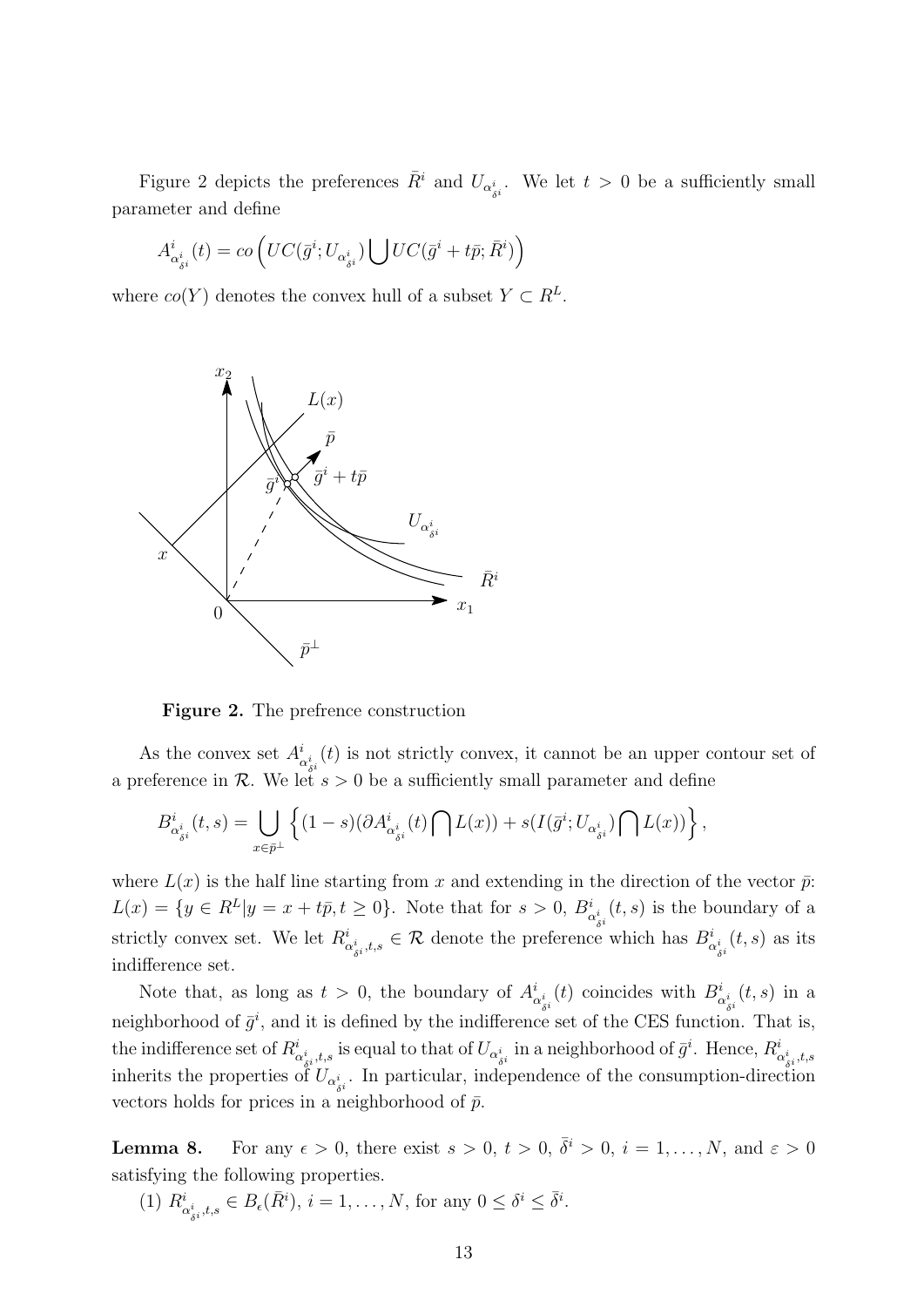Figure 2 depicts the preferences  $\bar{R}^i$  and  $U_{\alpha_{\delta}^i}$ . We let  $t > 0$  be a sufficiently small parameter and define

$$
A^i_{\alpha^i_{\bar{\sigma}^i}}(t)= co\left( UC(\bar{g}^i;U_{\alpha^i_{\bar{\sigma}^i}})\bigcup UC(\bar{g}^i+t\bar{p};\bar{R}^i)\right)
$$

where  $co(Y)$  denotes the convex hull of a subset  $Y \subset R^L$ .



**Figure 2.** The prefrence construction

As the convex set  $A^i_{\alpha_{\delta i}^i}(t)$  is not strictly convex, it cannot be an upper contour set of a preference in *R*. We let  $s > 0$  be a sufficiently small parameter and define

$$
B^i_{\alpha^i_{\delta^i}}(t,s)=\bigcup_{x\in\bar{p}^\perp}\left\{(1-s)(\partial A^i_{\alpha^i_{\delta^i}}(t)\bigcap L(x))+s(I(\bar{g}^i;U_{\alpha^i_{\delta^i}})\bigcap L(x))\right\},
$$

where  $L(x)$  is the half line starting from x and extending in the direction of the vector  $\bar{p}$ :  $L(x) = \{y \in R^L | y = x + t\overline{p}, t \ge 0\}.$  Note that for  $s > 0$ ,  $B^i_{\alpha^i_{\delta^i}}(t, s)$  is the boundary of a strictly convex set. We let  $R^i_{\alpha^i_{\delta^i},t,s} \in \mathcal{R}$  denote the preference which has  $B^i_{\alpha^i_{\delta^i}}(t,s)$  as its indifference set.

Note that, as long as  $t > 0$ , the boundary of  $A^i_{\alpha^i_{\delta^i}}(t)$  coincides with  $B^i_{\alpha^i_{\delta^i}}(t,s)$  in a neighborhood of  $\bar{g}^i$ , and it is defined by the indifference set of the CES function. That is, the indifference set of  $R^i_{\alpha^i_{\delta^i},t,s}$  is equal to that of  $U_{\alpha^i_{\delta^i}}$  in a neighborhood of  $\bar{g}^i$ . Hence,  $R^i_{\alpha^i_{\delta^i},t,s}$ inherits the properties of  $U_{\alpha_{si}^i}$ . In particular, independence of the consumption-direction vectors holds for prices in a neighborhood of  $\bar{p}$ .

**Lemma 8.** For any  $\epsilon > 0$ , there exist  $s > 0$ ,  $t > 0$ ,  $\overline{\delta}^i > 0$ ,  $i = 1, \ldots, N$ , and  $\epsilon > 0$ satisfying the following properties.

 $(R^i)$   $R^i_{\alpha_{\delta i}^i, t, s} \in B_{\epsilon}(\bar{R}^i), i = 1, \dots, N$ , for any  $0 \leq \delta^i \leq \bar{\delta}^i$ .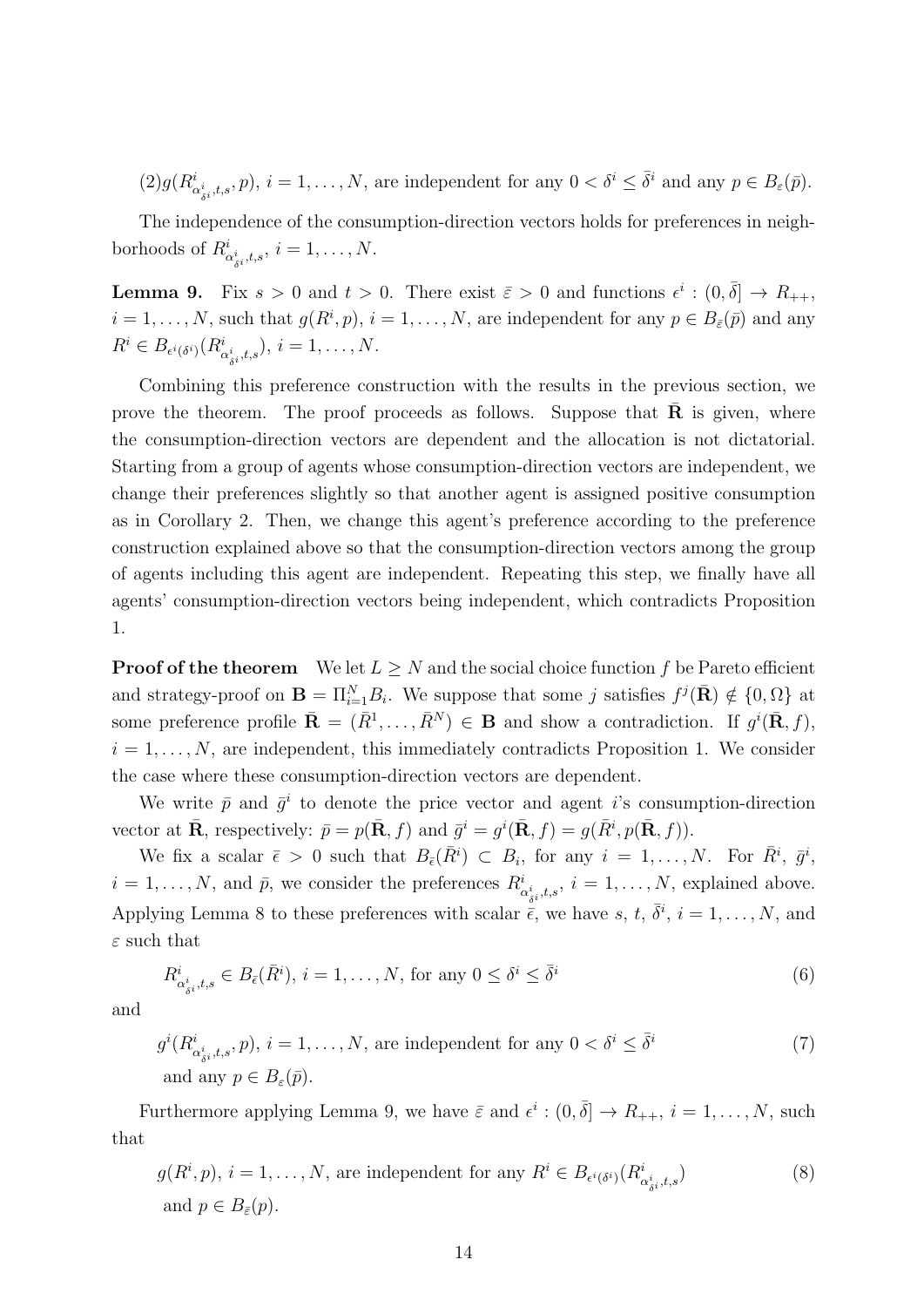$(2)g(R^i_{\alpha_{\delta i}^i,t,s},p), i=1,\ldots,N$ , are independent for any  $0<\delta^i\leq \bar{\delta}^i$  and any  $p\in B_{\varepsilon}(\bar{p})$ .

The independence of the consumption-direction vectors holds for preferences in neighborhoods of  $R^i_{\alpha^i_{\delta^i},t,s}$ ,  $i = 1, \ldots, N$ .

**Lemma 9.** Fix  $s > 0$  and  $t > 0$ . There exist  $\bar{\varepsilon} > 0$  and functions  $\epsilon^i : (0, \bar{\delta}] \to R_{++}$ ,  $i = 1, \ldots, N$ , such that  $g(R^i, p)$ ,  $i = 1, \ldots, N$ , are independent for any  $p \in B_{\bar{\varepsilon}}(\bar{p})$  and any  $R^i \in B_{\epsilon^i(\delta^i)}(R^i_{\alpha^i_{\delta^i},t,s}), i = 1, ..., N.$ 

Combining this preference construction with the results in the previous section, we prove the theorem. The proof proceeds as follows. Suppose that  $\bf{R}$  is given, where the consumption-direction vectors are dependent and the allocation is not dictatorial. Starting from a group of agents whose consumption-direction vectors are independent, we change their preferences slightly so that another agent is assigned positive consumption as in Corollary 2. Then, we change this agent's preference according to the preference construction explained above so that the consumption-direction vectors among the group of agents including this agent are independent. Repeating this step, we finally have all agents' consumption-direction vectors being independent, which contradicts Proposition 1.

**Proof of the theorem** We let  $L \geq N$  and the social choice function f be Pareto efficient and strategy-proof on  $\mathbf{B} = \prod_{i=1}^{N} B_i$ . We suppose that some *j* satisfies  $f^j(\bar{\mathbf{R}}) \notin \{0, \Omega\}$  at some preference profile  $\bar{\mathbf{R}} = (\bar{R}^1, \ldots, \bar{R}^N) \in \mathbf{B}$  and show a contradiction. If  $g^i(\bar{\mathbf{R}}, f)$ ,  $i = 1, \ldots, N$ , are independent, this immediately contradicts Proposition 1. We consider the case where these consumption-direction vectors are dependent.

We write  $\bar{p}$  and  $\bar{g}^i$  to denote the price vector and agent *i*'s consumption-direction vector at  $\bar{\mathbf{R}}$ , respectively:  $\bar{p} = p(\bar{\mathbf{R}}, f)$  and  $\bar{g}^i = g^i(\bar{\mathbf{R}}, f) = g(\bar{R}^i, p(\bar{\mathbf{R}}, f))$ .

We fix a scalar  $\bar{\epsilon} > 0$  such that  $B_{\bar{\epsilon}}(\bar{R}^i) \subset B_i$ , for any  $i = 1, ..., N$ . For  $\bar{R}^i$ ,  $\bar{g}^i$ ,  $i = 1, \ldots, N$ , and  $\bar{p}$ , we consider the preferences  $R^i_{\alpha^i_{\delta^i},t,s}$ ,  $i = 1, \ldots, N$ , explained above. Applying Lemma 8 to these preferences with scalar  $\bar{\epsilon}$ , we have s, t,  $\bar{\delta}^i$ ,  $i = 1, \ldots, N$ , and *ε* such that

$$
R_{\alpha_{\delta i}^i, t, s}^i \in B_{\bar{\epsilon}}(\bar{R}^i), i = 1, \dots, N, \text{ for any } 0 \le \delta^i \le \bar{\delta}^i
$$
\n
$$
(6)
$$

and

$$
g^{i}(R^{i}_{\alpha^{i}_{\delta^{i}},t,s},p), i = 1,\ldots,N, \text{ are independent for any } 0 < \delta^{i} \leq \bar{\delta}^{i}
$$
  
and any  $p \in B_{\varepsilon}(\bar{p}).$  (7)

Furthermore applying Lemma 9, we have  $\bar{\varepsilon}$  and  $\epsilon^i : (0, \bar{\delta}] \to R_{++}, i = 1, \ldots, N$ , such that

$$
g(R^i, p), i = 1, ..., N, \text{ are independent for any } R^i \in B_{\epsilon^i(\delta^i)}(R^i_{\alpha^i_{\delta^i}, t, s})
$$
\n
$$
\text{and } p \in B_{\bar{\epsilon}}(p). \tag{8}
$$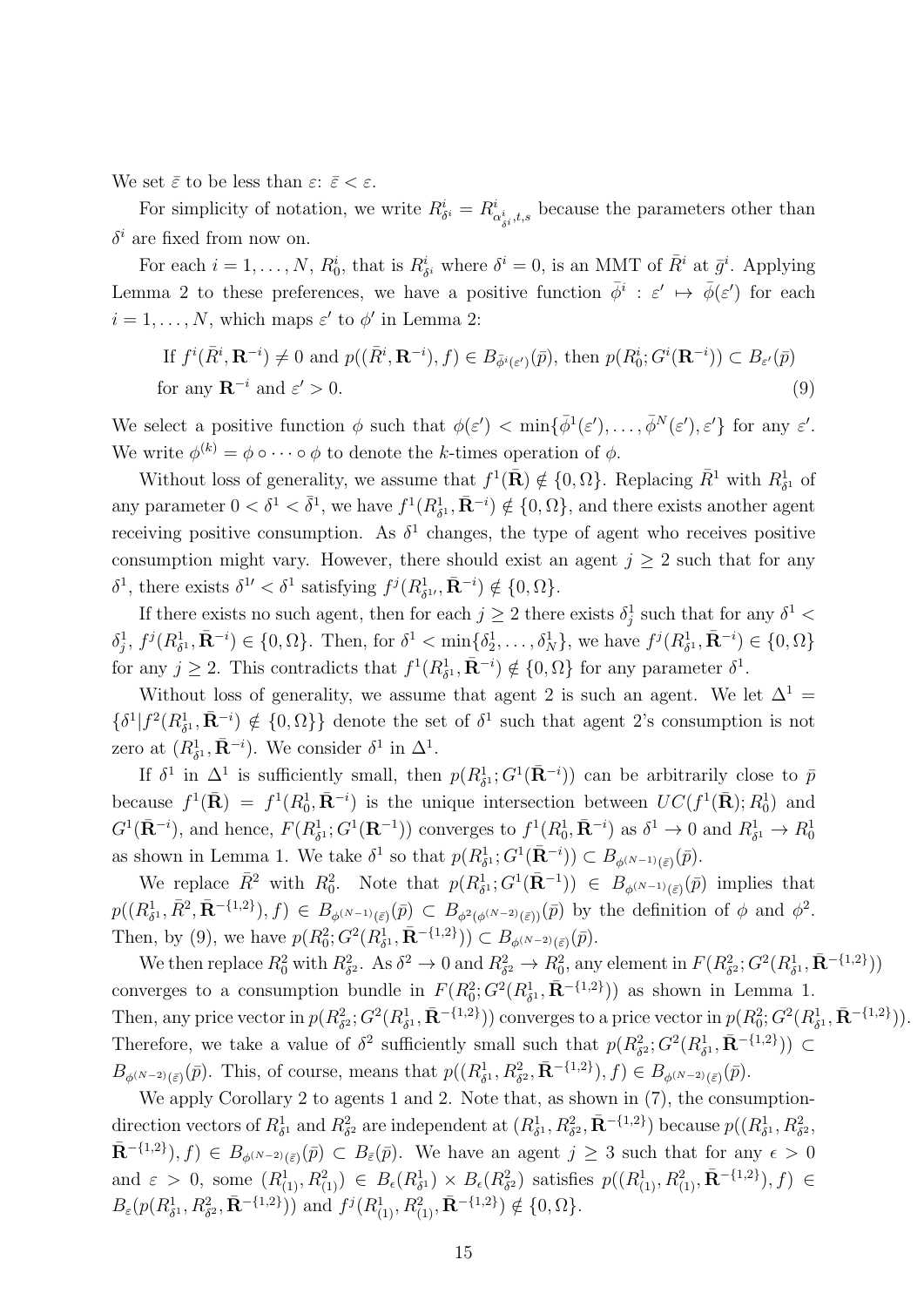We set  $\bar{\varepsilon}$  to be less than  $\varepsilon: \bar{\varepsilon} < \varepsilon$ .

For simplicity of notation, we write  $R^i_{\delta^i} = R^i_{\alpha^i_{\delta^i},t,s}$  because the parameters other than  $\delta^i$  are fixed from now on.

For each  $i = 1, ..., N$ ,  $R_0^i$ , that is  $R_{\delta^i}^i$  where  $\delta^i = 0$ , is an MMT of  $\bar{R}^i$  at  $\bar{g}^i$ . Applying Lemma 2 to these preferences, we have a positive function  $\bar{\phi}^i$  :  $\varepsilon' \mapsto \bar{\phi}(\varepsilon')$  for each  $i = 1, \ldots, N$ , which maps  $\varepsilon'$  to  $\phi'$  in Lemma 2:

If 
$$
f^i(\bar{R}^i, \mathbf{R}^{-i}) \neq 0
$$
 and  $p((\bar{R}^i, \mathbf{R}^{-i}), f) \in B_{\bar{\phi}^i(\varepsilon')}(\bar{p})$ , then  $p(R_0^i; G^i(\mathbf{R}^{-i})) \subset B_{\varepsilon'}(\bar{p})$   
for any  $\mathbf{R}^{-i}$  and  $\varepsilon' > 0$ . (9)

We select a positive function  $\phi$  such that  $\phi(\varepsilon') < \min{\{\overline{\phi}^1(\varepsilon'), \dots, \overline{\phi}^N(\varepsilon'), \varepsilon'\}}$  for any  $\varepsilon'.$ We write  $\phi^{(k)} = \phi \circ \cdots \circ \phi$  to denote the *k*-times operation of  $\phi$ .

Without loss of generality, we assume that  $f^1(\bar{R}) \notin \{0, \Omega\}$ . Replacing  $\bar{R}^1$  with  $R^1_{\delta^1}$  of any parameter  $0 < \delta^1 < \bar{\delta}^1$ , we have  $f^1(R_{\delta^1}^1, \bar{\mathbf{R}}^{-i}) \notin \{0, \Omega\}$ , and there exists another agent receiving positive consumption. As  $\delta^1$  changes, the type of agent who receives positive consumption might vary. However, there should exist an agent  $j \geq 2$  such that for any  $\delta^1$ , there exists  $\delta^{1'} < \delta^1$  satisfying  $f^j(R^1_{\delta^{1'}} , \bar{\mathbf{R}}^{-i}) \notin \{0, \Omega\}$ .

If there exists no such agent, then for each  $j \geq 2$  there exists  $\delta_j^1$  such that for any  $\delta^1$  $\delta_j^1, f^j(R^1_{\delta^1}, \bar{\mathbf{R}}^{-i}) \in \{0, \Omega\}.$  Then, for  $\delta^1 < \min\{\delta_2^1, \ldots, \delta_N^1\}$ , we have  $f^j(R^1_{\delta^1}, \bar{\mathbf{R}}^{-i}) \in \{0, \Omega\}$ for any  $j \geq 2$ . This contradicts that  $f^1(R^1_{\delta^1}, \bar{\mathbf{R}}^{-i}) \notin \{0, \Omega\}$  for any parameter  $\delta^1$ .

Without loss of generality, we assume that agent 2 is such an agent. We let  $\Delta^1$  =  $\{\delta^1 | f^2(R_{\delta^1}^1, \bar{\mathbf{R}}^{-i}) \notin \{0, \Omega\}\}\$  denote the set of  $\delta^1$  such that agent 2's consumption is not zero at  $(R_{\delta^1}^1, \bar{\mathbf{R}}^{-i})$ . We consider  $\delta^1$  in  $\Delta^1$ .

If  $\delta^1$  in  $\Delta^1$  is sufficiently small, then  $p(R_{\delta^1}^1; G^1(\bar{\mathbf{R}}^{-i}))$  can be arbitrarily close to  $\bar{p}$ because  $f^1(\bar{\mathbf{R}}) = f^1(R_0^1, \bar{\mathbf{R}}^{-i})$  is the unique intersection between  $UC(f^1(\bar{\mathbf{R}}); R_0^1)$  and  $G^1(\bar{\mathbf{R}}^{-i})$ , and hence,  $F(R^1_{\delta^1}; G^1(\mathbf{R}^{-1}))$  converges to  $f^1(R^1_0, \bar{\mathbf{R}}^{-i})$  as  $\delta^1 \to 0$  and  $R^1_{\delta^1} \to R^1_0$ as shown in Lemma 1. We take  $\delta^1$  so that  $p(R^1_{\delta^1}; G^1(\bar{\mathbf{R}}^{-i})) \subset B_{\phi^{(N-1)}(\bar{\varepsilon})}(\bar{p})$ .

We replace  $\bar{R}^2$  with  $R_0^2$ . Note that  $p(R_{\delta^1}^1; G^1(\bar{\mathbf{R}}^{-1})) \in B_{\phi^{(N-1)}(\bar{\varepsilon})}(\bar{p})$  implies that  $p((R^1_{\delta^1}, \bar{R}^2, \bar{\mathbf{R}}^{-{1,2\}}), f) \in B_{\phi^{(N-1)}(\bar{\varepsilon})}(\bar{p}) \subset B_{\phi^2(\phi^{(N-2)}(\bar{\varepsilon}))}(\bar{p})$  by the definition of  $\phi$  and  $\phi^2$ . Then, by (9), we have  $p(R_0^2; G^2(R_{\delta^1}^1, \bar{\mathbf{R}}^{-\{1,2\}})) \subset B_{\phi^{(N-2)}(\bar{\varepsilon})}(\bar{p}).$ 

We then replace  $R_0^2$  with  $R_{\delta^2}^2$ . As  $\delta^2 \to 0$  and  $R_{\delta^2}^2 \to R_0^2$ , any element in  $F(R_{\delta^2}^2; G^2(R_{\delta^1}^1, \bar{\mathbf{R}}^{-\{1,2\}}))$ converges to a consumption bundle in  $F(R_0^2; G^2(R_{\delta^1}^1, \bar{\mathbf{R}}^{-\{1,2\}}))$  as shown in Lemma 1. Then, any price vector in  $p(R_{\delta^2}^2; G^2(R_{\delta^1}^1, \bar{\mathbf{R}}^{-\{1,2\}}))$  converges to a price vector in  $p(R_0^2; G^2(R_{\delta^1}^1, \bar{\mathbf{R}}^{-\{1,2\}}))$ . Therefore, we take a value of  $\delta^2$  sufficiently small such that  $p(R_{\delta^2}^2; G^2(R_{\delta^1}^1, \bar{\mathbf{R}}^{-\{1,2\}})) \subset$  $B_{\phi^{(N-2)}(\bar{\varepsilon})}(\bar{p})$ . This, of course, means that  $p((R^1_{\delta^1}, R^2_{\delta^2}, \bar{\mathbf{R}}^{-\{1,2\}}), f) \in B_{\phi^{(N-2)}(\bar{\varepsilon})}(\bar{p})$ .

We apply Corollary 2 to agents 1 and 2. Note that, as shown in  $(7)$ , the consumptiondirection vectors of  $R^1_{\delta^1}$  and  $R^2_{\delta^2}$  are independent at  $(R^1_{\delta^1}, R^2_{\delta^2}, \bar{\mathbf{R}}^{-\{1,2\}})$  because  $p((R^1_{\delta^1}, R^2_{\delta^2},$  $\bar{\mathbf{R}}^{-{1,2\}},f$ ,  $f \in B_{\phi^{(N-2)}(\bar{\varepsilon})}(\bar{p}) \subset B_{\bar{\varepsilon}}(\bar{p})$ . We have an agent  $j \geq 3$  such that for any  $\epsilon > 0$ and  $\varepsilon > 0$ , some  $(R_{(1)}^1, R_{(1)}^2) \in B_{\epsilon}(R_{\delta^1}^1) \times B_{\epsilon}(R_{\delta^2}^2)$  satisfies  $p((R_{(1)}^1, R_{(1)}^2, \bar{\mathbf{R}}^{-\{1,2\}}), f) \in$  $B_{\varepsilon}(p(R^1_{\delta^1}, R^2_{\delta^2}, \bar{\mathbf{R}}^{-\{1,2\}}))$  and  $f^j(R^1_{(1)}, R^2_{(1)}, \bar{\mathbf{R}}^{-\{1,2\}}) \notin \{0, \Omega\}.$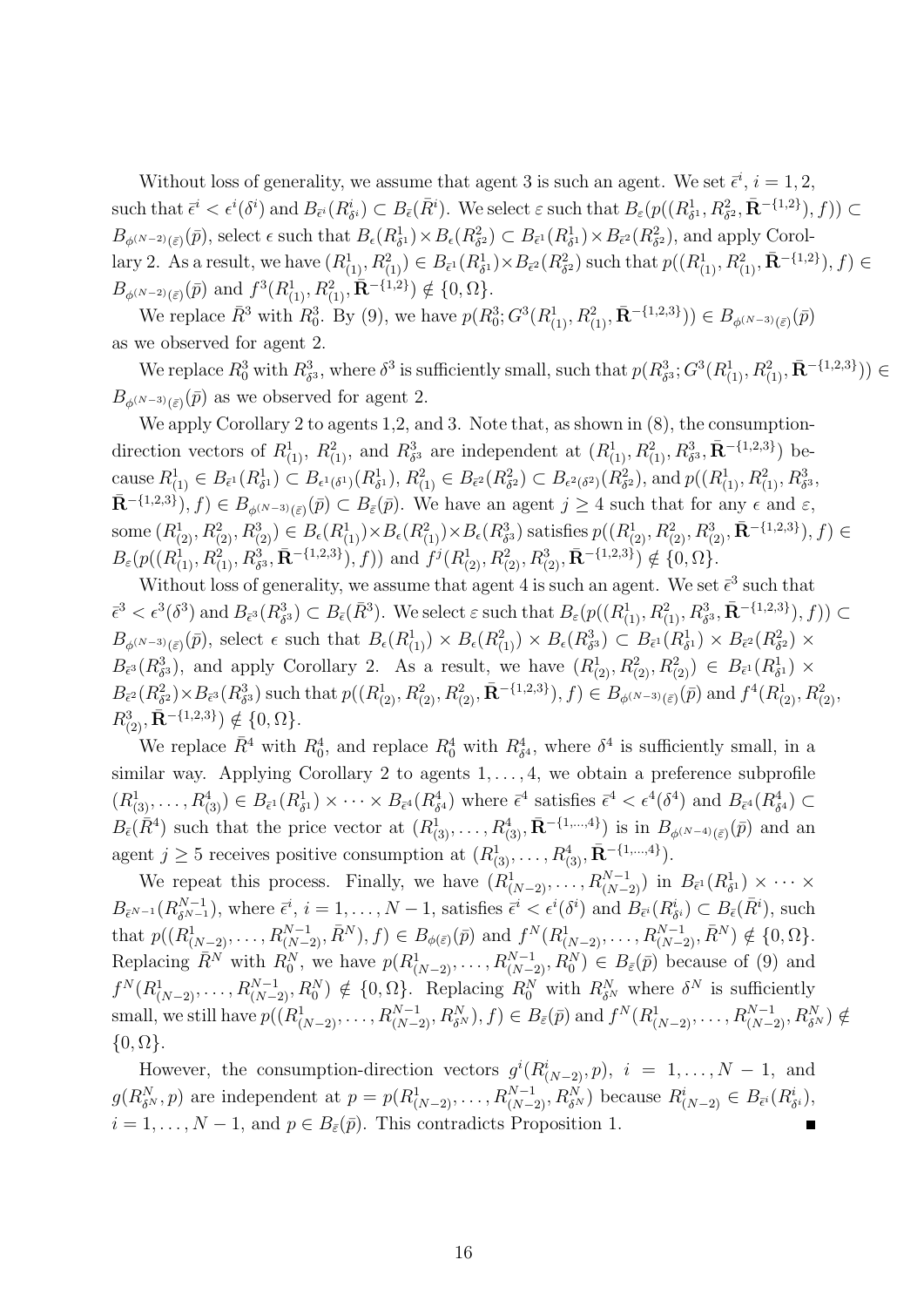Without loss of generality, we assume that agent 3 is such an agent. We set  $\bar{\epsilon}^i$ ,  $i = 1, 2$ , such that  $\bar{\epsilon}^i < \epsilon^i(\delta^i)$  and  $B_{\bar{\epsilon}^i}(R^i_{\delta^i}) \subset B_{\bar{\epsilon}}(\bar{R}^i)$ . We select  $\varepsilon$  such that  $B_{\varepsilon}(p((R^1_{\delta^1}, R^2_{\delta^2}, \bar{\mathbf{R}}^{-\{1,2\}}), f)) \subset$  $B_{\phi^{(N-2)}(\bar{\varepsilon})}(\bar{p})$ , select  $\epsilon$  such that  $B_{\epsilon}(R^1_{\delta^1}) \times B_{\epsilon}(R^2_{\delta^2}) \subset B_{\bar{\epsilon}^1}(R^1_{\delta^1}) \times B_{\bar{\epsilon}^2}(R^2_{\delta^2})$ , and apply Corollary 2. As a result, we have  $(R_{(1)}^1, R_{(1)}^2) \in B_{\bar{\epsilon}^1}(R_{\delta^1}^1) \times B_{\bar{\epsilon}^2}(R_{\delta^2}^2)$  such that  $p((R_{(1)}^1, R_{(1)}^2, \bar{\mathbf{R}}^{-\{1,2\}}), f) \in$  $B_{\phi^{(N-2)}(\bar{\varepsilon})}(\bar{p})$  and  $f^3(R^1_{(1)}, R^2_{(1)}, \overline{\mathbf{R}}^{-\{1,2\}}) \notin \{0, \Omega\}.$ 

We replace  $\bar{R}^3$  with  $R_0^3$ . By (9), we have  $p(R_0^3; G^3(R_{(1)}^1, R_{(1)}^2, \bar{\mathbf{R}}^{-\{1,2,3\}})) \in B_{\phi^{(N-3)}(\bar{\varepsilon})}(p)$ as we observed for agent 2.

We replace  $R_0^3$  with  $R_{\delta^3}^3$ , where  $\delta^3$  is sufficiently small, such that  $p(R_{\delta^3}^3; G^3(R_{(1)}^1, R_{(1)}^2, \bar{\mathbf{R}}^{-\{1,2,3\}})) \in$  $B_{\phi^{(N-3)}(\bar{\varepsilon})}(\bar{p})$  as we observed for agent 2.

We apply Corollary 2 to agents 1,2, and 3. Note that, as shown in  $(8)$ , the consumptiondirection vectors of  $R_{(1)}^1$ ,  $R_{(1)}^2$ , and  $R_{\delta^3}^3$  are independent at  $(R_{(1)}^1, R_{(1)}^2, R_{\delta^3}^3, \bar{\mathbf{R}}^{-\{1,2,3\}})$  because  $R^1_{(1)} \in B_{\bar{\epsilon}^1}(R^1_{\delta^1}) \subset B_{\epsilon^1(\delta^1)}(R^1_{\delta^1}), R^2_{(1)} \in B_{\bar{\epsilon}^2}(R^2_{\delta^2}) \subset B_{\epsilon^2(\delta^2)}(R^2_{\delta^2}),$  and  $p((R^1_{(1)}, R^2_{(1)}, R^3_{\delta^3},$  $\overline{\mathbf{R}}^{-{1,2,3}}$ ,  $f \in B_{\phi^{(N-3)}(\overline{\varepsilon})}(\overline{p}) \subset B_{\overline{\varepsilon}}(\overline{p})$ . We have an agent  $j \geq 4$  such that for any  $\epsilon$  and  $\varepsilon$ , some  $(R_{(2)}^1, R_{(2)}^2, R_{(2)}^3) \in B_{\epsilon}(R_{(1)}^1) \times B_{\epsilon}(R_{(1)}^2) \times B_{\epsilon}(R_{\delta^3}^3)$  satisfies  $p((R_{(2)}^1, R_{(2)}^2, R_{(2)}^3, \bar{\mathbf{R}}^{-\{1,2,3\}}), f) \in$  $B_{\varepsilon}(p((R_{(1)}^{1}, R_{(1)}^{2}, R_{\delta^3}^{3}, \bar{\mathbf{R}}^{-\{1,2,3\}}), f))$  and  $f^{j}(R_{(2)}^{1}, R_{(2)}^{2}, R_{(2)}^{3}, \bar{\mathbf{R}}^{-\{1,2,3\}}) \notin \{0, \Omega\}.$ 

Without loss of generality, we assume that agent 4 is such an agent. We set  $\bar{\epsilon}^3$  such that  $\bar{\epsilon}^3 < \epsilon^3(\delta^3)$  and  $B_{\bar{\epsilon}^3}(R^3_{\delta^3}) \subset B_{\bar{\epsilon}}(\bar{R}^3)$ . We select  $\varepsilon$  such that  $B_{\varepsilon}(p((R^1_{(1)}, R^2_{(1)}, R^3_{\delta^3}, \bar{\mathbf{R}}^{-\{1,2,3\}}), f)) \subset$  $B_{\phi^{(N-3)}(\bar{\varepsilon})}(\bar{p}),$  select  $\epsilon$  such that  $B_{\epsilon}(R^1_{(1)}) \times B_{\epsilon}(R^2_{(1)}) \times B_{\epsilon}(R^3_{\delta^3}) \subset B_{\bar{\epsilon}^1}(R^1_{\delta^1}) \times B_{\bar{\epsilon}^2}(R^2_{\delta^2}) \times$  $B_{\bar{\epsilon}^3}(R^3_{\delta^3})$ , and apply Corollary 2. As a result, we have  $(R^1_{(2)}, R^2_{(2)}, R^2_{(2)}) \in B_{\bar{\epsilon}^1}(R^1_{\delta^1}) \times$  $B_{\bar{\epsilon}^2}(R^2_{\delta^2})\times B_{\bar{\epsilon}^3}(R^3_{\delta^3})$  such that  $p((R^1_{(2)}, R^2_{(2)}, R^2_{(2)}, \bar{\mathbf{R}}^{-\{1,2,3\}}), f) \in B_{\phi^{(N-3)}(\bar{\epsilon})}(\bar{p})$  and  $f^4(R^1_{(2)}, R^2_{(2)}, f)$  $R^3_{(2)}, \bar{\mathbf{R}}^{-\{1,2,3\}}) \notin \{0, \Omega\}.$ 

We replace  $\bar{R}^4$  with  $R_0^4$ , and replace  $R_0^4$  with  $R_{\delta^4}^4$ , where  $\delta^4$  is sufficiently small, in a similar way. Applying Corollary 2 to agents  $1, \ldots, 4$ , we obtain a preference subprofile  $(R^1_{(3)},\ldots,R^4_{(3)})\in B_{\bar{\epsilon}^1}(R^1_{\delta^1})\times\cdots\times B_{\bar{\epsilon}^4}(R^4_{\delta^4})$  where  $\bar{\epsilon}^4$  satisfies  $\bar{\epsilon}^4<\epsilon^4(\delta^4)$  and  $B_{\bar{\epsilon}^4}(R^4_{\delta^4})\subset$  $B_{\bar{\epsilon}}(\bar{R}^4)$  such that the price vector at  $(R^1_{(3)}, \ldots, R^4_{(3)}, \bar{\mathbf{R}}^{-\{1,\ldots,4\}})$  is in  $B_{\phi^{(N-4)}(\bar{\epsilon})}(\bar{p})$  and an agent *j*  $\geq$  5 receives positive consumption at  $(R_{(3)}^1, \ldots, R_{(3)}^4, \bar{\mathbf{R}}^{-\{1,\ldots,4\}})$ .

We repeat this process. Finally, we have  $(R^1_{(N-2)},\ldots,R^{N-1}_{(N-2)})$  in  $B_{\bar{\epsilon}^1}(R^1_{\delta^1}) \times \cdots \times$  $B_{\bar{\epsilon}^{N-1}}(R^{N-1}_{\delta^{N-1}})$ , where  $\bar{\epsilon}^i$ ,  $i = 1, \ldots, N-1$ , satisfies  $\bar{\epsilon}^i < \epsilon^i(\delta^i)$  and  $B_{\bar{\epsilon}^i}(R^i_{\delta^i}) \subset B_{\bar{\epsilon}}(\bar{R}^i)$ , such that  $p((R^1_{(N-2)},\ldots,R^{N-1}_{(N-2)},\bar{R}^N),f)\in B_{\phi(\bar{\varepsilon})}(\bar{p})$  and  $f^N(R^1_{(N-2)},\ldots,R^{N-1}_{(N-2)},\bar{R}^N)\notin\{0,\Omega\}.$ Replacing  $\overline{R}^N$  with  $R_0^N$ , we have  $p(R_{(N-2)}^1, \ldots, R_{(N-2)}^{N-1}, R_0^N) \in B_{\bar{\varepsilon}}(\overline{p})$  because of (9) and  $f^N(R^1_{(N-2)},\ldots,R^{N-1}_{(N-2)},R^N_0) \notin \{0,\Omega\}$ . Replacing  $R^N_0$  with  $R^N_{\delta^N}$  where  $\delta^N$  is sufficiently small, we still have  $p((R^1_{(N-2)},\ldots,R^{N-1}_{(N-2)},R^N_{\delta^N}),f)\in B_{\bar{\varepsilon}}(\bar{p})$  and  $f^N(R^1_{(N-2)},\ldots,R^{N-1}_{(N-2)},R^N_{\delta^N})\notin$ *{*0*,* Ω*}*.

However, the consumption-direction vectors  $g^{i}(R^{i}_{(N-2)}, p)$ ,  $i = 1, ..., N-1$ , and  $g(R^N_{\delta^N},p)$  are independent at  $p=p(R^1_{(N-2)},\ldots,R^{N-1}_{(N-2)},R^N_{\delta^N})$  because  $R^i_{(N-2)}\in B_{\bar{\epsilon}^i}(R^i_{\delta^i}),$  $i = 1, \ldots, N - 1$ , and  $p \in B_{\bar{\varepsilon}}(\bar{p})$ . This contradicts Proposition 1.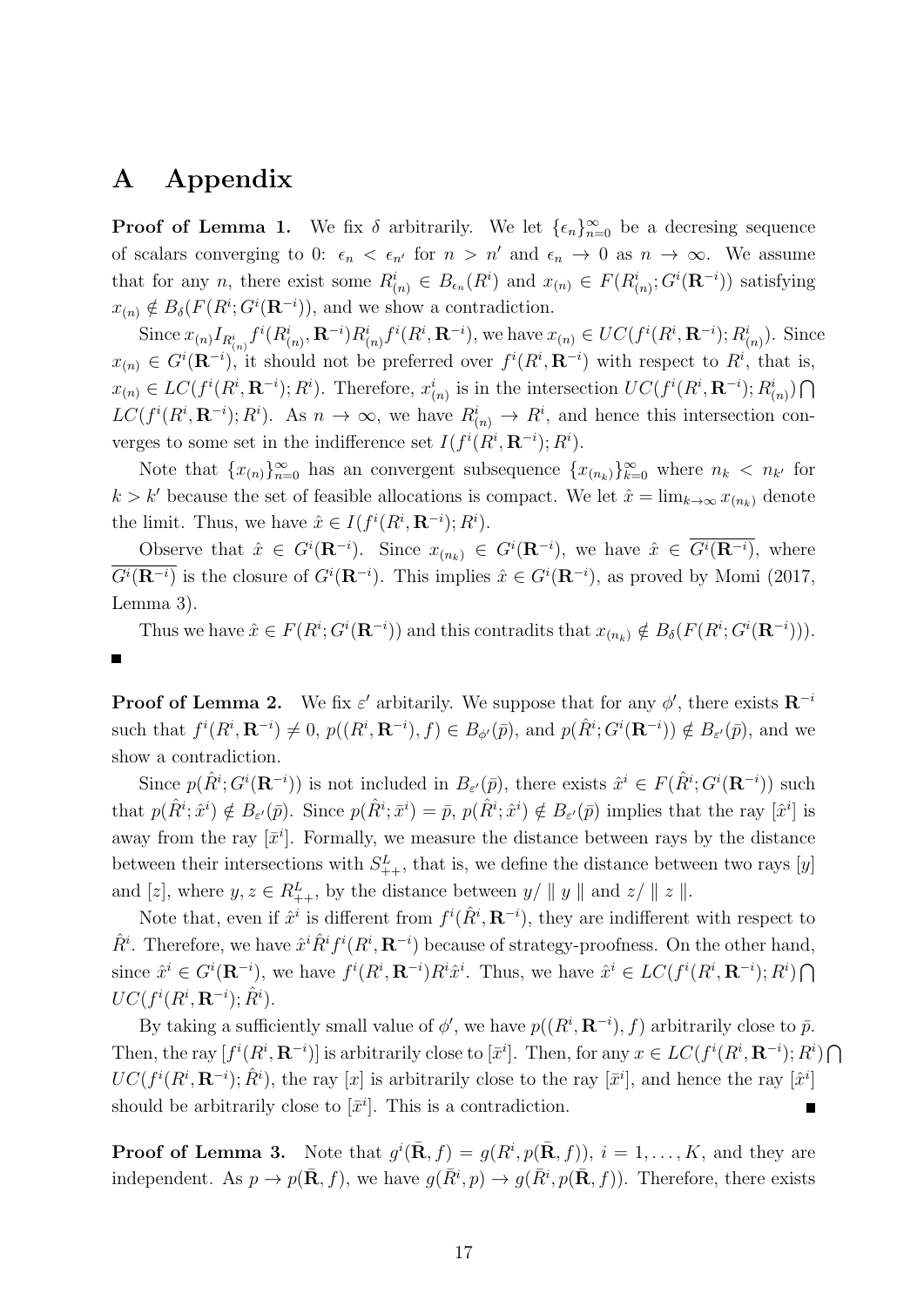## **A Appendix**

**Proof of Lemma 1.** We fix  $\delta$  arbitrarily. We let  $\{\epsilon_n\}_{n=0}^{\infty}$  be a decresing sequence of scalars converging to 0:  $\epsilon_n < \epsilon_{n'}$  for  $n > n'$  and  $\epsilon_n \to 0$  as  $n \to \infty$ . We assume that for any n, there exist some  $R^i_{(n)} \in B_{\epsilon_n}(R^i)$  and  $x_{(n)} \in F(R^i_{(n)}; G^i(\mathbf{R}^{-i}))$  satisfying  $x_{(n)} \notin B_\delta(F(R^i; G^i(\mathbf{R}^{-i})),$  and we show a contradiction.

Since  $x_{(n)}I_{R_{(n)}^i}f^i(R_{(n)}^i,\mathbf{R}^{-i})R_{(n)}^i f^i(R^i,\mathbf{R}^{-i}),$  we have  $x_{(n)}\in UC(f^i(R^i,\mathbf{R}^{-i});R_{(n)}^i)$ . Since  $x_{(n)} \in G^{i}(\mathbf{R}^{-i})$ , it should not be preferred over  $f^{i}(R^{i}, \mathbf{R}^{-i})$  with respect to  $R^{i}$ , that is,  $x_{(n)} \in LC(f^i(R^i, \mathbf{R}^{-i}); R^i)$ . Therefore,  $x_{(n)}^i$  is in the intersection  $UC(f^i(R^i, \mathbf{R}^{-i}); R_{(n)}^i) \cap$  $LC(f^{i}(R^{i}, \mathbf{R}^{-i}); R^{i})$ . As  $n \to \infty$ , we have  $R^{i}_{(n)} \to R^{i}$ , and hence this intersection converges to some set in the indifference set  $I(f^{i}(R^{i}, \mathbf{R}^{-i}); R^{i}).$ 

Note that  ${x_{n}}$  $\}$ <sup>2</sup><sub>*n*=0</sub> has an convergent subsequence  ${x_{n_k}}$  $\}$ <sup>2</sup><sub>*k*=0</sub> where  $n_k < n_{k'}$  for  $k > k'$  because the set of feasible allocations is compact. We let  $\hat{x} = \lim_{k \to \infty} x_{(n_k)}$  denote the limit. Thus, we have  $\hat{x} \in I(f^i(R^i, \mathbf{R}^{-i}); R^i)$ .

Observe that  $\hat{x} \in G^{i}(\mathbf{R}^{-i})$ . Since  $x_{(n_k)} \in G^{i}(\mathbf{R}^{-i})$ , we have  $\hat{x} \in G^{i}(\mathbf{R}^{-i})$ , where  $\overline{G}^i(\mathbf{R}^{-i})$  is the closure of  $G^i(\mathbf{R}^{-i})$ . This implies  $\hat{x} \in G^i(\mathbf{R}^{-i})$ , as proved by Momi (2017, Lemma 3).

Thus we have  $\hat{x} \in F(R^i; G^i(\mathbf{R}^{-i}))$  and this contradits that  $x_{(n_k)} \notin B_\delta(F(R^i; G^i(\mathbf{R}^{-i}))).$ 

**Proof of Lemma 2.** We fix  $\varepsilon'$  arbitarily. We suppose that for any  $\phi'$ , there exists  $\mathbb{R}^{-i}$ such that  $f^i(R^i, \mathbf{R}^{-i}) \neq 0$ ,  $p((R^i, \mathbf{R}^{-i}), f) \in B_{\phi}(\bar{p})$ , and  $p(\hat{R}^i; G^i(\mathbf{R}^{-i})) \notin B_{\varepsilon}(\bar{p})$ , and we show a contradiction.

Since  $p(\hat{R}^i; G^i(\mathbf{R}^{-i}))$  is not included in  $B_{\varepsilon'}(\bar{p})$ , there exists  $\hat{x}^i \in F(\hat{R}^i; G^i(\mathbf{R}^{-i}))$  such that  $p(\hat{R}^i; \hat{x}^i) \notin B_{\varepsilon'}(\bar{p})$ . Since  $p(\hat{R}^i; \bar{x}^i) = \bar{p}, p(\hat{R}^i; \hat{x}^i) \notin B_{\varepsilon'}(\bar{p})$  implies that the ray  $[\hat{x}^i]$  is away from the ray  $[\bar{x}^i]$ . Formally, we measure the distance between rays by the distance between their intersections with  $S_{++}^L$ , that is, we define the distance between two rays [*y*] and [*z*], where  $y, z \in R_{++}^L$ , by the distance between  $y/||y||$  and  $z/||z||$ .

Note that, even if  $\hat{x}^i$  is different from  $f^i(\hat{R}^i, \mathbf{R}^{-i})$ , they are indifferent with respect to  $\hat{R}^i$ . Therefore, we have  $\hat{x}^i \hat{R}^i f^i(R^i, \mathbf{R}^{-i})$  because of strategy-proofness. On the other hand, since  $\hat{x}^i \in G^i(\mathbf{R}^{-i})$ , we have  $f^i(R^i, \mathbf{R}^{-i})R^i\hat{x}^i$ . Thus, we have  $\hat{x}^i \in LC(f^i(R^i, \mathbf{R}^{-i}); R^i) \cap$  $UC(f^i(R^i, \mathbf{R}^{-i}); \hat{R}^i)$ .

By taking a sufficiently small value of  $\phi'$ , we have  $p((R^i, \mathbf{R}^{-i}), f)$  arbitrarily close to  $\bar{p}$ . Then, the ray  $[f^i(R^i, \mathbf{R}^{-i})]$  is arbitrarily close to  $[\bar{x}^i]$ . Then, for any  $x \in LC(f^i(R^i, \mathbf{R}^{-i}); R^i) \cap$  $UC(f^i(R^i, \mathbf{R}^{-i}); \hat{R}^i)$ , the ray [*x*] is arbitrarily close to the ray [ $\bar{x}^i$ ], and hence the ray [ $\hat{x}^i$ ] should be arbitrarily close to  $[\bar{x}^i]$ . This is a contradiction. Е

**Proof of Lemma 3.** Note that  $g^{i}(\bar{\mathbf{R}},f) = g(R^{i},p(\bar{\mathbf{R}},f))$ ,  $i = 1,\ldots,K$ , and they are independent. As  $p \to p(\bar{\mathbf{R}}, f)$ , we have  $g(\bar{R}^i, p) \to g(\bar{R}^i, p(\bar{\mathbf{R}}, f))$ . Therefore, there exists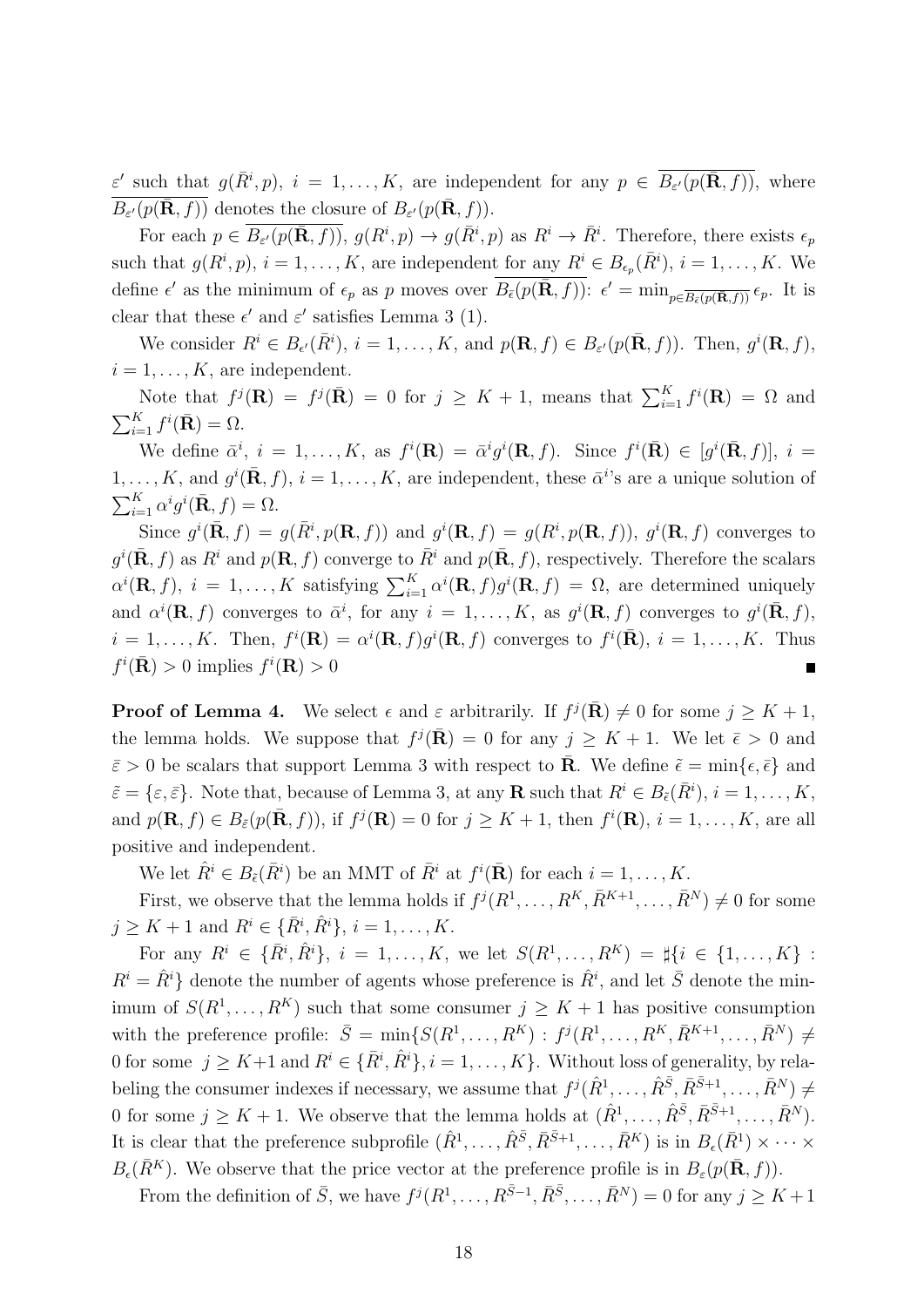*ε <sup><i>z*</sup> such that  $g(\overline{R}^i, p)$ ,  $i = 1, ..., K$ , are independent for any  $p \in \overline{B_{\varepsilon'}(p(\mathbf{R}, f))}$ , where  $\overline{B_{\varepsilon'}(p(\bar{\mathbf{R}},f))}$  denotes the closure of  $B_{\varepsilon'}(p(\bar{\mathbf{R}},f)).$ 

For each  $p \in \overline{B_{\varepsilon'}(p(\bar{\mathbf{R}},f))}$ ,  $g(R^i, p) \to g(\bar{R}^i, p)$  as  $R^i \to \bar{R}^i$ . Therefore, there exists  $\epsilon_p$ such that  $g(R^i, p)$ ,  $i = 1, \ldots, K$ , are independent for any  $R^i \in B_{\epsilon_p}(\overline{R}^i)$ ,  $i = 1, \ldots, K$ . We define  $\epsilon'$  as the minimum of  $\epsilon_p$  as p moves over  $\overline{B_{\epsilon}(p(\bar{\mathbf{R}},f))}$ :  $\epsilon' = \min_{p \in \overline{B_{\epsilon}(p(\bar{\mathbf{R}},f))}} \epsilon_p$ . It is clear that these  $\epsilon'$  and  $\epsilon'$  satisfies Lemma 3 (1).

We consider  $R^i \in B_{\epsilon'}(\overline{R}^i)$ ,  $i = 1, ..., K$ , and  $p(\mathbf{R}, f) \in B_{\epsilon'}(p(\overline{\mathbf{R}}, f))$ . Then,  $g^i(\mathbf{R}, f)$ ,  $i = 1, \ldots, K$ , are independent.

Note that  $f^j(\mathbf{R}) = f^j(\bar{\mathbf{R}}) = 0$  for  $j \geq K + 1$ , means that  $\sum_{i=1}^K f^i(\mathbf{R}) = \Omega$  and  $\sum_{i=1}^K f^i(\bar{\mathbf{R}}) = \Omega.$ 

We define  $\bar{\alpha}^i$ ,  $i = 1, ..., K$ , as  $f^i(\mathbf{R}) = \bar{\alpha}^i g^i(\mathbf{R}, f)$ . Since  $f^i(\bar{\mathbf{R}}) \in [g^i(\bar{\mathbf{R}}, f)]$ ,  $i =$  $1, \ldots, K$ , and  $g^{i}(\bar{\mathbf{R}}, f)$ ,  $i = 1, \ldots, K$ , are independent, these  $\bar{\alpha}^{i}$ 's are a unique solution of  $\sum_{i=1}^K \alpha^i g^i(\bar{\mathbf{R}}, f) = \Omega.$ 

Since  $g^i(\bar{\mathbf{R}},f) = g(\bar{R}^i, p(\mathbf{R},f))$  and  $g^i(\mathbf{R},f) = g(R^i, p(\mathbf{R},f)), g^i(\mathbf{R},f)$  converges to  $g^{i}$ ( $\bar{\mathbf{R}}$ , *f*) as  $R^{i}$  and  $p(\mathbf{R}, f)$  converge to  $\bar{R}^{i}$  and  $p(\bar{\mathbf{R}}, f)$ , respectively. Therefore the scalars  $\alpha^{i}(\mathbf{R},f), i = 1,\ldots,K$  satisfying  $\sum_{i=1}^{K} \alpha^{i}(\mathbf{R},f)g^{i}(\mathbf{R},f) = \Omega$ , are determined uniquely and  $\alpha^{i}(\mathbf{R},f)$  converges to  $\bar{\alpha}^{i}$ , for any  $i=1,\ldots,K$ , as  $g^{i}(\mathbf{R},f)$  converges to  $g^{i}(\bar{\mathbf{R}},f)$ ,  $i=1,\ldots,K$ . Then,  $f^i(\mathbf{R}) = \alpha^i(\mathbf{R},f)g^i(\mathbf{R},f)$  converges to  $f^i(\bar{\mathbf{R}}), i=1,\ldots,K$ . Thus  $f^i(\bar{\mathbf{R}}) > 0$  implies  $f^i(\mathbf{R}) > 0$ 

**Proof of Lemma 4.** We select  $\epsilon$  and  $\varepsilon$  arbitrarily. If  $f^j(\bar{\mathbf{R}}) \neq 0$  for some  $j \geq K + 1$ , the lemma holds. We suppose that  $f^j(\bar{\mathbf{R}}) = 0$  for any  $j \geq K + 1$ . We let  $\bar{\epsilon} > 0$  and  $\bar{\varepsilon} > 0$  be scalars that support Lemma 3 with respect to **R**. We define  $\tilde{\varepsilon} = \min\{\epsilon, \bar{\epsilon}\}\$ and  $\tilde{\varepsilon} = {\varepsilon, \bar{\varepsilon}}.$  Note that, because of Lemma 3, at any **R** such that  $R^i \in B_{\tilde{\varepsilon}}(\bar{R}^i), i = 1, \ldots, K$ , and  $p(\mathbf{R},f) \in B_{\tilde{\varepsilon}}(p(\bar{\mathbf{R}},f))$ , if  $f^j(\mathbf{R}) = 0$  for  $j \geq K+1$ , then  $f^i(\mathbf{R}), i = 1,\ldots,K$ , are all positive and independent.

We let  $\hat{R}^i \in B_{\tilde{\epsilon}}(\bar{R}^i)$  be an MMT of  $\bar{R}^i$  at  $f^i(\bar{\mathbf{R}})$  for each  $i = 1, \ldots, K$ .

First, we observe that the lemma holds if  $f^j(R^1, \ldots, R^K, \overline{R}^{K+1}, \ldots, \overline{R}^N) \neq 0$  for some  $j \geq K + 1$  and  $R^i \in {\overline{R}}^i, \hat{R}^i$ ,  $i = 1, ..., K$ .

For any  $R^i \in \{\bar{R}^i, \hat{R}^i\}, i = 1, ..., K$ , we let  $S(R^1, ..., R^K) = \sharp\{i \in \{1, ..., K\}$ :  $R^i = \hat{R}^i$  denote the number of agents whose preference is  $\hat{R}^i$ , and let  $\bar{S}$  denote the minimum of  $S(R^1, \ldots, R^K)$  such that some consumer  $j \geq K+1$  has positive consumption with the preference profile:  $\bar{S} = \min\{S(R^1, \ldots, R^K) : f^j(R^1, \ldots, R^K, \bar{R}^{K+1}, \ldots, \bar{R}^N) \neq$ 0 for some  $j \geq K+1$  and  $R^i \in {\{\overline{R}^i, \widehat{R}^i\}}, i = 1, \ldots, K\}$ . Without loss of generality, by relabeling the consumer indexes if necessary, we assume that  $f^j(\hat{R}^1,\ldots,\hat{R}^{\bar{S}},\bar{R}^{\bar{S}+1},\ldots,\bar{R}^N) \neq$ 0 for some  $j \geq K + 1$ . We observe that the lemma holds at  $(\hat{R}^1, \ldots, \hat{R}^{\bar{S}}, \bar{R}^{\bar{S}+1}, \ldots, \bar{R}^N)$ . It is clear that the preference subprofile  $(\hat{R}^1, \ldots, \hat{R}^{\bar{S}}, \bar{R}^{\bar{S}+1}, \ldots, \bar{R}^K)$  is in  $B_{\epsilon}(\bar{R}^1) \times \cdots \times$  $B_{\epsilon}(\bar{R}^K)$ . We observe that the price vector at the preference profile is in  $B_{\epsilon}(p(\bar{\mathbf{R}},f))$ .

From the definition of  $\bar{S}$ , we have  $f^j(R^1,\ldots,R^{\bar{S}-1},\bar{R}^{\bar{S}},\ldots,\bar{R}^N) = 0$  for any  $j \geq K+1$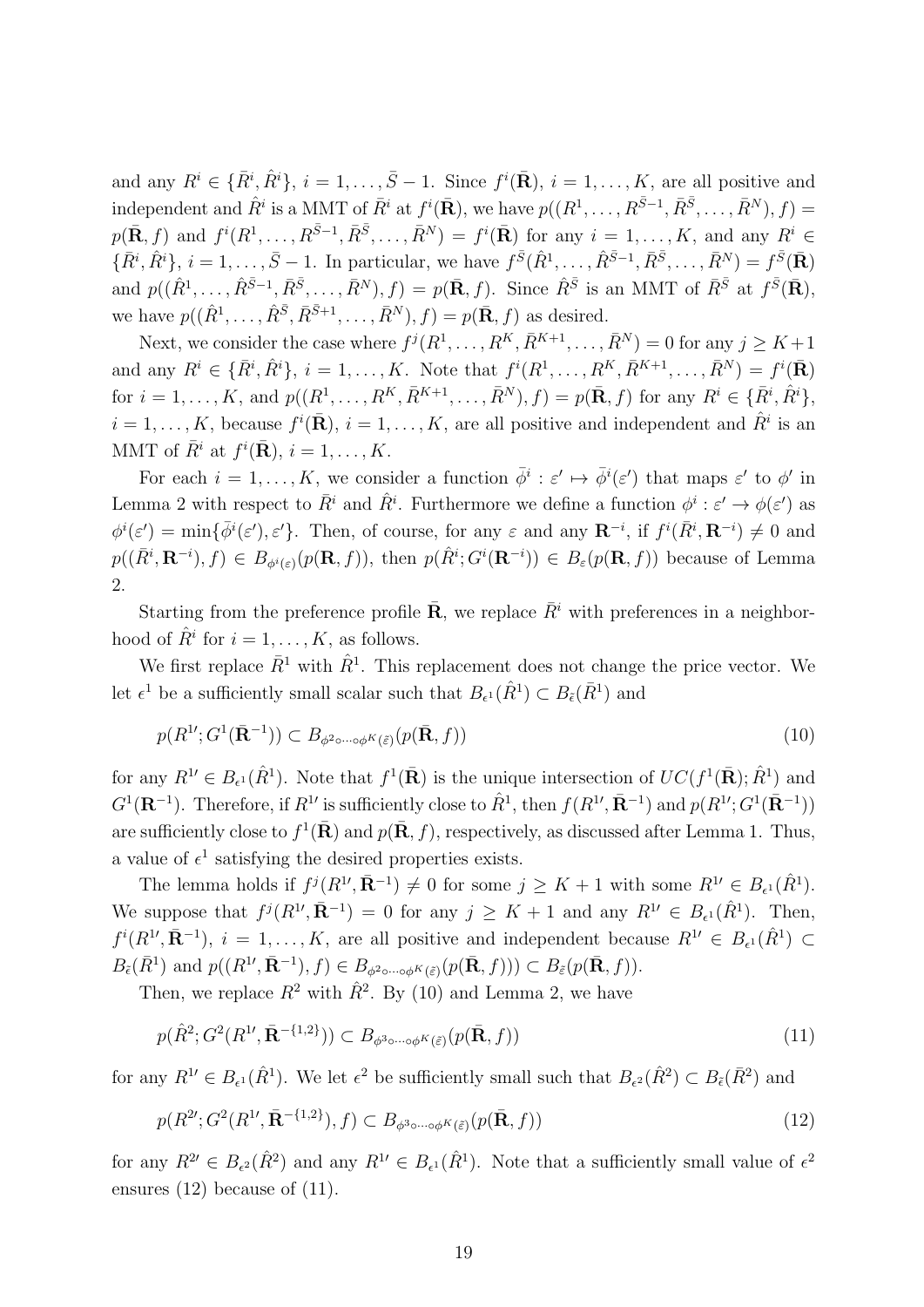and any  $R^i \in {\{\bar{R}^i, \hat{R}^i\}}, i = 1, \ldots, \bar{S} - 1$ . Since  $f^i(\bar{\mathbf{R}}), i = 1, \ldots, K$ , are all positive and independent and  $\hat{R}^i$  is a MMT of  $\bar{R}^i$  at  $f^i(\bar{\mathbf{R}})$ , we have  $p((R^1,\ldots,R^{\bar{S}-1},\bar{R}^{\bar{S}},\ldots,\bar{R}^N),f)$  $p(\bar{\mathbf{R}},f)$  and  $f^i(R^1,\ldots,R^{\bar{S}-1},\bar{R}^{\bar{S}},\ldots,\bar{R}^N) = f^i(\bar{\mathbf{R}})$  for any  $i=1,\ldots,K$ , and any  $R^i \in$  $\{\bar{R}^i, \hat{R}^i\}, i = 1, ..., \bar{S} - 1$ . In particular, we have  $f^{\bar{S}}(\hat{R}^1, ..., \hat{R}^{\bar{S}-1}, \bar{R}^{\bar{S}}, ..., \bar{R}^N) = f^{\bar{S}}(\bar{\mathbf{R}})$ and  $p((\hat{R}^1,\ldots,\hat{R}^{\bar{S}-1},\bar{R}^{\bar{S}},\ldots,\bar{R}^N),f) = p(\bar{\mathbf{R}},f)$ . Since  $\hat{R}^{\bar{S}}$  is an MMT of  $\bar{R}^{\bar{S}}$  at  $f^{\bar{S}}(\bar{\mathbf{R}})$ , we have  $p((\hat{R}^1, \ldots, \hat{R}^{\bar{S}}, \bar{R}^{\bar{S}+1}, \ldots, \bar{R}^N), f) = p(\bar{\mathbf{R}}, f)$  as desired.

Next, we consider the case where  $f^j(R^1, \ldots, R^K, \overline{R}^{K+1}, \ldots, \overline{R}^N) = 0$  for any  $j \geq K+1$ and any  $R^i \in {\{\bar{R}^i, \hat{R}^i\}}$ ,  $i = 1, ..., K$ . Note that  $f^i(R^1, ..., R^K, \bar{R}^{K+1}, ..., \bar{R}^N) = f^i(\bar{\mathbf{R}})$ for  $i = 1, ..., K$ , and  $p((R^1, ..., R^K, \bar{R}^{K+1}, ..., \bar{R}^N), f) = p(\bar{\mathbf{R}}, f)$  for any  $R^i \in {\{\bar{R}^i, \hat{R}^i\}}$ ,  $i = 1, \ldots, K$ , because  $f^i(\bar{\mathbf{R}}), i = 1, \ldots, K$ , are all positive and independent and  $\hat{R}^i$  is an MMT of  $\bar{R}^i$  at  $f^i(\bar{\mathbf{R}}), i = 1, \ldots, K$ .

For each  $i = 1, ..., K$ , we consider a function  $\bar{\phi}^i : \varepsilon' \mapsto \bar{\phi}^i(\varepsilon')$  that maps  $\varepsilon'$  to  $\phi'$  in Lemma 2 with respect to  $\bar{R}^i$  and  $\hat{R}^i$ . Furthermore we define a function  $\phi^i : \varepsilon' \to \phi(\varepsilon')$  as  $\phi^i(\varepsilon') = \min\{\bar{\phi}^i(\varepsilon'), \varepsilon'\}.$  Then, of course, for any  $\varepsilon$  and any  $\mathbf{R}^{-i}$ , if  $f^i(\bar{R}^i, \mathbf{R}^{-i}) \neq 0$  and  $p((\bar{R}^i, \mathbf{R}^{-i}), f) \in B_{\phi^i(\varepsilon)}(p(\mathbf{R}, f)),$  then  $p(\hat{R}^i; G^i(\mathbf{R}^{-i})) \in B_{\varepsilon}(p(\mathbf{R}, f))$  because of Lemma 2.

Starting from the preference profile  $\bar{\mathbf{R}}$ , we replace  $\bar{R}^i$  with preferences in a neighborhood of  $\hat{R}^i$  for  $i = 1, \ldots, K$ , as follows.

We first replace  $\bar{R}^1$  with  $\hat{R}^1$ . This replacement does not change the price vector. We let  $\epsilon^1$  be a sufficiently small scalar such that  $B_{\epsilon^1}(\hat{R}^1) \subset B_{\epsilon}(\bar{R}^1)$  and

$$
p(R^1; G^1(\bar{\mathbf{R}}^{-1})) \subset B_{\phi^2 \circ \cdots \circ \phi^K(\tilde{\varepsilon})}(p(\bar{\mathbf{R}}, f))
$$
\n(10)

for any  $R^{1'} \in B_{\epsilon^1}(\hat{R}^1)$ . Note that  $f^1(\mathbf{R})$  is the unique intersection of  $UC(f^1(\mathbf{R}); \hat{R}^1)$  and  $G^1(\mathbf{R}^{-1})$ . Therefore, if  $R^1$  is sufficiently close to  $\hat{R}^1$ , then  $f(R^1, \bar{\mathbf{R}}^{-1})$  and  $p(R^1, G^1(\bar{\mathbf{R}}^{-1}))$ are sufficiently close to  $f^1(\bar{\mathbf{R}})$  and  $p(\bar{\mathbf{R}}, f)$ , respectively, as discussed after Lemma 1. Thus, a value of  $\epsilon^1$  satisfying the desired properties exists.

The lemma holds if  $f^j(R^1, \bar{\mathbf{R}}^{-1}) \neq 0$  for some  $j \geq K + 1$  with some  $R^1 \in B_{\epsilon^1}(\hat{R}^1)$ . We suppose that  $f^j(R^1, \bar{\mathbf{R}}^{-1}) = 0$  for any  $j \geq K + 1$  and any  $R^1 \in B_{\epsilon^1}(\hat{R}^1)$ . Then,  $f^{i}(R^{1}, \bar{\mathbf{R}}^{-1}), i = 1, \ldots, K$ , are all positive and independent because  $R^{1} \in B_{\epsilon^{1}}(\hat{R}^{1}) \subset$  $B_{\tilde{\epsilon}}(\bar{R}^1)$  and  $p((R^1', \bar{\mathbf{R}}^{-1}), f) \in B_{\phi^2 \circ \cdots \circ \phi^K(\tilde{\epsilon})}(p(\bar{\mathbf{R}}, f))) \subset B_{\tilde{\epsilon}}(p(\bar{\mathbf{R}}, f)).$ 

Then, we replace  $R^2$  with  $\hat{R}^2$ . By (10) and Lemma 2, we have

$$
p(\hat{R}^2; G^2(R^1', \bar{\mathbf{R}}^{-\{1,2\}})) \subset B_{\phi^3 \circ \cdots \circ \phi^K(\tilde{\varepsilon})}(p(\bar{\mathbf{R}}, f))
$$
\n(11)

for any  $R^{1} \in B_{\epsilon^1}(\hat{R}^1)$ . We let  $\epsilon^2$  be sufficiently small such that  $B_{\epsilon^2}(\hat{R}^2) \subset B_{\epsilon}(\bar{R}^2)$  and

$$
p(R^{2\prime}; G^{2}(R^{1\prime}, \bar{\mathbf{R}}^{-\{1,2\}}), f) \subset B_{\phi^{3}\circ\cdots\circ\phi^{K}(\tilde{\varepsilon})}(p(\bar{\mathbf{R}}, f))
$$
\n(12)

for any  $R^{2\prime} \in B_{\epsilon^2}(\hat{R}^2)$  and any  $R^{1\prime} \in B_{\epsilon^1}(\hat{R}^1)$ . Note that a sufficiently small value of  $\epsilon^2$ ensures (12) because of (11).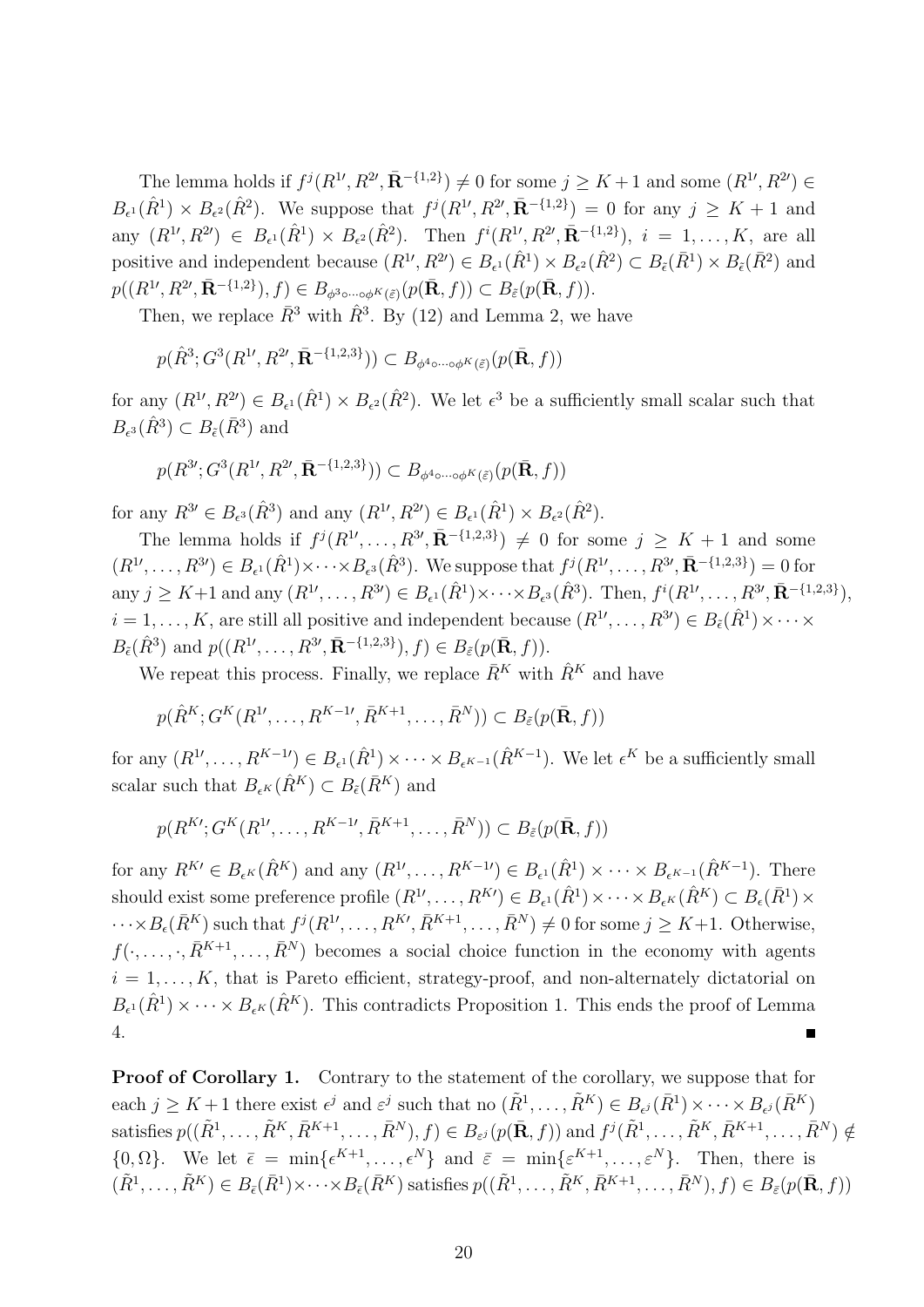The lemma holds if  $f^j(R^1, R^2, \bar{\mathbf{R}}^{-{1,2\}}) \neq 0$  for some  $j \geq K+1$  and some  $(R^1, R^2) \in$  $B_{\epsilon^1}(\hat{R}^1) \times B_{\epsilon^2}(\hat{R}^2)$ . We suppose that  $f^j(R^{1}, R^{2}, \bar{\mathbf{R}}^{-\{1,2\}}) = 0$  for any  $j \geq K + 1$  and any  $(R^{1}, R^{2}) \in B_{\epsilon^1}(\hat{R}^1) \times B_{\epsilon^2}(\hat{R}^2)$ . Then  $f^i(R^{1}, R^{2}, \bar{\mathbf{R}}^{-\{1,2\}}), i = 1, ..., K$ , are all positive and independent because  $(R^{1}, R^{2}) \in B_{\epsilon^1}(\hat{R}^1) \times B_{\epsilon^2}(\hat{R}^2) \subset B_{\epsilon}(\bar{R}^1) \times B_{\epsilon}(\bar{R}^2)$  and  $p((R^1, R^2, \bar{\mathbf{R}}^{-{1,2\}}), f) \in B_{\phi^3 \circ \cdots \circ \phi^K(\tilde{\varepsilon})}(p(\bar{\mathbf{R}}, f)) \subset B_{\tilde{\varepsilon}}(p(\bar{\mathbf{R}}, f)).$ 

Then, we replace  $\bar{R}^3$  with  $\hat{R}^3$ . By (12) and Lemma 2, we have

$$
p(\hat{R}^3; G^3(R^{1\prime}, R^{2\prime}, \bar{\mathbf{R}}^{-\{1,2,3\}})) \subset B_{\phi^4 \circ \cdots \circ \phi^K(\tilde{\varepsilon})}(p(\bar{\mathbf{R}}, f))
$$

for any  $(R^{1}, R^{2}) \in B_{\epsilon^1}(\hat{R}^1) \times B_{\epsilon^2}(\hat{R}^2)$ . We let  $\epsilon^3$  be a sufficiently small scalar such that  $B_{\epsilon^3}(\hat{R}^3) \subset B_{\tilde{\epsilon}}(\bar{R}^3)$  and

$$
p(R^{3\prime}; G^3(R^{1\prime}, R^{2\prime}, \bar{\mathbf{R}}^{-\{1,2,3\}})) \subset B_{\phi^4 \circ \cdots \circ \phi^K(\tilde{\varepsilon})}(p(\bar{\mathbf{R}}, f))
$$

for any  $R^{3}$ <sup>*'*</sup>  $\in B_{\epsilon^3}(\hat{R}^3)$  and any  $(R^{1}, R^{2}) \in B_{\epsilon^1}(\hat{R}^1) \times B_{\epsilon^2}(\hat{R}^2)$ .

The lemma holds if  $f^j(R^1, \ldots, R^{3}, \bar{\mathbf{R}}^{-\{1,2,3\}}) \neq 0$  for some  $j \geq K+1$  and some  $(R^{1},\ldots,R^{3})\in B_{\epsilon^1}(\hat{R}^1)\times\cdots\times B_{\epsilon^3}(\hat{R}^3)$ . We suppose that  $f^j(R^{1},\ldots,R^{3},\bar{\mathbf{R}}^{-\{1,2,3\}})=0$  for any  $j \geq K+1$  and any  $(R^{1}, \ldots, R^{3}) \in B_{\epsilon^1}(\hat{R}^1) \times \cdots \times B_{\epsilon^3}(\hat{R}^3)$ . Then,  $f^i(R^{1}, \ldots, R^{3}, \bar{\mathbf{R}}^{-\{1,2,3\}})$ ,  $i = 1, \ldots, K$ , are still all positive and independent because  $(R^1', \ldots, R^{3'}) \in B_{\tilde{\epsilon}}(\hat{R}^1) \times \cdots \times$  $B_{\tilde{\epsilon}}(\hat{R}^3)$  and  $p((R^1, \ldots, R^{3\prime}, \bar{\mathbf{R}}^{-\{1,2,3\}}), f) \in B_{\tilde{\epsilon}}(p(\bar{\mathbf{R}}, f)).$ 

We repeat this process. Finally, we replace  $\bar{R}^K$  with  $\hat{R}^K$  and have

$$
p(\hat{R}^K; G^K(R^1, \dots, R^{K-1}, \bar{R}^{K+1}, \dots, \bar{R}^N)) \subset B_{\tilde{\varepsilon}}(p(\bar{\mathbf{R}}, f))
$$

for any  $(R^{1},..., R^{K-1}) \in B_{\epsilon^1}(\hat{R}^1) \times \cdots \times B_{\epsilon^{K-1}}(\hat{R}^{K-1})$ . We let  $\epsilon^K$  be a sufficiently small scalar such that  $B_{\epsilon K}(\hat{R}^K) \subset B_{\tilde{\epsilon}}(\bar{R}^K)$  and

$$
p(R^{K\prime}; G^K(R^{1\prime}, \ldots, R^{K-1\prime}, \bar{R}^{K+1}, \ldots, \bar{R}^N)) \subset B_{\tilde{\varepsilon}}(p(\bar{\mathbf{R}}, f))
$$

for any  $R^{K} \in B_{\epsilon^K}(\hat{R}^K)$  and any  $(R^1, \ldots, R^{K-1}) \in B_{\epsilon^1}(\hat{R}^1) \times \cdots \times B_{\epsilon^{K-1}}(\hat{R}^{K-1})$ . There should exist some preference profile  $(R^{1},..., R^{K}) \in B_{\epsilon^1}(\hat{R}^1) \times \cdots \times B_{\epsilon^K}(\hat{R}^K) \subset B_{\epsilon}(\bar{R}^1) \times$  $\cdots \times B_{\epsilon}(\bar{R}^{K})$  such that  $f^{j}(R^{1}, \ldots, R^{K}, \bar{R}^{K+1}, \ldots, \bar{R}^{N}) \neq 0$  for some  $j \geq K+1$ . Otherwise,  $f(\cdot, \ldots, \cdot, \bar{R}^{K+1}, \ldots, \bar{R}^N)$  becomes a social choice function in the economy with agents  $i = 1, \ldots, K$ , that is Pareto efficient, strategy-proof, and non-alternately dictatorial on  $B_{\epsilon^1}(\hat{R}^1) \times \cdots \times B_{\epsilon^K}(\hat{R}^K)$ . This contradicts Proposition 1. This ends the proof of Lemma 4.

**Proof of Corollary 1.** Contrary to the statement of the corollary, we suppose that for each  $j \geq K+1$  there exist  $\epsilon^j$  and  $\varepsilon^j$  such that no  $(\tilde{R}^1, \ldots, \tilde{R}^K) \in B_{\epsilon^j}(\bar{R}^1) \times \cdots \times B_{\epsilon^j}(\bar{R}^K)$ satisfies  $p((\tilde{R}^1, \ldots, \tilde{R}^K, \bar{R}^{K+1}, \ldots, \bar{R}^N), f) \in B_{\varepsilon^j}(p(\bar{\mathbf{R}}, f))$  and  $f^j(\tilde{R}^1, \ldots, \tilde{R}^K, \bar{R}^{K+1}, \ldots, \bar{R}^N) \notin$  $\{0, \Omega\}$ . We let  $\bar{\epsilon} = \min\{\epsilon^{K+1}, \ldots, \epsilon^N\}$  and  $\bar{\epsilon} = \min\{\epsilon^{K+1}, \ldots, \epsilon^N\}$ . Then, there is  $(\tilde{R}^1, \ldots, \tilde{R}^K) \in B_{\bar{\epsilon}}(\bar{R}^1) \times \cdots \times B_{\bar{\epsilon}}(\bar{R}^K)$  satisfies  $p((\tilde{R}^1, \ldots, \tilde{R}^K, \bar{R}^{K+1}, \ldots, \bar{R}^N), f) \in B_{\bar{\epsilon}}(p(\bar{\mathbf{R}}, f))$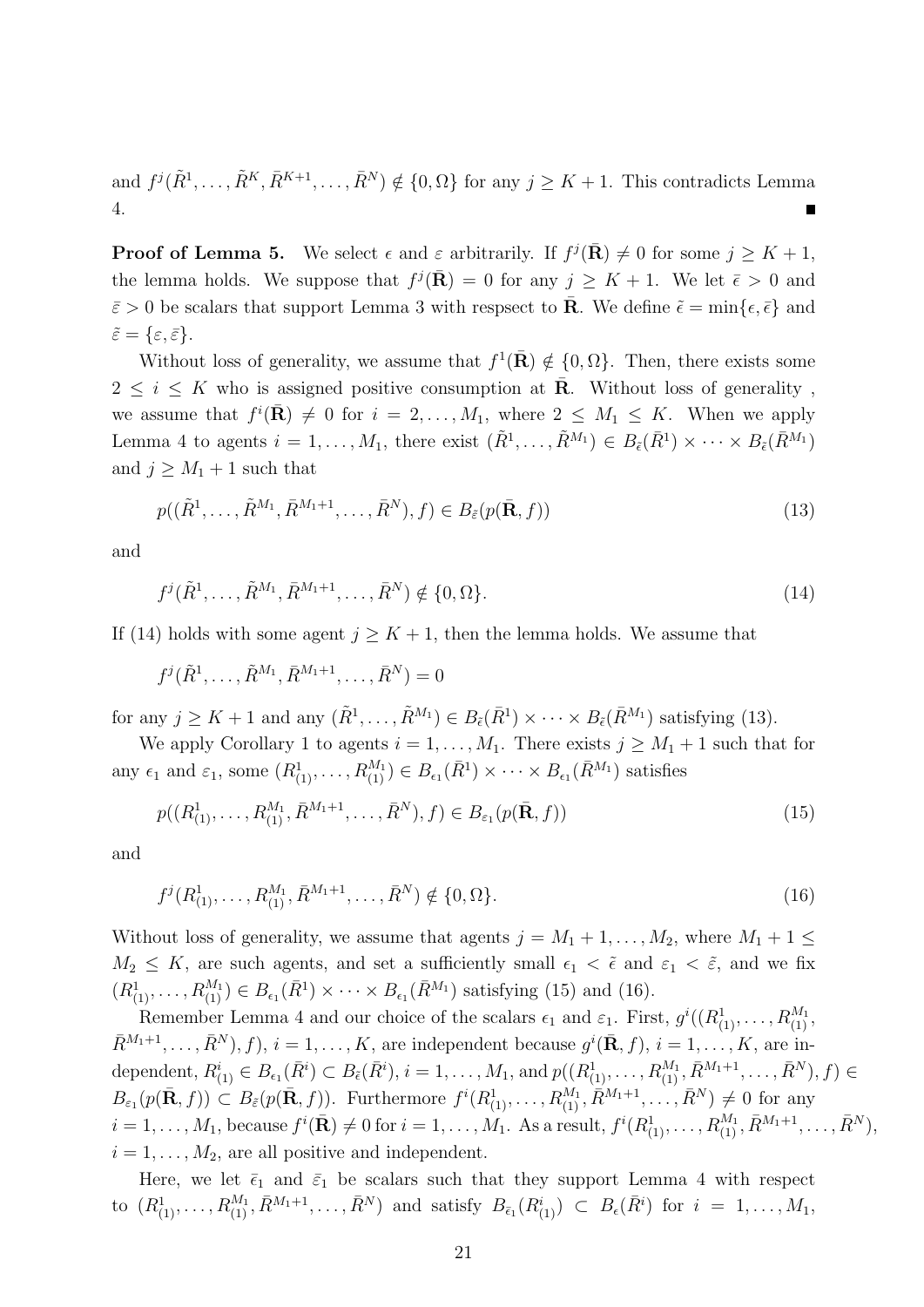and  $f^j(\tilde{R}^1,\ldots,\tilde{R}^K,\bar{R}^{K+1},\ldots,\bar{R}^N) \notin \{0,\Omega\}$  for any  $j \geq K+1$ . This contradicts Lemma 4.

**Proof of Lemma 5.** We select  $\epsilon$  and  $\varepsilon$  arbitrarily. If  $f^j(\bar{\mathbf{R}}) \neq 0$  for some  $j \geq K + 1$ , the lemma holds. We suppose that  $f^{j}(\bar{\mathbf{R}}) = 0$  for any  $j \geq K + 1$ . We let  $\bar{\epsilon} > 0$  and  $\bar{\varepsilon} > 0$  be scalars that support Lemma 3 with respsect to **R**. We define  $\tilde{\epsilon} = \min\{\epsilon, \bar{\epsilon}\}\$  and  $\tilde{\varepsilon} = {\varepsilon, \bar{\varepsilon}}.$ 

Without loss of generality, we assume that  $f^1(\bar{R}) \notin \{0, \Omega\}$ . Then, there exists some  $2 \leq i \leq K$  who is assigned positive consumption at **R**. Without loss of generality, we assume that  $f^{i}(\bar{\mathbf{R}}) \neq 0$  for  $i = 2, ..., M_1$ , where  $2 \leq M_1 \leq K$ . When we apply Lemma 4 to agents  $i = 1, ..., M_1$ , there exist  $(\tilde{R}^1, ..., \tilde{R}^{M_1}) \in B_{\tilde{\epsilon}}(\bar{R}^1) \times \cdots \times B_{\tilde{\epsilon}}(\bar{R}^{M_1})$ and  $j \geq M_1 + 1$  such that

$$
p((\tilde{R}^{1},\ldots,\tilde{R}^{M_{1}},\bar{R}^{M_{1}+1},\ldots,\bar{R}^{N}),f)\in B_{\tilde{\varepsilon}}(p(\bar{\mathbf{R}},f))
$$
\n(13)

and

$$
f^{j}(\tilde{R}^{1},\ldots,\tilde{R}^{M_{1}},\bar{R}^{M_{1}+1},\ldots,\bar{R}^{N}) \notin \{0,\Omega\}.
$$
 (14)

If (14) holds with some agent  $j \geq K + 1$ , then the lemma holds. We assume that

$$
f^{j}(\tilde{R}^{1},\ldots,\tilde{R}^{M_{1}},\bar{R}^{M_{1}+1},\ldots,\bar{R}^{N})=0
$$

for any  $j \geq K + 1$  and any  $(\tilde{R}^1, \ldots, \tilde{R}^{M_1}) \in B_{\tilde{\epsilon}}(\bar{R}^1) \times \cdots \times B_{\tilde{\epsilon}}(\bar{R}^{M_1})$  satisfying (13).

We apply Corollary 1 to agents  $i = 1, ..., M_1$ . There exists  $j \geq M_1 + 1$  such that for any  $\epsilon_1$  and  $\varepsilon_1$ , some  $(R_{(1)}^1, \ldots, R_{(1)}^{M_1}) \in B_{\epsilon_1}(\bar{R}^1) \times \cdots \times B_{\epsilon_1}(\bar{R}^{M_1})$  satisfies

$$
p((R_{(1)}^1, \ldots, R_{(1)}^{M_1}, \bar{R}^{M_1+1}, \ldots, \bar{R}^N), f) \in B_{\varepsilon_1}(p(\bar{\mathbf{R}}, f))
$$
\n(15)

and

$$
f^{j}(R_{(1)}^{1},\ldots,R_{(1)}^{M_{1}},\bar{R}^{M_{1}+1},\ldots,\bar{R}^{N}) \notin \{0,\Omega\}.
$$
 (16)

Without loss of generality, we assume that agents  $j = M_1 + 1, \ldots, M_2$ , where  $M_1 + 1 \leq$  $M_2 \leq K$ , are such agents, and set a sufficiently small  $\epsilon_1 < \tilde{\epsilon}$  and  $\epsilon_1 < \tilde{\epsilon}$ , and we fix  $(R_{(1)}^1, \ldots, R_{(1)}^{M_1}) \in B_{\epsilon_1}(\bar{R}^1) \times \cdots \times B_{\epsilon_1}(\bar{R}^{M_1})$  satisfying (15) and (16).

Remember Lemma 4 and our choice of the scalars  $\epsilon_1$  and  $\epsilon_1$ . First,  $g^i((R^1_{(1)}, \ldots, R^{M_1}_{(1)},$  $\overline{R}^{M_1+1}, \ldots, \overline{R}^N$ ,  $f$ ,  $i = 1, \ldots, K$ , are independent because  $g^i$ ( $\overline{\mathbf{R}}, f$ ),  $i = 1, \ldots, K$ , are independent,  $R^i_{(1)} \in B_{\epsilon_1}(\bar{R}^i) \subset B_{\tilde{\epsilon}}(\bar{R}^i), i = 1, ..., M_1$ , and  $p((R^1_{(1)}, ..., R^{M_1}_{(1)}, \bar{R}^{M_1+1}, ..., \bar{R}^N), f) \in$  $B_{\varepsilon_1}(p(\bar{\mathbf{R}},f)) \subset B_{\tilde{\varepsilon}}(p(\bar{\mathbf{R}},f)).$  Furthermore  $f^i(R^1_{(1)},\ldots,R^{M_1}_{(1)},\tilde{R}^{M_1+1},\ldots,\tilde{R}^N) \neq 0$  for any  $i=1,\ldots,M_1, \text{ because } f^i(\bar{\mathbf{R}}) \neq 0 \text{ for } i=1,\ldots,\overset{.}{M_1}. \text{ As a result, } f^i(R^1_{(1)},\ldots,R^{M_1}_{(1)},\bar{R}^{M_1+1},\ldots,\bar{R}^N),$  $i = 1, \ldots, M_2$ , are all positive and independent.

Here, we let  $\bar{\epsilon}_1$  and  $\bar{\epsilon}_1$  be scalars such that they support Lemma 4 with respect to  $(R^1_{(1)},\ldots,R^{M_1}_{(1)},\bar{R}^{M_1+1},\ldots,\bar{R}^N)$  and satisfy  $B_{\bar{\epsilon}_1}(R^i_{(1)}) \subset B_{\epsilon}(\bar{R}^i)$  for  $i = 1,\ldots,M_1$ ,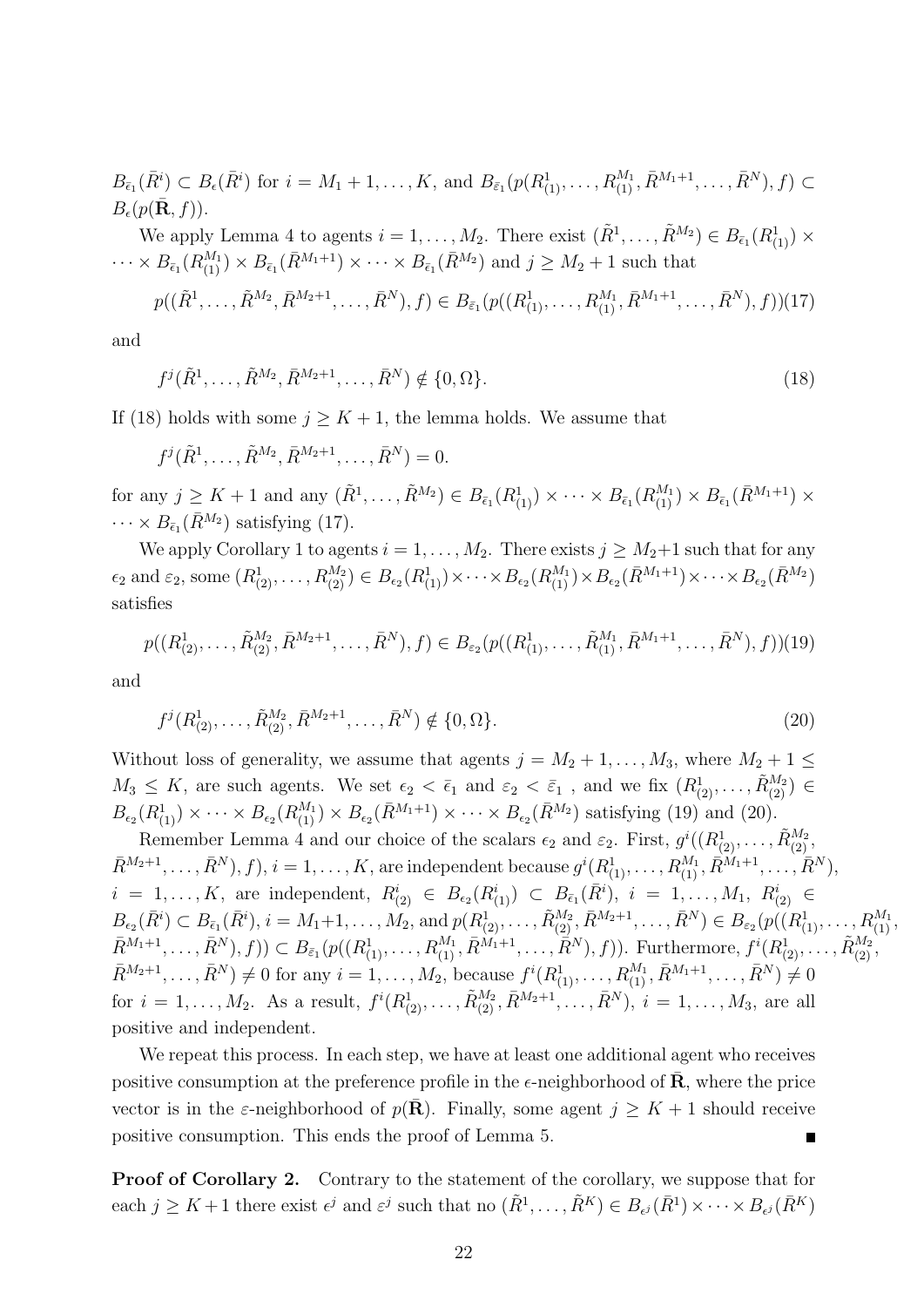$B_{\bar{\epsilon}_{1}}(\bar{R}^{i}) \subset B_{\epsilon}(\bar{R}^{i})$  for  $i = M_{1} + 1, ..., K$ , and  $B_{\bar{\epsilon}_{1}}(p(R_{(1)}^{1}, ..., R_{(1)}^{M_{1}}, \bar{R}^{M_{1}+1}, ..., \bar{R}^{N}), f) \subset$  $B_{\epsilon}(p(\mathbf{R},f)).$ 

We apply Lemma 4 to agents  $i = 1, ..., M_2$ . There exist  $(\tilde{R}^1, ..., \tilde{R}^{M_2}) \in B_{\bar{\epsilon}_1}(R^1_{(1)}) \times$  $\cdots \times B_{\bar{\epsilon}_1}(R_{(1)}^{M_1}) \times B_{\bar{\epsilon}_1}(\bar{R}^{M_1+1}) \times \cdots \times B_{\bar{\epsilon}_1}(\bar{R}^{M_2})$  and  $j \geq M_2+1$  such that

$$
p((\tilde{R}^1, \ldots, \tilde{R}^{M_2}, \bar{R}^{M_2+1}, \ldots, \bar{R}^N), f) \in B_{\bar{\varepsilon}_1}(p((R^1_{(1)}, \ldots, R^{M_1}_{(1)}, \bar{R}^{M_1+1}, \ldots, \bar{R}^N), f))(17)
$$

and

$$
f^{j}(\tilde{R}^{1},\ldots,\tilde{R}^{M_{2}},\bar{R}^{M_{2}+1},\ldots,\bar{R}^{N}) \notin \{0,\Omega\}. \tag{18}
$$

If (18) holds with some  $j \geq K + 1$ , the lemma holds. We assume that

$$
f^{j}(\tilde{R}^{1},\ldots,\tilde{R}^{M_2},\bar{R}^{M_2+1},\ldots,\bar{R}^{N})=0.
$$

for any  $j \geq K + 1$  and any  $(\tilde{R}^1, ..., \tilde{R}^{M_2}) \in B_{\bar{\epsilon}_1}(R^1_{(1)}) \times \cdots \times B_{\bar{\epsilon}_1}(R^{M_1}_{(1)}) \times B_{\bar{\epsilon}_1}(\bar{R}^{M_1+1}) \times$  $\cdots \times B_{\bar{\epsilon}_1}(\bar{R}^{M_2})$  satisfying (17).

We apply Corollary 1 to agents  $i = 1, \ldots, M_2$ . There exists  $j \geq M_2 + 1$  such that for any  $\epsilon_2$  and  $\varepsilon_2$ , some  $(R_{(2)}^1, \ldots, R_{(2)}^{M_2}) \in B_{\epsilon_2}(R_{(1)}^1) \times \cdots \times B_{\epsilon_2}(R_{(1)}^{M_1}) \times B_{\epsilon_2}(\bar{R}^{M_1+1}) \times \cdots \times B_{\epsilon_2}(\bar{R}^{M_2})$ satisfies

$$
p((R_{(2)}^1, \ldots, \tilde{R}_{(2)}^{M_2}, \bar{R}^{M_2+1}, \ldots, \bar{R}^N), f) \in B_{\varepsilon_2}(p((R_{(1)}^1, \ldots, \tilde{R}_{(1)}^{M_1}, \bar{R}^{M_1+1}, \ldots, \bar{R}^N), f))(19)
$$

and

$$
f^{j}(R_{(2)}^{1},\ldots,\tilde{R}_{(2)}^{M_2},\bar{R}^{M_2+1},\ldots,\bar{R}^{N}) \notin \{0,\Omega\}.
$$
\n(20)

Without loss of generality, we assume that agents  $j = M_2 + 1, \ldots, M_3$ , where  $M_2 + 1 \leq$  $M_3 \leq K$ , are such agents. We set  $\epsilon_2 < \bar{\epsilon}_1$  and  $\epsilon_2 < \bar{\epsilon}_1$ , and we fix  $(R_{(2)}^1, \ldots, \tilde{R}_{(2)}^{M_2}) \in$  $B_{\epsilon_2}(R^1_{(1)}) \times \cdots \times B_{\epsilon_2}(R^{M_1}_{(1)}) \times B_{\epsilon_2}(\bar{R}^{M_1+1}) \times \cdots \times B_{\epsilon_2}(\bar{R}^{M_2})$  satisfying (19) and (20).

Remember Lemma 4 and our choice of the scalars  $\epsilon_2$  and  $\varepsilon_2$ . First,  $g^i((R^1_{(2)},\ldots,\tilde{R}^{M_2}_{(2)},$  $\bar{R}^{M_2+1}, \ldots, \bar{R}^N), f), i = 1, \ldots, K, \text{ are independent because } g^i(R^1_{(1)}, \ldots, R^{M_1}_{(1)}, \bar{R}^{M_1+1}, \ldots, \bar{R}^N),$  $i = 1, ..., K$ , are independent,  $R_{(2)}^i \in B_{\epsilon_2}(R_{(1)}^i) \subset B_{\bar{\epsilon}_1}(\bar{R}^i)$ ,  $i = 1, ..., M_1, R_{(2)}^i \in$  $B_{\epsilon_2}(\bar{R}^i) \subset B_{\bar{\epsilon}_1}(\bar{R}^i), i = M_1 + 1, \ldots, M_2$ , and  $p(R_{(2)}^1, \ldots, \tilde{R}_{(2)}^{M_2}, \bar{R}^{M_2+1}, \ldots, \bar{R}^N) \in B_{\epsilon_2}(p((R_{(1)}^1, \ldots, R_{(1)}^{M_1}, \ldots, R_{(2)}^{M_2}))$  $(\bar{R}^{M_1+1}, \ldots, \bar{R}^N), f) \subset B_{\bar{\varepsilon}_1}(p((R^1_{(1)}, \ldots, R^{M_1}_{(1)}, \bar{R}^{\tilde{M_1}+1}, \ldots, \tilde{R}^N), f)).$  Furthermore,  $f^i(R^1_{(2)}, \ldots, \tilde{R}^{M_2}_{(2)},$  $\bar{R}^{M_2+1}, \ldots, \bar{R}^N) \neq 0$  for any  $i = 1, \ldots, M_2$ , because  $f^i(R^1_{(1)}, \ldots, R^{M_1}_{(1)}, \bar{R}^{M_1+1}, \ldots, \bar{R}^N) \neq 0$ for  $i = 1, ..., M_2$ . As a result,  $f^i(R_{(2)}^1, ..., \tilde{R}_{(2)}^{M_2}, \bar{R}^{M_2+1}, ..., \bar{R}^N)$ ,  $i = 1, ..., M_3$ , are all positive and independent.

We repeat this process. In each step, we have at least one additional agent who receives positive consumption at the preference profile in the  $\epsilon$ -neighborhood of **R**, where the price vector is in the *ε*-neighborhood of  $p(\mathbf{R})$ . Finally, some agent  $j \geq K + 1$  should receive positive consumption. This ends the proof of Lemma 5.

**Proof of Corollary 2.** Contrary to the statement of the corollary, we suppose that for each  $j \geq K+1$  there exist  $\epsilon^j$  and  $\varepsilon^j$  such that no  $(\tilde{R}^1, \ldots, \tilde{R}^K) \in B_{\epsilon^j}(\bar{R}^1) \times \cdots \times B_{\epsilon^j}(\bar{R}^K)$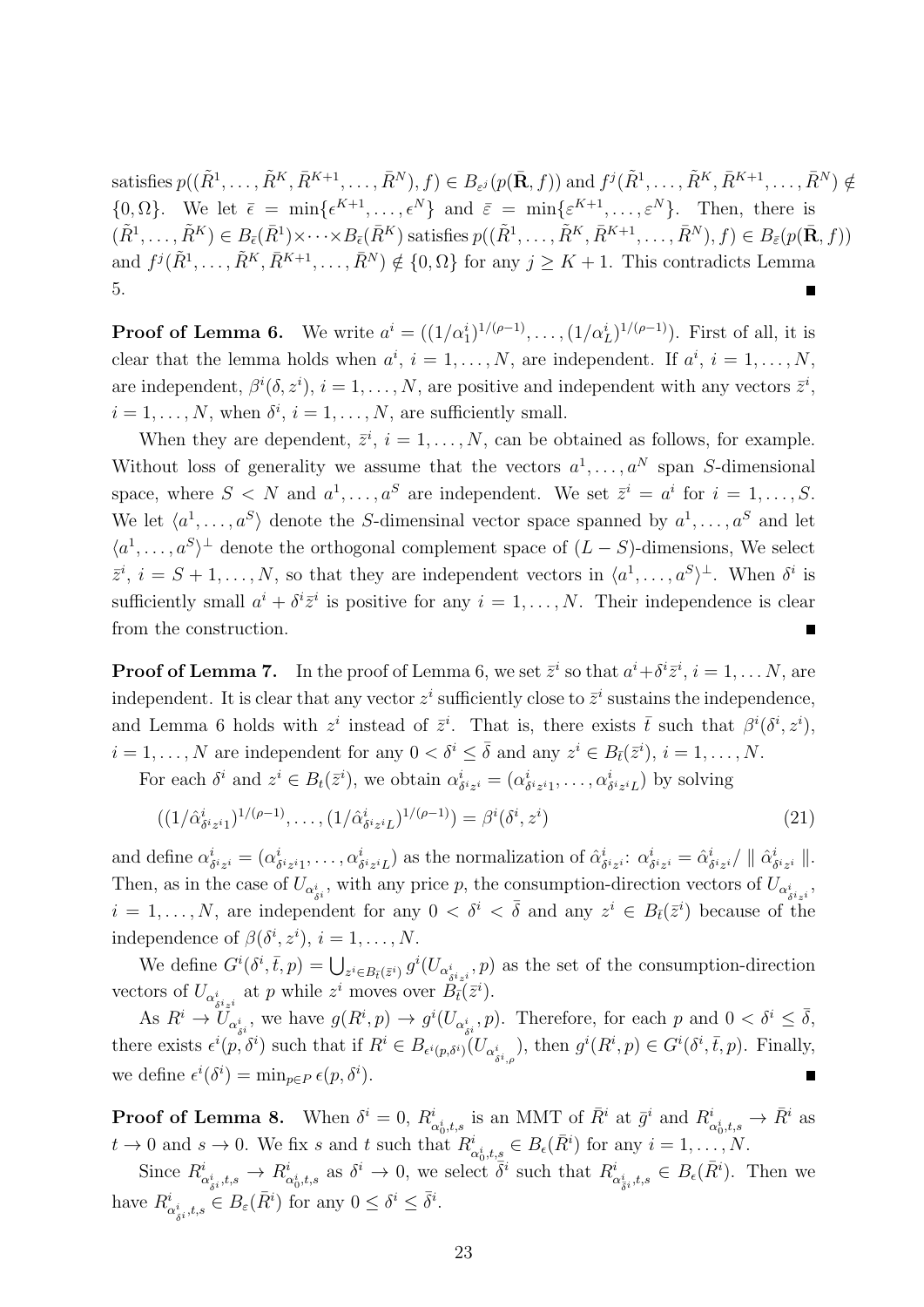satisfies  $p((\tilde{R}^1, \ldots, \tilde{R}^K, \bar{R}^{K+1}, \ldots, \bar{R}^N), f) \in B_{\varepsilon^j}(p(\bar{\mathbf{R}}, f))$  and  $f^j(\tilde{R}^1, \ldots, \tilde{R}^K, \bar{R}^{K+1}, \ldots, \bar{R}^N) \notin$  $\{0, \Omega\}$ . We let  $\bar{\epsilon} = \min\{\epsilon^{K+1}, \ldots, \epsilon^N\}$  and  $\bar{\epsilon} = \min\{\epsilon^{K+1}, \ldots, \epsilon^N\}$ . Then, there is  $(\tilde{R}^1, \ldots, \tilde{R}^K) \in B_{\bar{\epsilon}}(\bar{R}^1) \times \cdots \times B_{\bar{\epsilon}}(\bar{R}^K)$  satisfies  $p((\tilde{R}^1, \ldots, \tilde{R}^K, \bar{R}^{K+1}, \ldots, \bar{R}^N), f) \in B_{\bar{\epsilon}}(p(\bar{\mathbf{R}}, f))$ and  $f^j(\tilde{R}^1,\ldots,\tilde{R}^K,\bar{R}^{K+1},\ldots,\bar{R}^N) \notin \{0,\Omega\}$  for any  $j \geq K+1$ . This contradicts Lemma 5.

**Proof of Lemma 6.** We write  $a^i = ((1/\alpha_1^i)^{1/(\rho-1)}, \ldots, (1/\alpha_L^i)^{1/(\rho-1)})$ . First of all, it is clear that the lemma holds when  $a^i$ ,  $i = 1, ..., N$ , are independent. If  $a^i$ ,  $i = 1, ..., N$ , are independent,  $\beta^{i}(\delta, z^{i}), i = 1, \ldots, N$ , are positive and independent with any vectors  $\bar{z}^{i}$ ,  $i = 1, \ldots, N$ , when  $\delta^i$ ,  $i = 1, \ldots, N$ , are sufficiently small.

When they are dependent,  $\bar{z}^i$ ,  $i = 1, \ldots, N$ , can be obtained as follows, for example. Without loss of generality we assume that the vectors  $a^1, \ldots, a^N$  span *S*-dimensional space, where  $S \leq N$  and  $a^1, \ldots, a^S$  are independent. We set  $\bar{z}^i = a^i$  for  $i = 1, \ldots, S$ . We let  $\langle a^1, \ldots, a^S \rangle$  denote the *S*-dimensinal vector space spanned by  $a^1, \ldots, a^S$  and let  $\langle a^1, \ldots, a^S \rangle$ <sup>⊥</sup> denote the orthogonal complement space of  $(L - S)$ -dimensions, We select  $\overline{z}^i$ ,  $i = S + 1, \ldots, N$ , so that they are independent vectors in  $\langle a^1, \ldots, a^S \rangle^{\perp}$ . When  $\delta^i$  is sufficiently small  $a^i + \delta^i \bar{z}^i$  is positive for any  $i = 1, \ldots, N$ . Their independence is clear from the construction. П

**Proof of Lemma 7.** In the proof of Lemma 6, we set  $\bar{z}^i$  so that  $a^i + \delta^i \bar{z}^i$ ,  $i = 1, \ldots N$ , are independent. It is clear that any vector  $z^i$  sufficiently close to  $\bar{z}^i$  sustains the independence, and Lemma 6 holds with  $z^i$  instead of  $\bar{z}^i$ . That is, there exists  $\bar{t}$  such that  $\beta^i(\delta^i, z^i)$ ,  $i = 1, \ldots, N$  are independent for any  $0 < \delta^i \leq \overline{\delta}$  and any  $z^i \in B_{\overline{t}}(\overline{z}^i), i = 1, \ldots, N$ .

For each  $\delta^i$  and  $z^i \in B_t(\bar{z}^i)$ , we obtain  $\alpha^i_{\delta}$  $\delta^{i}z^{i} = (\alpha_{\delta}^{i})$  $\delta^{i} z^{i_1}, \ldots, \alpha^{i} \delta^{i} z^{i_L}$ ) by solving

$$
((1/\hat{\alpha}_{\delta^i z^i 1}^{i})^{1/(\rho-1)}, \dots, (1/\hat{\alpha}_{\delta^i z^i L}^{i})^{1/(\rho-1)}) = \beta^i(\delta^i, z^i)
$$
\n(21)

and define  $\alpha^i_\beta$  $\delta^{i}z^{i} = (\alpha_{\delta}^{i})$  $\delta^{i}z_{i1}, \ldots, \alpha^{i}{}_{\delta^{i}z^{i}L}$  as the normalization of  $\hat{\alpha}^{i}_{\delta}$ *δ iz <sup>i</sup>* : *α i*  $\hat{\alpha}^i_{\delta^i z^i} = \hat{\alpha}^i_{\delta^i}$  $\frac{i}{\delta^i z^i}/$   $\parallel \hat{\alpha}^i_{\delta}$ *δ iz <sup>i</sup> ∥*. Then, as in the case of  $U_{\alpha_{\delta i}^i}$ , with any price *p*, the consumption-direction vectors of  $U_{\alpha_{\delta i z_i}^i}$ ,  $i = 1, \ldots, N$ , are independent for any  $0 < \delta^i < \overline{\delta}$  and any  $z^i \in B_{\overline{t}}(\overline{z}^i)$  because of the independence of  $\beta(\delta^i, z^i)$ ,  $i = 1, \ldots, N$ .

We define  $G^i(\delta^i, \bar{t}, p) = \bigcup_{z^i \in B_{\bar{t}}(\bar{z}^i)} g^i(U_{\alpha^i_{\delta^i z^i}}, p)$  as the set of the consumption-direction vectors of  $U_{\alpha_{i,j}^i}$  at *p* while  $z^i$  moves over  $B_{\bar{t}}(\bar{z}^i)$ .

As  $R^i \to U_{\alpha_{\delta i}^i}$ , we have  $g(R^i, p) \to g^i(U_{\alpha_{\delta i}^i}, p)$ . Therefore, for each p and  $0 < \delta^i \leq \overline{\delta}$ , there exists  $\epsilon^{i}(p,\delta^{i})$  such that if  $R^{i} \in B_{\epsilon^{i}(p,\delta^{i})}(U_{\alpha^{i}_{\delta^{i},\rho}})$ , then  $g^{i}(R^{i},p) \in G^{i}(\delta^{i},\bar{t},p)$ . Finally, we define  $\epsilon^{i}(\delta^{i}) = \min_{p \in P} \epsilon(p, \delta^{i}).$ 

**Proof of Lemma 8.** When  $\delta^i = 0$ ,  $R^i_{\alpha^i_0,t,s}$  is an MMT of  $\bar{R}^i$  at  $\bar{g}^i$  and  $R^i_{\alpha^i_0,t,s} \to \bar{R}^i$  as  $t \to 0$  and  $s \to 0$ . We fix *s* and *t* such that  $R^i_{\alpha_0^i, t, s} \in B_\epsilon(\bar{R}^i)$  for any  $i = 1, \ldots, N$ .

Since  $R^i_{\alpha^i_{\delta i},t,s} \to R^i_{\alpha^i_0,t,s}$  as  $\delta^i \to 0$ , we select  $\overline{\delta}^i$  such that  $R^i_{\alpha^i_{\overline{\delta}^i},t,s} \in B_{\epsilon}(\overline{R}^i)$ . Then we have  $R^i_{\alpha^i_{\delta^i},t,s} \in B_{\varepsilon}(\bar{R}^i)$  for any  $0 \leq \delta^i \leq \bar{\delta}^i$ .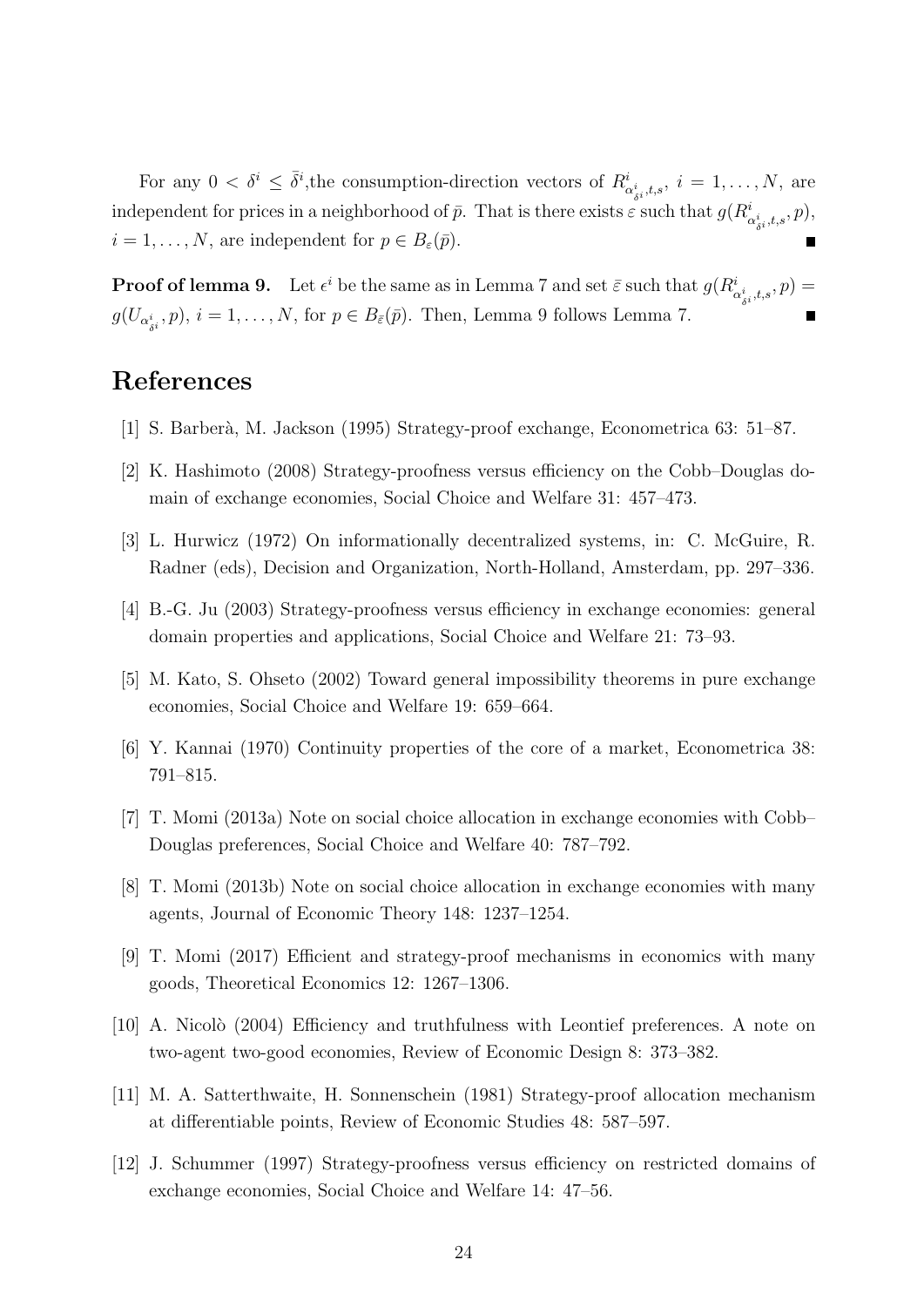For any  $0 < \delta^i \leq \bar{\delta}^i$ , the consumption-direction vectors of  $R^i_{\alpha^i_{\delta i},t,s}$ ,  $i = 1,\ldots,N$ , are independent for prices in a neighborhood of  $\bar{p}$ . That is there exists  $\varepsilon$  such that  $g(R^i_{\alpha^i_{\delta^i},t,s},p)$ ,  $i = 1, \ldots, N$ , are independent for  $p \in B_{\varepsilon}(\bar{p})$ .

**Proof of lemma 9.** Let  $\epsilon^i$  be the same as in Lemma 7 and set  $\bar{\varepsilon}$  such that  $g(R^i_{\alpha^i_{\delta^i},t,s},p)$  $g(U_{\alpha_{\delta i}^i}, p)$ ,  $i = 1, \ldots, N$ , for  $p \in B_{\bar{\varepsilon}}(\bar{p})$ . Then, Lemma 9 follows Lemma 7.

# **References**

- [1] S. Barber`a, M. Jackson (1995) Strategy-proof exchange, Econometrica 63: 51–87.
- [2] K. Hashimoto (2008) Strategy-proofness versus efficiency on the Cobb–Douglas domain of exchange economies, Social Choice and Welfare 31: 457–473.
- [3] L. Hurwicz (1972) On informationally decentralized systems, in: C. McGuire, R. Radner (eds), Decision and Organization, North-Holland, Amsterdam, pp. 297–336.
- [4] B.-G. Ju (2003) Strategy-proofness versus efficiency in exchange economies: general domain properties and applications, Social Choice and Welfare 21: 73–93.
- [5] M. Kato, S. Ohseto (2002) Toward general impossibility theorems in pure exchange economies, Social Choice and Welfare 19: 659–664.
- [6] Y. Kannai (1970) Continuity properties of the core of a market, Econometrica 38: 791–815.
- [7] T. Momi (2013a) Note on social choice allocation in exchange economies with Cobb– Douglas preferences, Social Choice and Welfare 40: 787–792.
- [8] T. Momi (2013b) Note on social choice allocation in exchange economies with many agents, Journal of Economic Theory 148: 1237–1254.
- [9] T. Momi (2017) Efficient and strategy-proof mechanisms in economics with many goods, Theoretical Economics 12: 1267–1306.
- [10] A. Nicolò (2004) Efficiency and truthfulness with Leontief preferences. A note on two-agent two-good economies, Review of Economic Design 8: 373–382.
- [11] M. A. Satterthwaite, H. Sonnenschein (1981) Strategy-proof allocation mechanism at differentiable points, Review of Economic Studies 48: 587–597.
- [12] J. Schummer (1997) Strategy-proofness versus efficiency on restricted domains of exchange economies, Social Choice and Welfare 14: 47–56.